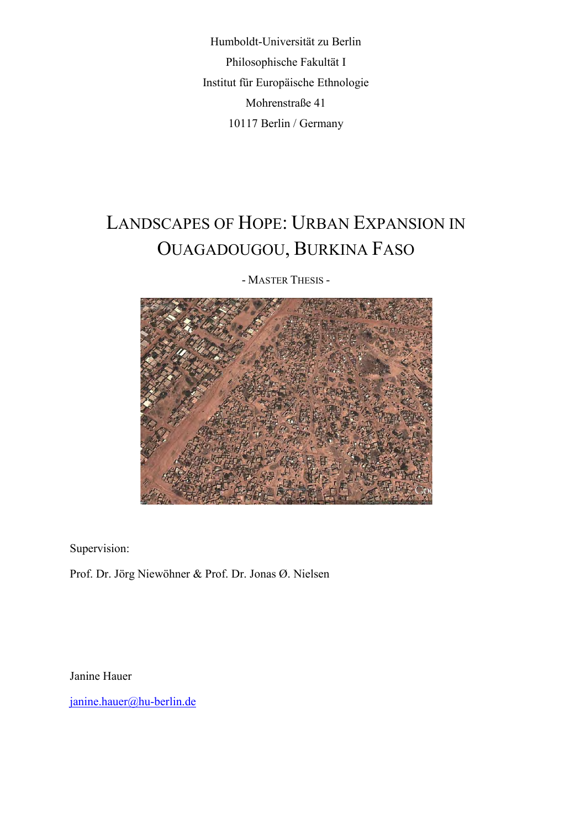Humboldt-Universität zu Berlin Philosophische Fakultät I Institut für Europäische Ethnologie Mohrenstraße 41 10117 Berlin / Germany

# LANDSCAPES OF HOPE: URBAN EXPANSION IN OUAGADOUGOU, BURKINA FASO

- MASTER THESIS -

Supervision:

Prof. Dr. Jörg Niewöhner & Prof. Dr. Jonas Ø. Nielsen

Janine Hauer

[janine.hauer@hu-berlin.de](mailto:janine.hauer@hu-berlin.de)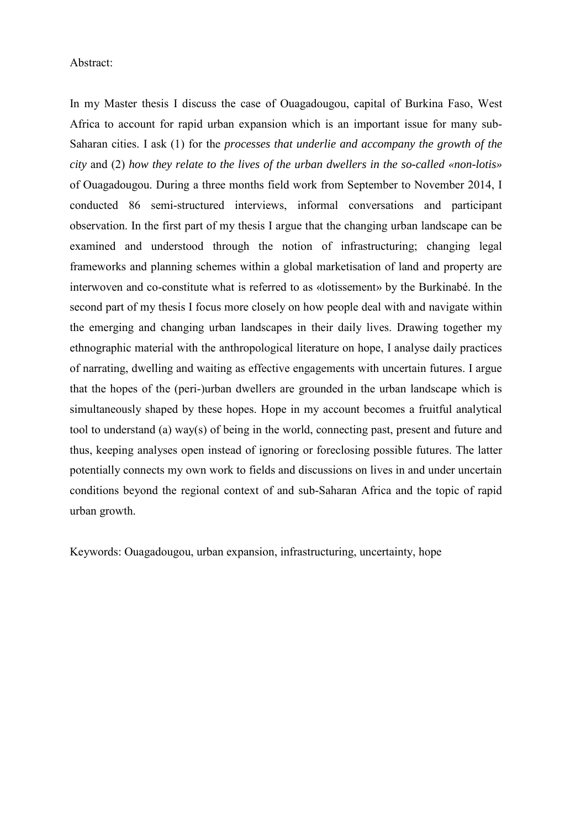#### Abstract:

In my Master thesis I discuss the case of Ouagadougou, capital of Burkina Faso, West Africa to account for rapid urban expansion which is an important issue for many sub-Saharan cities. I ask (1) for the *processes that underlie and accompany the growth of the city* and (2) *how they relate to the lives of the urban dwellers in the so-called «non-lotis»* of Ouagadougou. During a three months field work from September to November 2014, I conducted 86 semi-structured interviews, informal conversations and participant observation. In the first part of my thesis I argue that the changing urban landscape can be examined and understood through the notion of infrastructuring; changing legal frameworks and planning schemes within a global marketisation of land and property are interwoven and co-constitute what is referred to as «lotissement» by the Burkinabé. In the second part of my thesis I focus more closely on how people deal with and navigate within the emerging and changing urban landscapes in their daily lives. Drawing together my ethnographic material with the anthropological literature on hope, I analyse daily practices of narrating, dwelling and waiting as effective engagements with uncertain futures. I argue that the hopes of the (peri-)urban dwellers are grounded in the urban landscape which is simultaneously shaped by these hopes. Hope in my account becomes a fruitful analytical tool to understand (a) way(s) of being in the world, connecting past, present and future and thus, keeping analyses open instead of ignoring or foreclosing possible futures. The latter potentially connects my own work to fields and discussions on lives in and under uncertain conditions beyond the regional context of and sub-Saharan Africa and the topic of rapid urban growth.

Keywords: Ouagadougou, urban expansion, infrastructuring, uncertainty, hope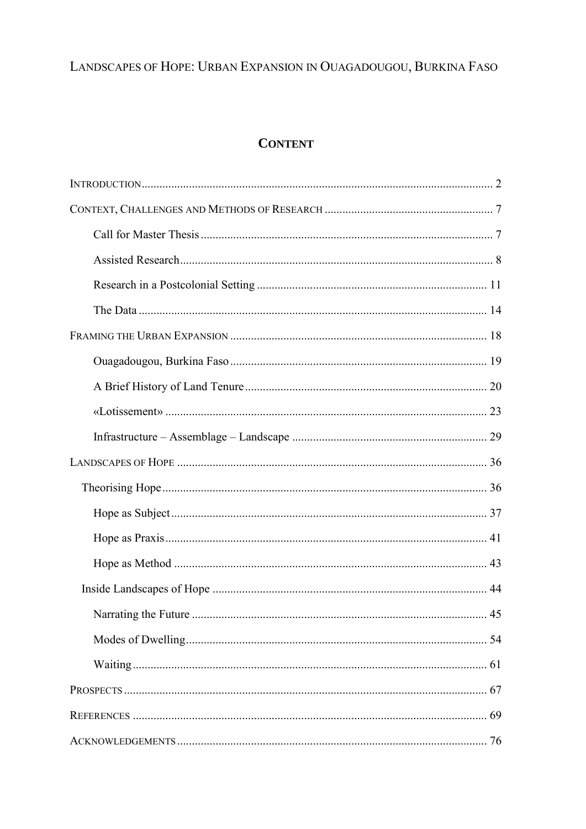## LANDSCAPES OF HOPE: URBAN EXPANSION IN OUAGADOUGOU, BURKINA FASO

### **CONTENT**

| 54 |
|----|
|    |
|    |
| 69 |
| 76 |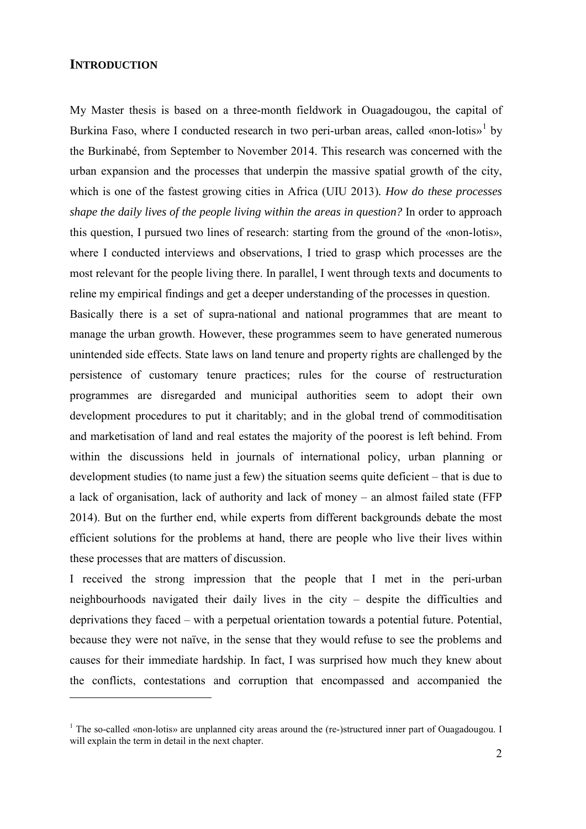#### <span id="page-3-0"></span>**INTRODUCTION**

<u>.</u>

My Master thesis is based on a three-month fieldwork in Ouagadougou, the capital of Burkina Faso, where I conducted research in two peri-urban areas, called «non-lotis»<sup>[1](#page-3-1)</sup> by the Burkinabé, from September to November 2014. This research was concerned with the urban expansion and the processes that underpin the massive spatial growth of the city, which is one of the fastest growing cities in Africa (UIU 2013)*. How do these processes shape the daily lives of the people living within the areas in question?* In order to approach this question, I pursued two lines of research: starting from the ground of the «non-lotis», where I conducted interviews and observations, I tried to grasp which processes are the most relevant for the people living there. In parallel, I went through texts and documents to reline my empirical findings and get a deeper understanding of the processes in question.

Basically there is a set of supra-national and national programmes that are meant to manage the urban growth. However, these programmes seem to have generated numerous unintended side effects. State laws on land tenure and property rights are challenged by the persistence of customary tenure practices; rules for the course of restructuration programmes are disregarded and municipal authorities seem to adopt their own development procedures to [put](http://www.dict.cc/englisch-deutsch/put.html) [it](http://www.dict.cc/englisch-deutsch/it.html) [charitably;](http://www.dict.cc/englisch-deutsch/charitably.html) and in the global trend of commoditisation and marketisation of land and real estates the majority of the poorest is left behind. From within the discussions held in journals of international policy, urban planning or development studies (to name just a few) the situation seems quite deficient – that is due to a lack of organisation, lack of authority and lack of money – an almost failed state (FFP 2014). But on the further end, while experts from different backgrounds debate the most efficient solutions for the problems at hand, there are people who live their lives within these processes that are matters of discussion.

I received the strong impression that the people that I met in the peri-urban neighbourhoods navigated their daily lives in the city – despite the difficulties and deprivations they faced – with a perpetual orientation towards a potential future. Potential, because they were not naïve, in the sense that they would refuse to see the problems and causes for their immediate hardship. In fact, I was surprised how much they knew about the conflicts, contestations and corruption that encompassed and accompanied the

<span id="page-3-1"></span><sup>&</sup>lt;sup>1</sup> The so-called «non-lotis» are unplanned city areas around the (re-)structured inner part of Ouagadougou. I will explain the term in detail in the next chapter.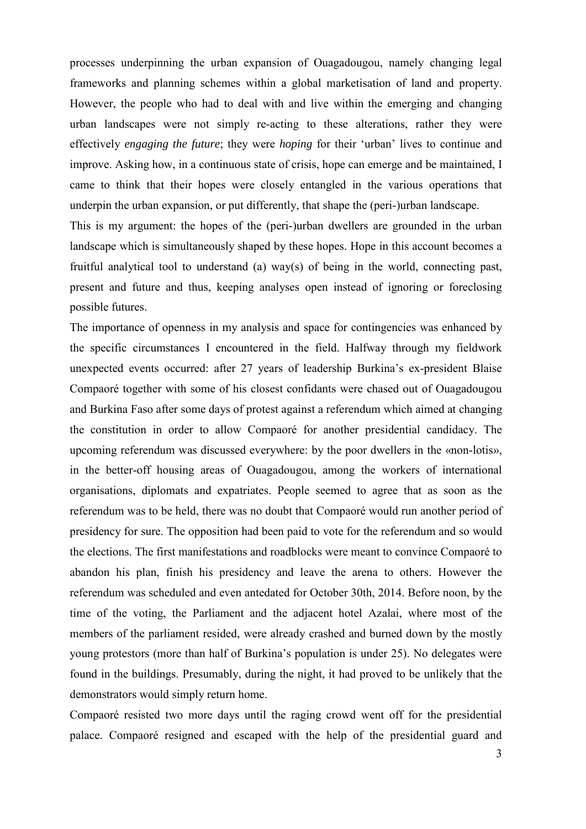processes underpinning the urban expansion of Ouagadougou, namely changing legal frameworks and planning schemes within a global marketisation of land and property. However, the people who had to deal with and live within the emerging and changing urban landscapes were not simply re-acting to these alterations, rather they were effectively *engaging the future*; they were *hoping* for their 'urban' lives to continue and improve. Asking how, in a continuous state of crisis, hope can emerge and be maintained, I came to think that their hopes were closely entangled in the various operations that underpin the urban expansion, or put differently, that shape the (peri-)urban landscape.

This is my argument: the hopes of the (peri-)urban dwellers are grounded in the urban landscape which is simultaneously shaped by these hopes. Hope in this account becomes a fruitful analytical tool to understand (a) way(s) of being in the world, connecting past, present and future and thus, keeping analyses open instead of ignoring or foreclosing possible futures.

The importance of openness in my analysis and space for contingencies was enhanced by the specific circumstances I encountered in the field. Halfway through my fieldwork unexpected events occurred: after 27 years of leadership Burkina's ex-president Blaise Compaoré together with some of his closest confidants were chased out of Ouagadougou and Burkina Faso after some days of protest against a referendum which aimed at changing the constitution in order to allow Compaoré for another presidential candidacy. The upcoming referendum was discussed everywhere: by the poor dwellers in the «non-lotis», in the better-off housing areas of Ouagadougou, among the workers of international organisations, diplomats and expatriates. People seemed to agree that as soon as the referendum was to be held, there was no doubt that Compaoré would run another period of presidency for sure. The opposition had been paid to vote for the referendum and so would the elections. The first manifestations and roadblocks were meant to convince Compaoré to abandon his plan, finish his presidency and leave the arena to others. However the referendum was scheduled and even antedated for October 30th, 2014. Before noon, by the time of the voting, the Parliament and the adjacent hotel Azalai, where most of the members of the parliament resided, were already crashed and burned down by the mostly young protestors (more than half of Burkina's population is under 25). No delegates were found in the buildings. Presumably, during the night, it had proved to be unlikely that the demonstrators would simply return home.

Compaoré resisted two more days until the raging crowd went off for the presidential palace. Compaoré resigned and escaped with the help of the presidential guard and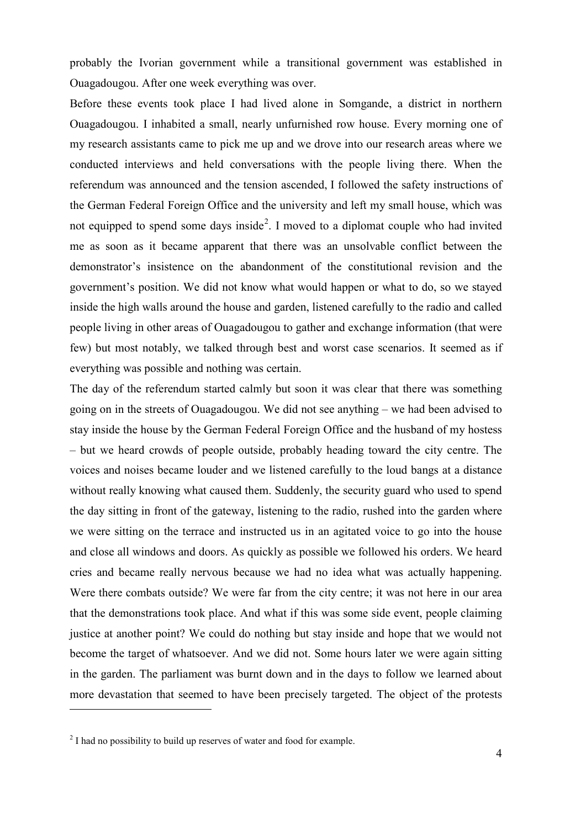probably the Ivorian government while a transitional government was established in Ouagadougou. After one week everything was over.

Before these events took place I had lived alone in Somgande, a district in northern Ouagadougou. I inhabited a small, nearly unfurnished row house. Every morning one of my research assistants came to pick me up and we drove into our research areas where we conducted interviews and held conversations with the people living there. When the referendum was announced and the tension ascended, I followed the safety instructions of the German Federal Foreign Office and the university and left my small house, which was not equipped to spend some days inside<sup>[2](#page-5-0)</sup>. I moved to a diplomat couple who had invited me as soon as it became apparent that there was an unsolvable conflict between the demonstrator's insistence on the abandonment of the constitutional revision and the government's position. We did not know what would happen or what to do, so we stayed inside the high walls around the house and garden, listened carefully to the radio and called people living in other areas of Ouagadougou to gather and exchange information (that were few) but most notably, we talked through best and worst case scenarios. It seemed as if everything was possible and nothing was certain.

The day of the referendum started calmly but soon it was clear that there was something going on in the streets of Ouagadougou. We did not see anything – we had been advised to stay inside the house by the German Federal Foreign Office and the husband of my hostess – but we heard crowds of people outside, probably heading toward the city centre. The voices and noises became louder and we listened carefully to the loud bangs at a distance without really knowing what caused them. Suddenly, the security guard who used to spend the day sitting in front of the gateway, listening to the radio, rushed into the garden where we were sitting on the terrace and instructed us in an agitated voice to go into the house and close all windows and doors. As quickly as possible we followed his orders. We heard cries and became really nervous because we had no idea what was actually happening. Were there combats outside? We were far from the city centre; it was not here in our area that the demonstrations took place. And what if this was some side event, people claiming justice at another point? We could do nothing but stay inside and hope that we would not become the target of whatsoever. And we did not. Some hours later we were again sitting in the garden. The parliament was burnt down and in the days to follow we learned about more devastation that seemed to have been precisely targeted. The object of the protests

<span id="page-5-0"></span><sup>&</sup>lt;sup>2</sup> I had no possibility to build up reserves of water and food for example.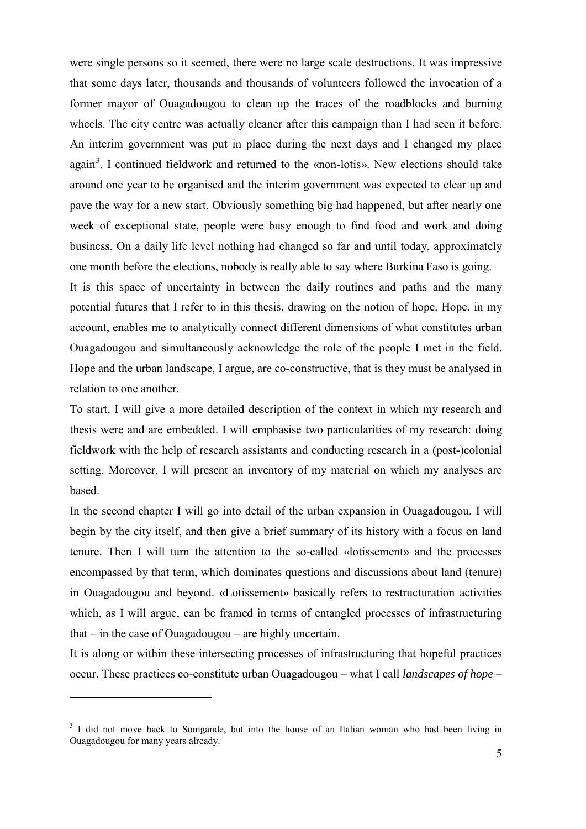were single persons so it seemed, there were no large scale destructions. It was impressive that some days later, thousands and thousands of volunteers followed the invocation of a former mayor of Ouagadougou to clean up the traces of the roadblocks and burning wheels. The city centre was actually cleaner after this campaign than I had seen it before. An interim government was put in place during the next days and I changed my place again<sup>[3](#page-6-0)</sup>. I continued fieldwork and returned to the «non-lotis». New elections should take around one year to be organised and the interim government was expected to clear up and pave the way for a new start. Obviously something big had happened, but after nearly one week of exceptional state, people were busy enough to find food and work and doing business. On a daily life level nothing had changed so far and until today, approximately one month before the elections, nobody is really able to say where Burkina Faso is going.

It is this space of uncertainty in between the daily routines and paths and the many potential futures that I refer to in this thesis, drawing on the notion of hope. Hope, in my account, enables me to analytically connect different dimensions of what constitutes urban Ouagadougou and simultaneously acknowledge the role of the people I met in the field. Hope and the urban landscape, I argue, are co-constructive, that is they must be analysed in relation to one another.

To start, I will give a more detailed description of the context in which my research and thesis were and are embedded. I will emphasise two particularities of my research: doing fieldwork with the help of research assistants and conducting research in a (post-)colonial setting. Moreover, I will present an inventory of my material on which my analyses are based.

In the second chapter I will go into detail of the urban expansion in Ouagadougou. I will begin by the city itself, and then give a brief summary of its history with a focus on land tenure. Then I will turn the attention to the so-called «lotissement» and the processes encompassed by that term, which dominates questions and discussions about land (tenure) in Ouagadougou and beyond. «Lotissement» basically refers to restructuration activities which, as I will argue, can be framed in terms of entangled processes of infrastructuring that – in the case of Ouagadougou – are highly uncertain.

It is along or within these intersecting processes of infrastructuring that hopeful practices occur. These practices co-constitute urban Ouagadougou – what I call *landscapes of hope* –

<u>.</u>

<span id="page-6-0"></span><sup>&</sup>lt;sup>3</sup> I did not move back to Somgande, but into the house of an Italian woman who had been living in Ouagadougou for many years already.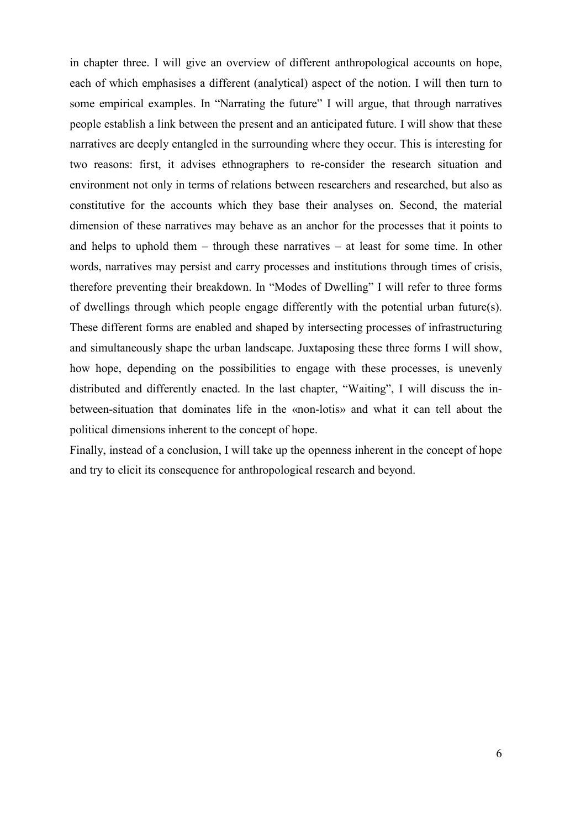in chapter three. I will give an overview of different anthropological accounts on hope, each of which emphasises a different (analytical) aspect of the notion. I will then turn to some empirical examples. In "Narrating the future" I will argue, that through narratives people establish a link between the present and an anticipated future. I will show that these narratives are deeply entangled in the surrounding where they occur. This is interesting for two reasons: first, it advises ethnographers to re-consider the research situation and environment not only in terms of relations between researchers and researched, but also as constitutive for the accounts which they base their analyses on. Second, the material dimension of these narratives may behave as an anchor for the processes that it points to and helps to uphold them – through these narratives – at least for some time. In other words, narratives may persist and carry processes and institutions through times of crisis, therefore preventing their breakdown. In "Modes of Dwelling" I will refer to three forms of dwellings through which people engage differently with the potential urban future(s). These different forms are enabled and shaped by intersecting processes of infrastructuring and simultaneously shape the urban landscape. Juxtaposing these three forms I will show, how hope, depending on the possibilities to engage with these processes, is unevenly distributed and differently enacted. In the last chapter, "Waiting", I will discuss the inbetween-situation that dominates life in the «non-lotis» and what it can tell about the political dimensions inherent to the concept of hope.

Finally, instead of a conclusion, I will take up the openness inherent in the concept of hope and try to elicit its consequence for anthropological research and beyond.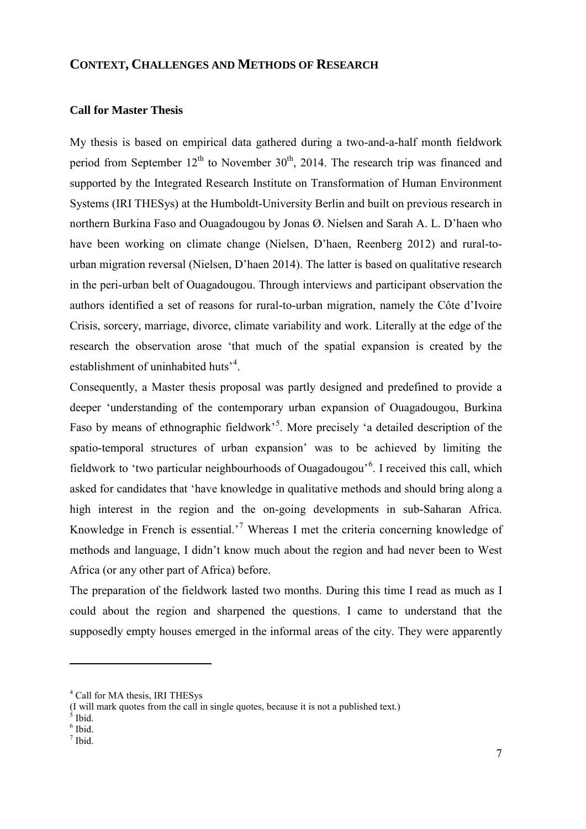#### <span id="page-8-0"></span>**CONTEXT, CHALLENGES AND METHODS OF RESEARCH**

#### <span id="page-8-1"></span>**Call for Master Thesis**

My thesis is based on empirical data gathered during a two-and-a-half month fieldwork period from September  $12<sup>th</sup>$  to November  $30<sup>th</sup>$ , 2014. The research trip was financed and supported by the Integrated Research Institute on Transformation of Human Environment Systems (IRI THESys) at the Humboldt-University Berlin and built on previous research in northern Burkina Faso and Ouagadougou by Jonas Ø. Nielsen and Sarah A. L. D'haen who have been working on climate change (Nielsen, D'haen, Reenberg 2012) and rural-tourban migration reversal (Nielsen, D'haen 2014). The latter is based on qualitative research in the peri-urban belt of Ouagadougou. Through interviews and participant observation the authors identified a set of reasons for rural-to-urban migration, namely the Côte d'Ivoire Crisis, sorcery, marriage, divorce, climate variability and work. Literally at the edge of the research the observation arose 'that much of the spatial expansion is created by the establishment of uninhabited huts<sup>3[4](#page-8-2)</sup>.

Consequently, a Master thesis proposal was partly designed and predefined to provide a deeper 'understanding of the contemporary urban expansion of Ouagadougou, Burkina Faso by means of ethnographic fieldwork<sup>[5](#page-8-3)5</sup>. More precisely 'a detailed description of the spatio-temporal structures of urban expansion' was to be achieved by limiting the fieldwork to 'two particular neighbourhoods of Ouagadougou'<sup>[6](#page-8-4)</sup>. I received this call, which asked for candidates that 'have knowledge in qualitative methods and should bring along a high interest in the region and the on-going developments in sub-Saharan Africa. Knowledge in French is essential.'[7](#page-8-5) Whereas I met the criteria concerning knowledge of methods and language, I didn't know much about the region and had never been to West Africa (or any other part of Africa) before.

The preparation of the fieldwork lasted two months. During this time I read as much as I could about the region and sharpened the questions. I came to understand that the supposedly empty houses emerged in the informal areas of the city. They were apparently

<span id="page-8-2"></span><sup>4</sup> Call for MA thesis, IRI THESys

<sup>(</sup>I will mark quotes from the call in single quotes, because it is not a published text.)  $\frac{5}{5}$  Ibid.

<span id="page-8-4"></span><span id="page-8-3"></span> $6$  Ibid.

<span id="page-8-5"></span><sup>7</sup> Ibid.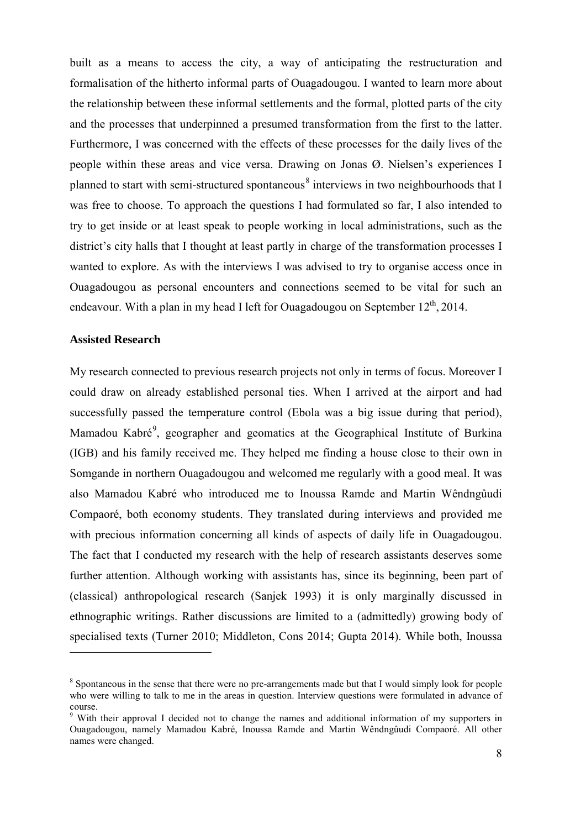built as a means to access the city, a way of anticipating the restructuration and formalisation of the hitherto informal parts of Ouagadougou. I wanted to learn more about the relationship between these informal settlements and the formal, plotted parts of the city and the processes that underpinned a presumed transformation from the first to the latter. Furthermore, I was concerned with the effects of these processes for the daily lives of the people within these areas and vice versa. Drawing on Jonas Ø. Nielsen's experiences I planned to start with semi-structured spontaneous<sup>[8](#page-9-1)</sup> interviews in two neighbourhoods that I was free to choose. To approach the questions I had formulated so far, I also intended to try to get inside or at least speak to people working in local administrations, such as the district's city halls that I thought at least partly in charge of the transformation processes I wanted to explore. As with the interviews I was advised to try to organise access once in Ouagadougou as personal encounters and connections seemed to be vital for such an endeavour. With a plan in my head I left for Ouagadougou on September  $12<sup>th</sup>$ , 2014.

#### <span id="page-9-0"></span>**Assisted Research**

<u>.</u>

My research connected to previous research projects not only in terms of focus. Moreover I could draw on already established personal ties. When I arrived at the airport and had successfully passed the temperature control (Ebola was a big issue during that period), Mamadou Kabré<sup>[9](#page-9-2)</sup>, geographer and geomatics at the Geographical Institute of Burkina (IGB) and his family received me. They helped me finding a house close to their own in Somgande in northern Ouagadougou and welcomed me regularly with a good meal. It was also Mamadou Kabré who introduced me to Inoussa Ramde and Marti[n Wêndngûudi](https://www.facebook.com/martinwendnguudi.compaore?fref=nf)  [Compaoré](https://www.facebook.com/martinwendnguudi.compaore?fref=nf), both economy students. They translated during interviews and provided me with precious information concerning all kinds of aspects of daily life in Ouagadougou. The fact that I conducted my research with the help of research assistants deserves some further attention. Although working with assistants has, since its beginning, been part of (classical) anthropological research (Sanjek 1993) it is only marginally discussed in ethnographic writings. Rather discussions are limited to a (admittedly) growing body of specialised texts (Turner 2010; Middleton, Cons 2014; Gupta 2014). While both, Inoussa

<span id="page-9-1"></span><sup>&</sup>lt;sup>8</sup> Spontaneous in the sense that there were no pre-arrangements made but that I would simply look for people who were willing to talk to me in the areas in question. Interview questions were formulated in advance of course.

<span id="page-9-2"></span><sup>&</sup>lt;sup>9</sup> With their approval I decided not to change the names and additional information of my supporters in Ouagadougou, namely Mamadou Kabré, Inoussa Ramde and Martin [Wêndngûudi](https://www.facebook.com/martinwendnguudi.compaore?fref=nf) Compaoré. All other names were changed.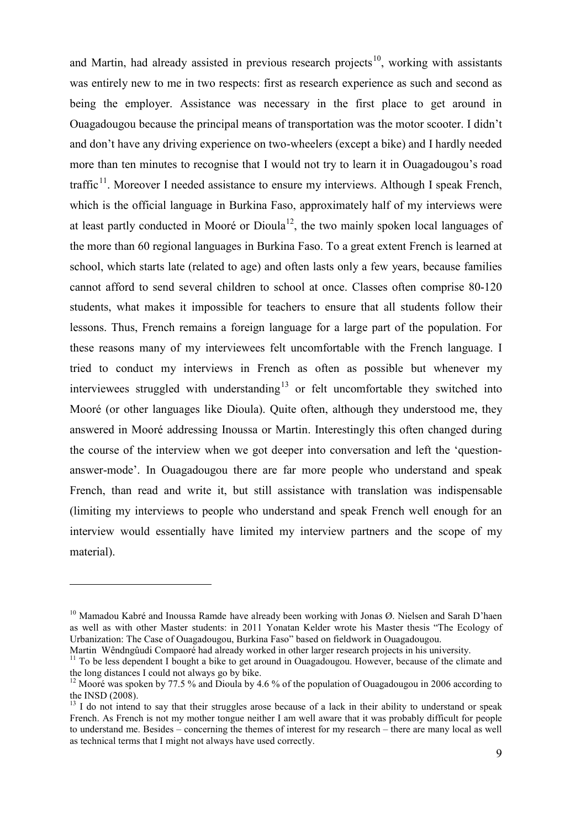and Martin, had already assisted in previous research projects<sup>[10](#page-10-0)</sup>, working with assistants was entirely new to me in two respects: first as research experience as such and second as being the employer. Assistance was necessary in the first place to get around in Ouagadougou because the principal means of transportation was the motor scooter. I didn't and don't have any driving experience on two-wheelers (except a bike) and I hardly needed more than ten minutes to recognise that I would not try to learn it in Ouagadougou's road traffic<sup>11</sup>. Moreover I needed assistance to ensure my interviews. Although I speak French, which is the official language in Burkina Faso, approximately half of my interviews were at least partly conducted in Mooré or Dioula<sup>12</sup>, the two mainly spoken local languages of the more than 60 regional languages in Burkina Faso. To a great extent French is learned at school, which starts late (related to age) and often lasts only a few years, because families cannot afford to send several children to school at once. Classes often comprise 80-120 students, what makes it impossible for teachers to ensure that all students follow their lessons. Thus, French remains a foreign language for a large part of the population. For these reasons many of my interviewees felt uncomfortable with the French language. I tried to conduct my interviews in French as often as possible but whenever my interviewees struggled with understanding<sup>[13](#page-10-3)</sup> or felt uncomfortable they switched into Mooré (or other languages like Dioula). Quite often, although they understood me, they answered in Mooré addressing Inoussa or Martin. Interestingly this often changed during the course of the interview when we got deeper into conversation and left the 'questionanswer-mode'. In Ouagadougou there are far more people who understand and speak French, than read and write it, but still assistance with translation was indispensable (limiting my interviews to people who understand and speak French well enough for an interview would essentially have limited my interview partners and the scope of my material).

<u>.</u>

<span id="page-10-0"></span><sup>&</sup>lt;sup>10</sup> Mamadou Kabré and Inoussa Ramde have already been working with Jonas Ø. Nielsen and Sarah D'haen as well as with other Master students: in 2011 Yonatan Kelder wrote his Master thesis "The Ecology of Urbanization: The Case of Ouagadougou, Burkina Faso" based on fieldwork in Ouagadougou.

<span id="page-10-1"></span><sup>&</sup>lt;sup>11</sup> To be less dependent I bought a bike to get around in Ouagadougou. However, because of the climate and the long distances I could not always go by bike.

<span id="page-10-2"></span><sup>&</sup>lt;sup>12</sup> Mooré was spoken by 77.5 % and Dioula by 4.6 % of the population of Ouagadougou in 2006 according to the INSD (2008).

<span id="page-10-3"></span><sup>&</sup>lt;sup>13</sup> I do not intend to say that their struggles arose because of a lack in their ability to understand or speak French. As French is not my mother tongue neither I am well aware that it was probably difficult for people to understand me. Besides – concerning the themes of interest for my research – there are many local as well as technical terms that I might not always have used correctly.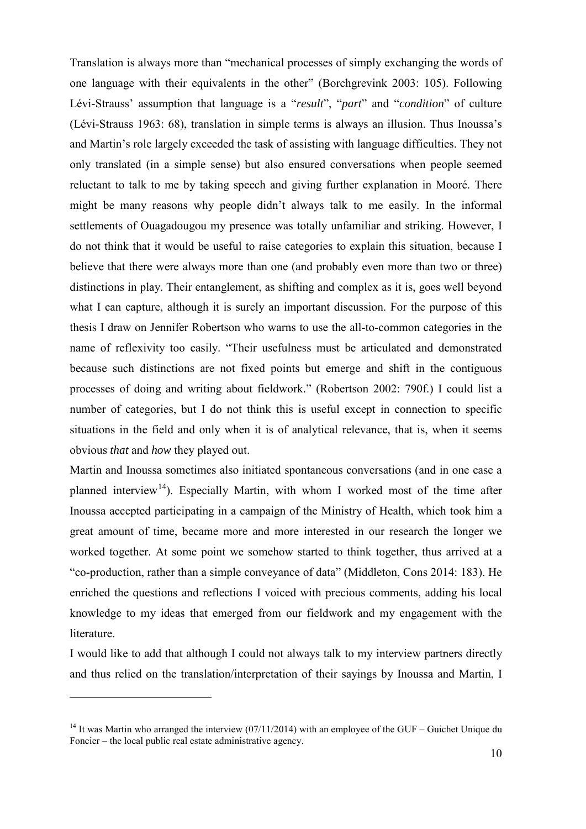Translation is always more than "mechanical processes of simply exchanging the words of one language with their equivalents in the other" (Borchgrevink 2003: 105). Following Lévi-Strauss' assumption that language is a "*result*", "*part*" and "*condition*" of culture (Lévi-Strauss 1963: 68), translation in simple terms is always an illusion. Thus Inoussa's and Martin's role largely exceeded the task of assisting with language difficulties. They not only translated (in a simple sense) but also ensured conversations when people seemed reluctant to talk to me by taking speech and giving further explanation in Mooré. There might be many reasons why people didn't always talk to me easily. In the informal settlements of Ouagadougou my presence was totally unfamiliar and striking. However, I do not think that it would be useful to raise categories to explain this situation, because I believe that there were always more than one (and probably even more than two or three) distinctions in play. Their [entanglement,](http://www.dict.cc/englisch-deutsch/interwovenness.html) as shifting and complex as it is, goes well beyond what I can capture, although it is surely an important discussion. For the purpose of this thesis I draw on Jennifer Robertson who warns to use the all-to-common categories in the name of reflexivity too easily. "Their usefulness must be articulated and demonstrated because such distinctions are not fixed points but emerge and shift in the contiguous processes of doing and writing about fieldwork." (Robertson 2002: 790f.) I could list a number of categories, but I do not think this is useful except in connection to specific situations in the field and only when it is of analytical relevance, that is, when it seems obvious *that* and *how* they played out.

Martin and Inoussa sometimes also initiated spontaneous conversations (and in one case a planned interview<sup>14</sup>). Especially Martin, with whom I worked most of the time after Inoussa accepted participating in a campaign of the Ministry of Health, which took him a great amount of time, became more and more interested in our research the longer we worked together. At some point we somehow started to think together, thus arrived at a "co-production, rather than a simple conveyance of data" (Middleton, Cons 2014: 183). He enriched the questions and reflections I voiced with precious comments, adding his local knowledge to my ideas that emerged from our fieldwork and my engagement with the literature.

I would like to add that although I could not always talk to my interview partners directly and thus relied on the translation/interpretation of their sayings by Inoussa and Martin, I

<u>.</u>

<span id="page-11-0"></span><sup>&</sup>lt;sup>14</sup> It was Martin who arranged the interview (07/11/2014) with an employee of the GUF – Guichet Unique du Foncier – the local public real estate administrative agency.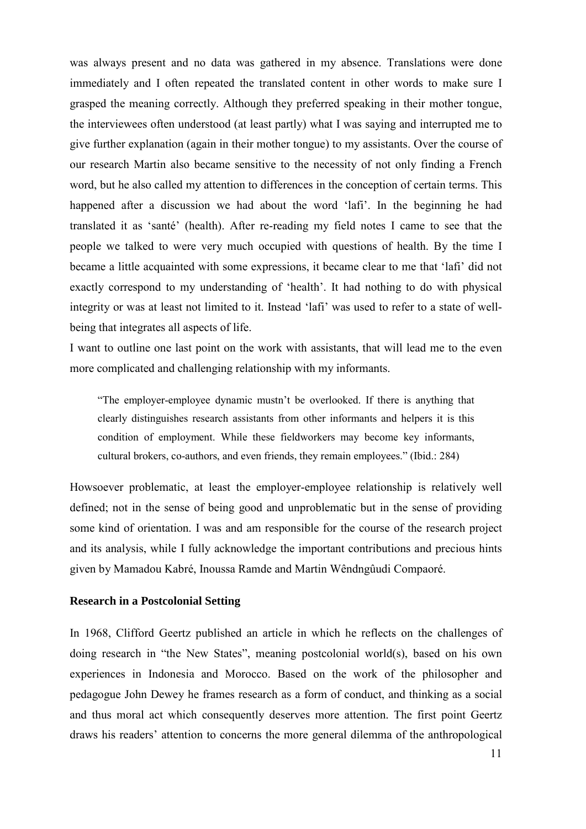was always present and no data was gathered in my absence. Translations were done immediately and I often repeated the translated content in other words to make sure I grasped the meaning correctly. Although they preferred speaking in their mother tongue, the interviewees often understood (at least partly) what I was saying and interrupted me to give further explanation (again in their mother tongue) to my assistants. Over the course of our research Martin also became sensitive to the necessity of not only finding a French word, but he also called my attention to differences in the conception of certain terms. This happened after a discussion we had about the word 'lafi'. In the beginning he had translated it as 'santé' (health). After re-reading my field notes I came to see that the people we talked to were very much occupied with questions of health. By the time I became a little acquainted with some expressions, it became clear to me that 'lafi' did not exactly correspond to my understanding of 'health'. It had nothing to do with physical integrity or was at least not limited to it. Instead 'lafi' was used to refer to a state of wellbeing that integrates all aspects of life.

I want to outline one last point on the work with assistants, that will lead me to the even more complicated and challenging relationship with my informants.

"The employer-employee dynamic mustn't be overlooked. If there is anything that clearly distinguishes research assistants from other informants and helpers it is this condition of employment. While these fieldworkers may become key informants, cultural brokers, co-authors, and even friends, they remain employees." (Ibid.: 284)

Howsoever problematic, at least the employer-employee relationship is relatively well defined; not in the sense of being good and unproblematic but in the sense of providing some kind of orientation. I was and am responsible for the course of the research project and its analysis, while I fully acknowledge the important contributions and precious hints given by Mamadou Kabré, Inoussa Ramde and Martin [Wêndngûudi Compaoré](https://www.facebook.com/martinwendnguudi.compaore?fref=nf).

#### <span id="page-12-0"></span>**Research in a Postcolonial Setting**

In 1968, Clifford Geertz published an article in which he reflects on the challenges of doing research in "the New States", meaning postcolonial world(s), based on his own experiences in Indonesia and Morocco. Based on the work of the philosopher and pedagogue John Dewey he frames research as a form of conduct, and thinking as a social and thus moral act which consequently deserves more attention. The first point Geertz draws his readers' attention to concerns the more general dilemma of the anthropological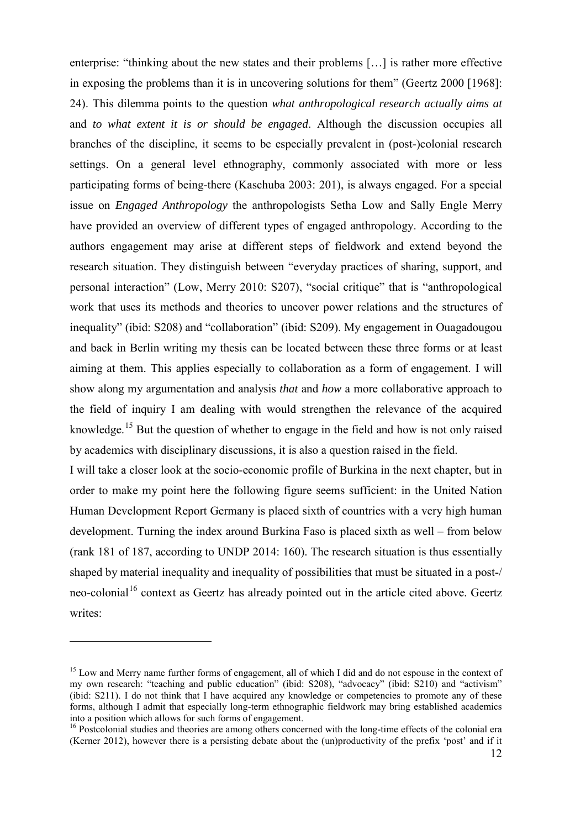enterprise: "thinking about the new states and their problems […] is rather more effective in exposing the problems than it is in uncovering solutions for them" (Geertz 2000 [1968]: 24). This dilemma points to the question *what anthropological research actually aims at* and *to what extent it is or should be engaged*. Although the discussion occupies all branches of the discipline, it seems to be especially prevalent in (post-)colonial research settings. On a general level ethnography, commonly associated with more or less participating forms of being-there (Kaschuba 2003: 201), is always engaged. For a special issue on *Engaged Anthropology* the anthropologists Setha Low and Sally Engle Merry have provided an overview of different types of engaged anthropology. According to the authors engagement may arise at different steps of fieldwork and extend beyond the research situation. They distinguish between "everyday practices of sharing, support, and personal interaction" (Low, Merry 2010: S207), "social critique" that is "anthropological work that uses its methods and theories to uncover power relations and the structures of inequality" (ibid: S208) and "collaboration" (ibid: S209). My engagement in Ouagadougou and back in Berlin writing my thesis can be located between these three forms or at least aiming at them. This applies especially to collaboration as a form of engagement. I will show along my argumentation and analysis *that* and *how* a more collaborative approach to the field of inquiry I am dealing with would strengthen the relevance of the acquired knowledge.[15](#page-13-0) But the question of whether to engage in the field and how is not only raised by academics with disciplinary discussions, it is also a question raised in the field.

I will take a closer look at the socio-economic profile of Burkina in the next chapter, but in order to make my point here the following figure seems sufficient: in the United Nation Human Development Report Germany is placed sixth of countries with a very high human development. Turning the index around Burkina Faso is placed sixth as well – from below (rank 181 of 187, according to UNDP 2014: 160). The research situation is thus essentially shaped by material inequality and inequality of possibilities that must be situated in a post-/ neo-colonial<sup>[16](#page-13-1)</sup> context as Geertz has already pointed out in the article cited above. Geertz writes:

<span id="page-13-0"></span><sup>&</sup>lt;sup>15</sup> Low and Merry name further forms of engagement, all of which I did and do not espouse in the context of my own research: "teaching and public education" (ibid: S208), "advocacy" (ibid: S210) and "activism" (ibid: S211). I do not think that I have acquired any knowledge or competencies to promote any of these forms, although I admit that especially long-term ethnographic fieldwork may bring established academics into a position which allows for such forms of engagement.

<span id="page-13-1"></span><sup>&</sup>lt;sup>16</sup> Postcolonial studies and theories are among others concerned with the long-time effects of the colonial era (Kerner 2012), however there is a persisting debate about the (un)productivity of the prefix 'post' and if it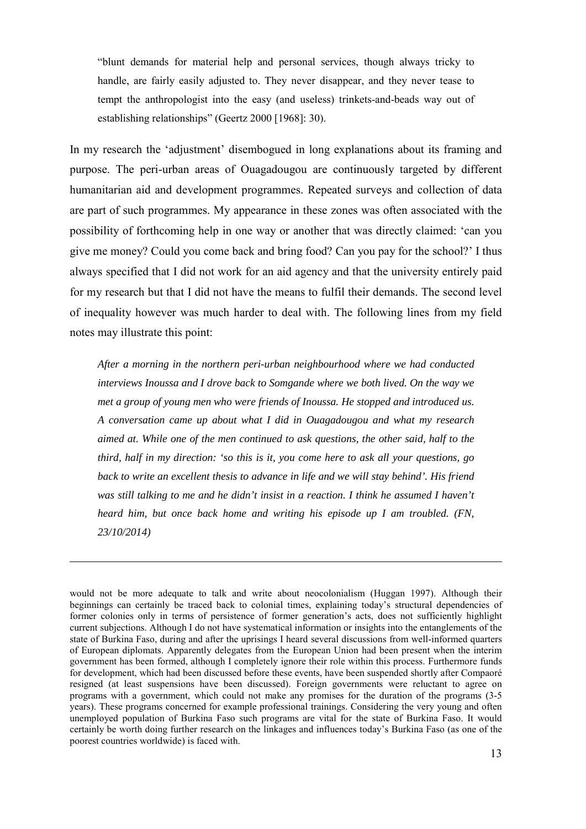"blunt demands for material help and personal services, though always tricky to handle, are fairly easily adjusted to. They never disappear, and they never tease to tempt the anthropologist into the easy (and useless) trinkets-and-beads way out of establishing relationships" (Geertz 2000 [1968]: 30).

In my research the 'adjustment' disembogued in long explanations about its framing and purpose. The peri-urban areas of Ouagadougou are continuously targeted by different humanitarian aid and development programmes. Repeated surveys and collection of data are part of such programmes. My appearance in these zones was often associated with the possibility of forthcoming help in one way or another that was directly claimed: 'can you give me money? Could you come back and bring food? Can you pay for the school?' I thus always specified that I did not work for an aid agency and that the university entirely paid for my research but that I did not have the means to fulfil their demands. The second level of inequality however was much harder to deal with. The following lines from my field notes may illustrate this point:

*After a morning in the northern peri-urban neighbourhood where we had conducted interviews Inoussa and I drove back to Somgande where we both lived. On the way we met a group of young men who were friends of Inoussa. He stopped and introduced us. A conversation came up about what I did in Ouagadougou and what my research aimed at. While one of the men continued to ask questions, the other said, half to the third, half in my direction: 'so this is it, you come here to ask all your questions, go*  back to write an excellent thesis to advance in life and we will stay behind'. His friend *was still talking to me and he didn't insist in a reaction. I think he assumed I haven't heard him, but once back home and writing his episode up I am troubled. (FN, 23/10/2014)* 

would not be more adequate to talk and write about neocolonialism (Huggan 1997). Although their beginnings can certainly be traced back to colonial times, explaining today's structural dependencies of former colonies only in terms of persistence of former generation's acts, does not sufficiently highlight current subjections. Although I do not have systematical information or insights into the entanglements of the state of Burkina Faso, during and after the uprisings I heard several discussions from well-informed quarters of European diplomats. Apparently delegates from the European Union had been present when the interim government has been formed, although I completely ignore their role within this process. Furthermore funds for development, which had been discussed before these events, have been suspended shortly after Compaoré resigned (at least suspensions have been discussed). Foreign governments were reluctant to agree on programs with a government, which could not make any promises for the duration of the programs (3-5 years). These programs concerned for example professional trainings. Considering the very young and often unemployed population of Burkina Faso such programs are vital for the state of Burkina Faso. It would certainly be worth doing further research on the linkages and influences today's Burkina Faso (as one of the poorest countries worldwide) is faced with.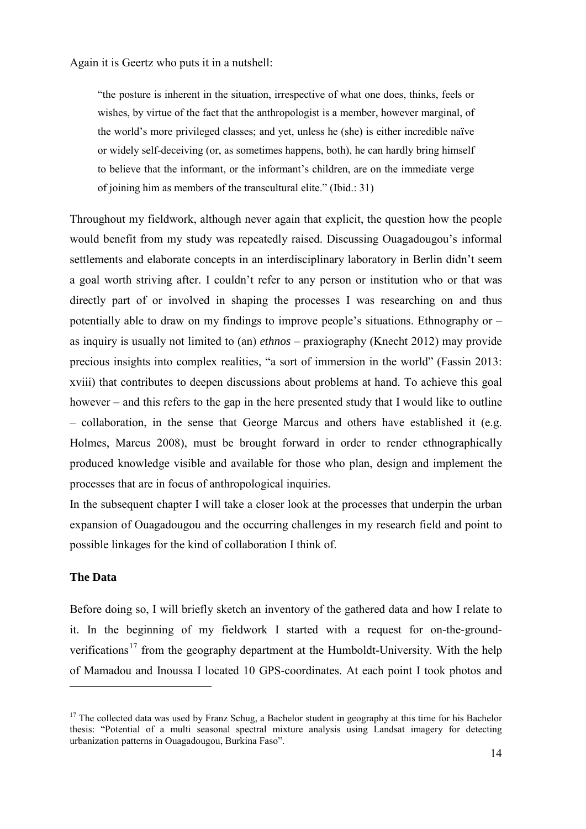Again it is Geertz who puts it in a nutshell:

"the posture is inherent in the situation, irrespective of what one does, thinks, feels or wishes, by virtue of the fact that the anthropologist is a member, however marginal, of the world's more privileged classes; and yet, unless he (she) is either incredible naïve or widely self-deceiving (or, as sometimes happens, both), he can hardly bring himself to believe that the informant, or the informant's children, are on the immediate verge of joining him as members of the transcultural elite." (Ibid.: 31)

Throughout my fieldwork, although never again that explicit, the question how the people would benefit from my study was repeatedly raised. Discussing Ouagadougou's informal settlements and elaborate concepts in an interdisciplinary laboratory in Berlin didn't seem a goal worth striving after. I couldn't refer to any person or institution who or that was directly part of or involved in shaping the processes I was researching on and thus potentially able to draw on my findings to improve people's situations. Ethnography or – as inquiry is usually not limited to (an) *ethnos* – praxiography (Knecht 2012) may provide precious insights into complex realities, "a sort of immersion in the world" (Fassin 2013: xviii) that contributes to deepen discussions about problems at hand. To achieve this goal however – and this refers to the gap in the here presented study that I would like to outline – collaboration, in the sense that George Marcus and others have established it (e.g. Holmes, Marcus 2008), must be brought forward in order to render ethnographically produced knowledge visible and available for those who plan, design and implement the processes that are in focus of anthropological inquiries.

In the subsequent chapter I will take a closer look at the processes that underpin the urban expansion of Ouagadougou and the occurring challenges in my research field and point to possible linkages for the kind of collaboration I think of.

#### <span id="page-15-0"></span>**The Data**

<u>.</u>

Before doing so, I will briefly sketch an inventory of the gathered data and how I relate to it. In the beginning of my fieldwork I started with a request for on-the-groundverifications<sup>17</sup> from the geography department at the Humboldt-University. With the help of Mamadou and Inoussa I located 10 GPS-coordinates. At each point I took photos and

<span id="page-15-1"></span><sup>&</sup>lt;sup>17</sup> The collected data was used by Franz Schug, a Bachelor student in geography at this time for his Bachelor thesis: "Potential of a multi seasonal spectral mixture analysis using Landsat imagery for detecting urbanization patterns in Ouagadougou, Burkina Faso".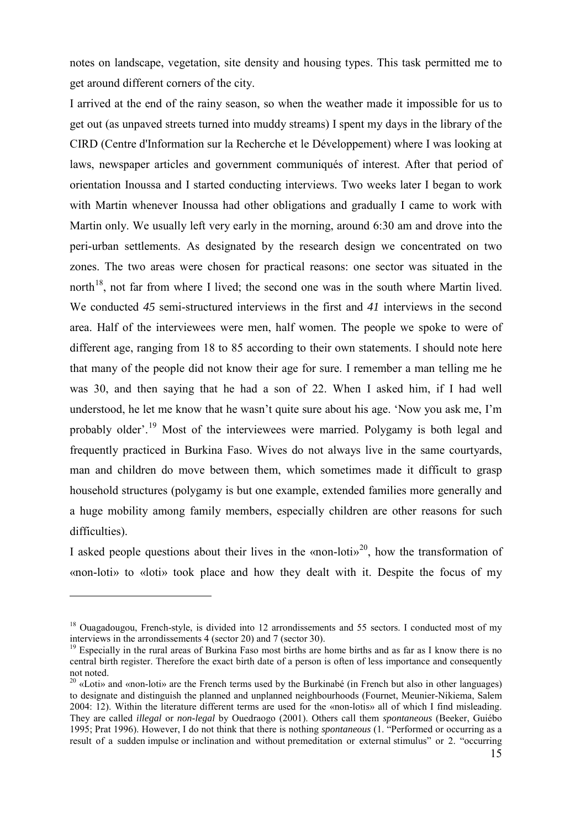notes on landscape, vegetation, site density and housing types. This task permitted me to get around different corners of the city.

I arrived at the end of the rainy season, so when the weather made it impossible for us to get out (as unpaved streets turned into muddy streams) I spent my days in the library of the CIRD (Centre d'Information sur la Recherche et le Développement) where I was looking at laws, newspaper articles and government communiqués of interest. After that period of orientation Inoussa and I started conducting interviews. Two weeks later I began to work with Martin whenever Inoussa had other obligations and gradually I came to work with Martin only. We usually left very early in the morning, around 6:30 am and drove into the peri-urban settlements. As designated by the research design we concentrated on two zones. The two areas were chosen for practical reasons: one sector was situated in the north<sup>18</sup>, not far from where I lived; the second one was in the south where Martin lived. We conducted *45* semi-structured interviews in the first and *41* interviews in the second area. Half of the interviewees were men, half women. The people we spoke to were of different age, ranging from 18 to 85 according to their own statements. I should note here that many of the people did not know their age for sure. I remember a man telling me he was 30, and then saying that he had a son of 22. When I asked him, if I had well understood, he let me know that he wasn't quite sure about his age. 'Now you ask me, I'm probably older'.[19](#page-16-1) Most of the interviewees were married. Polygamy is both legal and frequently practiced in Burkina Faso. Wives do not always live in the same courtyards, man and children do move between them, which sometimes made it difficult to grasp household structures (polygamy is but one example, extended families more generally and a huge mobility among family members, especially children are other reasons for such difficulties).

I asked people questions about their lives in the «non-loti»<sup>20</sup>, how the transformation of «non-loti» to «loti» took place and how they dealt with it. Despite the focus of my

<span id="page-16-0"></span><sup>&</sup>lt;sup>18</sup> Ouagadougou, French-style, is divided into 12 arrondissements and 55 sectors. I conducted most of my interviews in the arrondissements 4 (sector 20) and 7 (sector 30).

<span id="page-16-1"></span><sup>&</sup>lt;sup>19</sup> Especially in the rural areas of Burkina Faso most births are home births and as far as I know there is no central birth register. Therefore the exact birth date of a person is often of less importance and consequently not noted.

<span id="page-16-2"></span> $20 \times$ Loti» and «non-loti» are the French terms used by the Burkinabé (in French but also in other languages) to designate and distinguish the planned and unplanned neighbourhoods (Fournet, Meunier-Nikiema, Salem 2004: 12). Within the literature different terms are used for the «non-lotis» all of which I find misleading. They are called *illegal* or *non-legal* by Ouedraogo (2001). Others call them *spontaneous* (Beeker, Guiébo 1995; Prat 1996). However, I do not think that there is nothing *spontaneous* (1. "Performed or occurring as a result of a sudden [impulse](http://www.oxforddictionaries.com/definition/english/impulse%23impulse__2) or [inclination](http://www.oxforddictionaries.com/definition/english/inclination%23inclination__2) and without [premeditation](http://www.oxforddictionaries.com/definition/english/premeditation%23premeditation__2) or external [stimulus"](http://www.oxforddictionaries.com/definition/english/stimulus%23stimulus__4) or 2. "occurring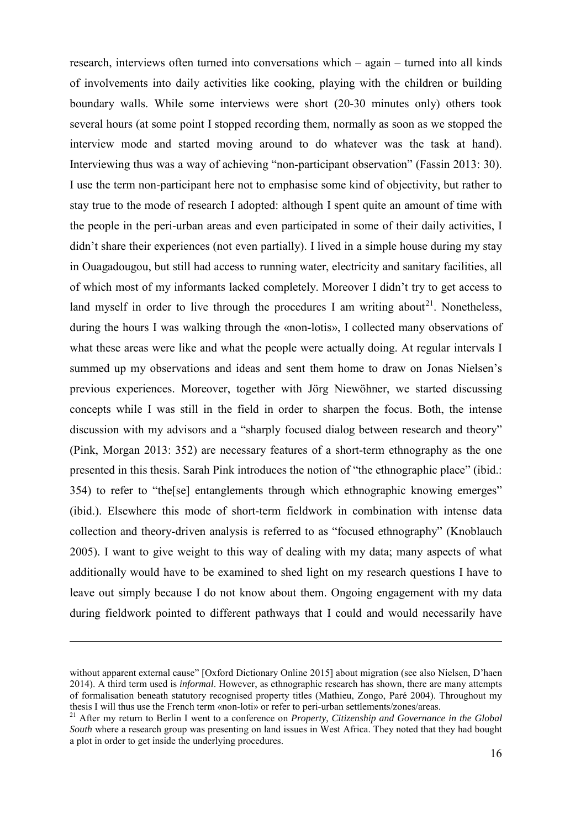research, interviews often turned into conversations which – again – turned into all kinds of involvements into daily activities like cooking, playing with the children or building boundary walls. While some interviews were short (20-30 minutes only) others took several hours (at some point I stopped recording them, normally as soon as we stopped the interview mode and started moving around to do whatever was the task at hand). Interviewing thus was a way of achieving "non-participant observation" (Fassin 2013: 30). I use the term non-participant here not to emphasise some kind of objectivity, but rather to stay true to the mode of research I adopted: although I spent quite an amount of time with the people in the peri-urban areas and even participated in some of their daily activities, I didn't share their experiences (not even partially). I lived in a simple house during my stay in Ouagadougou, but still had access to running water, electricity and sanitary facilities, all of which most of my informants lacked completely. Moreover I didn't try to get access to land myself in order to live through the procedures I am writing about<sup>21</sup>. Nonetheless, during the hours I was walking through the «non-lotis», I collected many observations of what these areas were like and what the people were actually doing. At regular intervals I summed up my observations and ideas and sent them home to draw on Jonas Nielsen's previous experiences. Moreover, together with Jörg Niewöhner, we started discussing concepts while I was still in the field in order to sharpen the focus. Both, the intense discussion with my advisors and a "sharply focused dialog between research and theory" (Pink, Morgan 2013: 352) are necessary features of a short-term ethnography as the one presented in this thesis. Sarah Pink introduces the notion of "the ethnographic place" (ibid.: 354) to refer to "the[se] entanglements through which ethnographic knowing emerges" (ibid.). Elsewhere this mode of short-term fieldwork in combination with intense data collection and theory-driven analysis is referred to as "focused ethnography" (Knoblauch 2005). I want to give weight to this way of dealing with my data; many aspects of what additionally would have to be examined to shed light on my research questions I have to leave out simply because I do not know about them. Ongoing engagement with my data during fieldwork pointed to different pathways that I could and would necessarily have

without [apparent](http://www.oxforddictionaries.com/definition/english/apparent%23apparent__2) [external](http://www.oxforddictionaries.com/definition/english/external%23external__4) cause" [Oxford Dictionary Online 2015] about migration (see also Nielsen, D'haen 2014). A third term used is *informal*. However, as ethnographic research has shown, there are many attempts of formalisation beneath statutory recognised property titles (Mathieu, Zongo, Paré 2004). Throughout my thesis I will thus use the French term «non-loti» or refer to peri-urban settlements/zones/areas.

<span id="page-17-0"></span><sup>&</sup>lt;sup>21</sup> After my return to Berlin I went to a conference on *Property, Citizenship and Governance in the Global South* where a research group was presenting on land issues in West Africa. They noted that they had bought a plot in order to get inside the underlying procedures.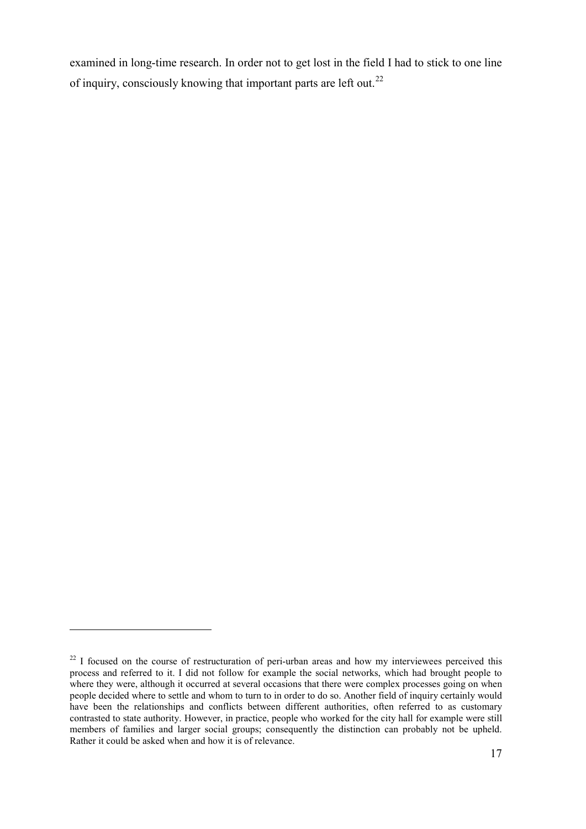examined in long-time research. In order not to get lost in the field I had to stick to one line of inquiry, consciously knowing that important parts are left out.<sup>[22](#page-18-0)</sup>

<span id="page-18-0"></span> $22$  I focused on the course of restructuration of peri-urban areas and how my interviewees perceived this process and referred to it. I did not follow for example the social networks, which had brought people to where they were, although it occurred at several occasions that there were complex processes going on when people decided where to settle and whom to turn to in order to do so. Another field of inquiry certainly would have been the relationships and conflicts between different authorities, often referred to as customary contrasted to state authority. However, in practice, people who worked for the city hall for example were still members of families and larger social groups; consequently the distinction can probably not be upheld. Rather it could be asked when and how it is of relevance.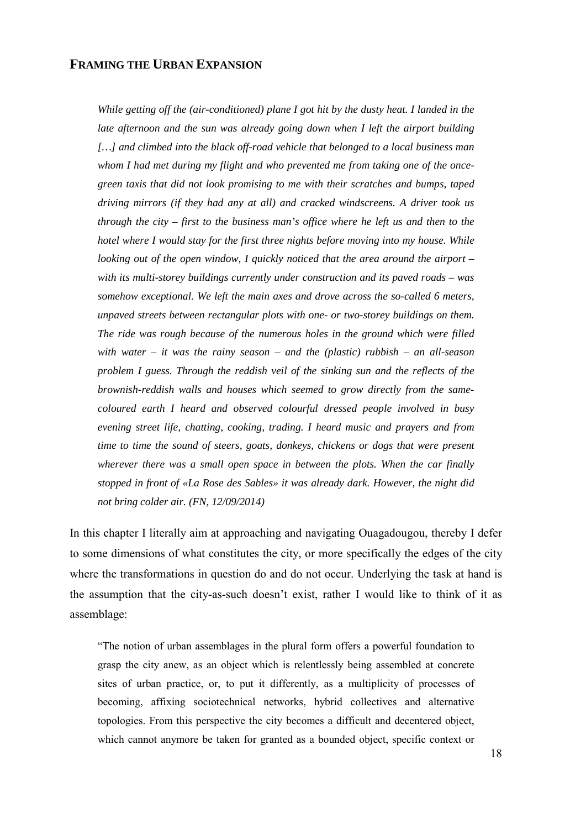#### <span id="page-19-0"></span>**FRAMING THE URBAN EXPANSION**

*While getting off the (air-conditioned) plane I got hit by the dusty heat. I landed in the late afternoon and the sun was already going down when I left the airport building […] and climbed into the black off-road vehicle that belonged to a local business man whom I had met during my flight and who prevented me from taking one of the oncegreen taxis that did not look promising to me with their scratches and bumps, taped driving mirrors (if they had any at all) and cracked windscreens. A driver took us through the city – first to the business man's office where he left us and then to the hotel where I would stay for the first three nights before moving into my house. While looking out of the open window, I quickly noticed that the area around the airport – with its multi-storey buildings currently under construction and its paved roads – was somehow exceptional. We left the main axes and drove across the so-called 6 meters, unpaved streets between rectangular plots with one- or two-storey buildings on them. The ride was rough because of the numerous holes in the ground which were filled with water – it was the rainy season – and the (plastic) rubbish – an all-season problem I guess. Through the reddish veil of the sinking sun and the reflects of the brownish-reddish walls and houses which seemed to grow directly from the samecoloured earth I heard and observed colourful dressed people involved in busy evening street life, chatting, cooking, trading. I heard music and prayers and from time to time the sound of steers, goats, donkeys, chickens or dogs that were present wherever there was a small open space in between the plots. When the car finally stopped in front of «La Rose des Sables» it was already dark. However, the night did not bring colder air. (FN, 12/09/2014)* 

In this chapter I literally aim at approaching and navigating Ouagadougou, thereby I defer to some dimensions of what constitutes the city, or more specifically the edges of the city where the transformations in question do and do not occur. Underlying the task at hand is the assumption that the city-as-such doesn't exist, rather I would like to think of it as assemblage:

"The notion of urban assemblages in the plural form offers a powerful foundation to grasp the city anew, as an object which is relentlessly being assembled at concrete sites of urban practice, or, to put it differently, as a multiplicity of processes of becoming, affixing sociotechnical networks, hybrid collectives and alternative topologies. From this perspective the city becomes a difficult and decentered object, which cannot anymore be taken for granted as a bounded object, specific context or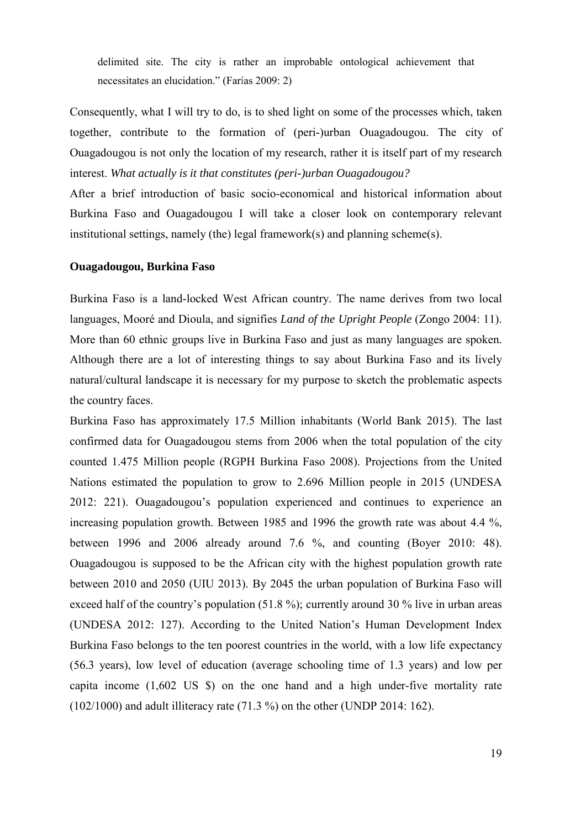delimited site. The city is rather an improbable ontological achievement that necessitates an elucidation." (Farías 2009: 2)

Consequently, what I will try to do, is to shed light on some of the processes which, taken together, contribute to the formation of (peri-)urban Ouagadougou. The city of Ouagadougou is not only the location of my research, rather it is itself part of my research interest. *What actually is it that constitutes (peri-)urban Ouagadougou?*

After a brief introduction of basic socio-economical and historical information about Burkina Faso and Ouagadougou I will take a closer look on contemporary relevant institutional settings, namely (the) legal framework(s) and planning scheme(s).

#### <span id="page-20-0"></span>**Ouagadougou, Burkina Faso**

Burkina Faso is a land-locked West African country. The name derives from two local languages, Mooré and Dioula, and signifies *Land of the Upright People* (Zongo 2004: 11). More than 60 ethnic groups live in Burkina Faso and just as many languages are spoken. Although there are a lot of interesting things to say about Burkina Faso and its lively natural/cultural landscape it is necessary for my purpose to sketch the problematic aspects the country faces.

Burkina Faso has approximately 17.5 Million inhabitants (World Bank 2015). The last confirmed data for Ouagadougou stems from 2006 when the total population of the city counted 1.475 Million people (RGPH Burkina Faso 2008). Projections from the United Nations estimated the population to grow to 2.696 Million people in 2015 (UNDESA 2012: 221). Ouagadougou's population experienced and continues to experience an increasing population growth. Between 1985 and 1996 the growth rate was about 4.4 %, between 1996 and 2006 already around 7.6 %, and counting (Boyer 2010: 48). Ouagadougou is supposed to be the African city with the highest population growth rate between 2010 and 2050 (UIU 2013). By 2045 the urban population of Burkina Faso will exceed half of the country's population (51.8 %); currently around 30 % live in urban areas (UNDESA 2012: 127). According to the United Nation's Human Development Index Burkina Faso belongs to the ten poorest countries in the world, with a low life expectancy (56.3 years), low level of education (average schooling time of 1.3 years) and low per capita income (1,602 US \$) on the one hand and a high under-five mortality rate (102/1000) and adult illiteracy rate (71.3 %) on the other (UNDP 2014: 162).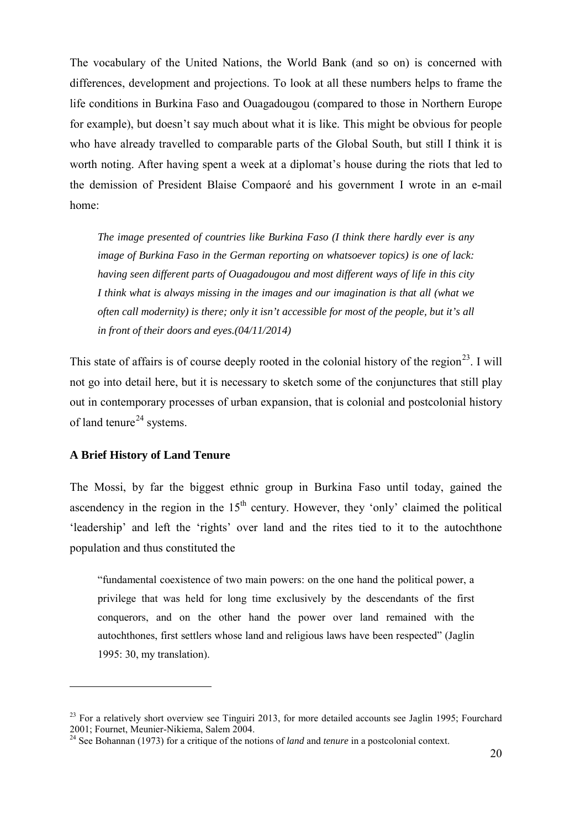The vocabulary of the United Nations, the World Bank (and so on) is concerned with differences, development and projections. To look at all these numbers helps to frame the life conditions in Burkina Faso and Ouagadougou (compared to those in Northern Europe for example), but doesn't say much about what it is like. This might be obvious for people who have already travelled to comparable parts of the Global South, but still I think it is worth noting. After having spent a week at a diplomat's house during the riots that led to the demission of President Blaise Compaoré and his government I wrote in an e-mail home:

*The image presented of countries like Burkina Faso (I think there hardly ever is any image of Burkina Faso in the German reporting on whatsoever topics) is one of lack: having seen different parts of Ouagadougou and most different ways of life in this city I think what is always missing in the images and our imagination is that all (what we often call modernity) is there; only it isn't accessible for most of the people, but it's all in front of their doors and eyes.(04/11/2014)*

This state of affairs is of course deeply rooted in the colonial history of the region<sup>23</sup>. I will not go into detail here, but it is necessary to sketch some of the conjunctures that still play out in contemporary processes of urban expansion, that is colonial and postcolonial history of land tenure<sup>[24](#page-21-2)</sup> systems.

#### <span id="page-21-0"></span>**A Brief History of Land Tenure**

<u>.</u>

The Mossi, by far the biggest ethnic group in Burkina Faso until today, gained the ascendency in the region in the  $15<sup>th</sup>$  century. However, they 'only' claimed the political 'leadership' and left the 'rights' over land and the rites tied to it to the autochthone population and thus constituted the

"fundamental coexistence of two main powers: on the one hand the political power, a privilege that was held for long time exclusively by the descendants of the first conquerors, and on the other hand the power over land remained with the autochthones, first settlers whose land and religious laws have been respected" (Jaglin 1995: 30, my translation).

<span id="page-21-1"></span> $^{23}$  For a relatively short overview see Tinguiri 2013, for more detailed accounts see Jaglin 1995; Fourchard 2001; Fournet, Meunier-Nikiema, Salem 2004.<br><sup>24</sup> See Bohannan (1973) for a critique of the notions of *land* and *tenure* in a postcolonial context.

<span id="page-21-2"></span>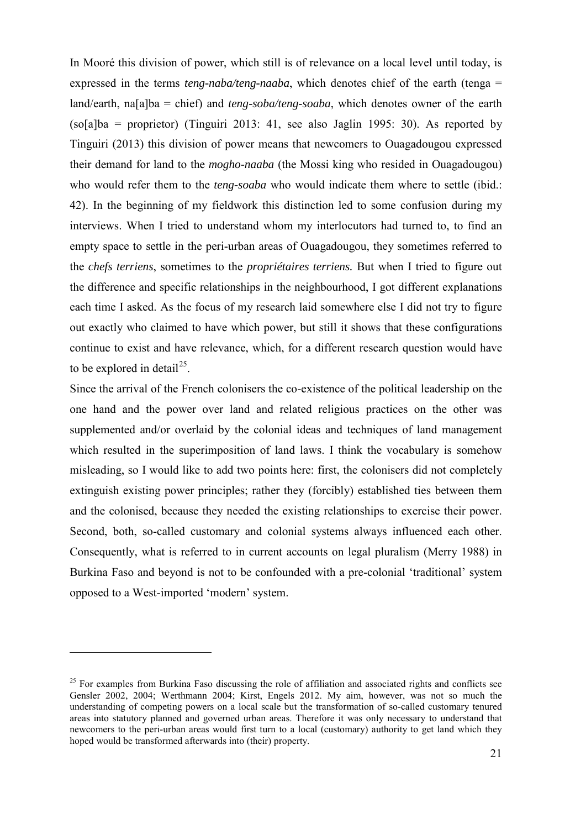In Mooré this division of power, which still is of relevance on a local level until today, is expressed in the terms *teng-naba/teng-naaba*, which denotes chief of the earth (tenga = land/earth, na[a]ba = chief) and *teng-soba/teng-soaba*, which denotes owner of the earth  $(so[a])$ ba = proprietor) (Tinguiri 2013: 41, see also Jaglin 1995: 30). As reported by Tinguiri (2013) this division of power means that newcomers to Ouagadougou expressed their demand for land to the *mogho-naaba* (the Mossi king who resided in Ouagadougou) who would refer them to the *teng-soaba* who would indicate them where to settle *(ibid.:*) 42). In the beginning of my fieldwork this distinction led to some confusion during my interviews. When I tried to understand whom my interlocutors had turned to, to find an empty space to settle in the peri-urban areas of Ouagadougou, they sometimes referred to the *chefs terriens*, sometimes to the *propriétaires terriens.* But when I tried to figure out the difference and specific relationships in the neighbourhood, I got different explanations each time I asked. As the focus of my research laid somewhere else I did not try to figure out exactly who claimed to have which power, but still it shows that these configurations continue to exist and have relevance, which, for a different research question would have to be explored in detail<sup>[25](#page-22-0)</sup>.

Since the arrival of the French colonisers the co-existence of the political leadership on the one hand and the power over land and related religious practices on the other was supplemented and/or overlaid by the colonial ideas and techniques of land management which resulted in the superimposition of land laws. I think the vocabulary is somehow misleading, so I would like to add two points here: first, the colonisers did not completely extinguish existing power principles; rather they (forcibly) established ties between them and the colonised, because they needed the existing relationships to exercise their power. Second, both, so-called customary and colonial systems always influenced each other. Consequently, what is referred to in current accounts on legal pluralism (Merry 1988) in Burkina Faso and beyond is not to be confounded with a pre-colonial 'traditional' system opposed to a West-imported 'modern' system.

<u>.</u>

<span id="page-22-0"></span><sup>&</sup>lt;sup>25</sup> For examples from Burkina Faso discussing the role of affiliation and associated rights and conflicts see Gensler 2002, 2004; Werthmann 2004; Kirst, Engels 2012. My aim, however, was not so much the understanding of competing powers on a local scale but the transformation of so-called customary tenured areas into statutory planned and governed urban areas. Therefore it was only necessary to understand that newcomers to the peri-urban areas would first turn to a local (customary) authority to get land which they hoped would be transformed afterwards into (their) property.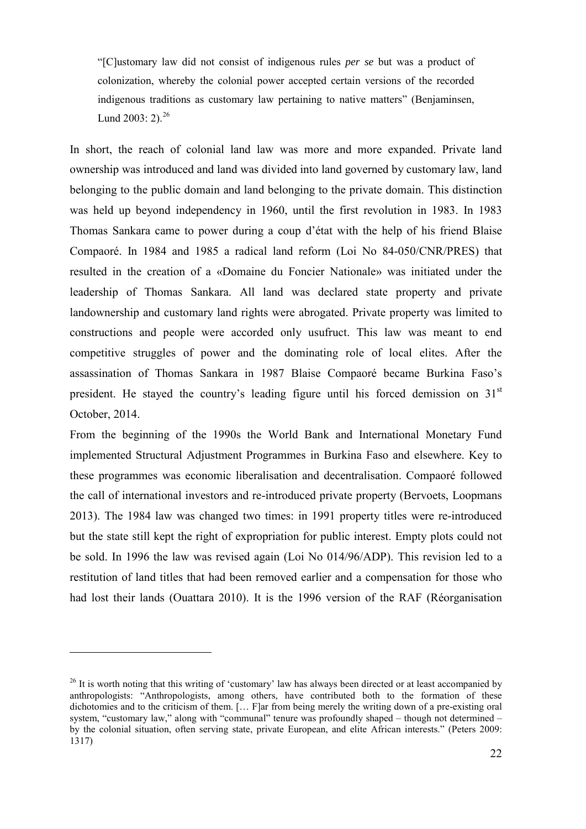"[C]ustomary law did not consist of indigenous rules *per se* but was a product of colonization, whereby the colonial power accepted certain versions of the recorded indigenous traditions as customary law pertaining to native matters" (Benjaminsen, Lund 2003: 2). $^{26}$  $^{26}$  $^{26}$ 

In short, the reach of colonial land law was more and more expanded. Private land ownership was introduced and land was divided into land governed by customary law, land belonging to the public domain and land belonging to the private domain. This distinction was held up beyond independency in 1960, until the first revolution in 1983. In 1983 Thomas Sankara came to power during a coup d'état with the help of his friend Blaise Compaoré. In 1984 and 1985 a radical land reform (Loi No 84-050/CNR/PRES) that resulted in the creation of a «Domaine du Foncier Nationale» was initiated under the leadership of Thomas Sankara. All land was declared state property and private landownership and customary land rights were abrogated. Private property was limited to constructions and people were accorded only usufruct. This law was meant to end competitive struggles of power and the dominating role of local elites. After the assassination of Thomas Sankara in 1987 Blaise Compaoré became Burkina Faso's president. He stayed the country's leading figure until his forced demission on 31<sup>st</sup> October, 2014.

From the beginning of the 1990s the World Bank and International Monetary Fund implemented Structural Adjustment Programmes in Burkina Faso and elsewhere. Key to these programmes was economic liberalisation and decentralisation. Compaoré followed the call of international investors and re-introduced private property (Bervoets, Loopmans 2013). The 1984 law was changed two times: in 1991 property titles were re-introduced but the state still kept the right of expropriation for public interest. Empty plots could not be sold. In 1996 the law was revised again (Loi No 014/96/ADP). This revision led to a restitution of land titles that had been removed earlier and a compensation for those who had lost their lands (Ouattara 2010). It is the 1996 version of the RAF (Réorganisation

<u>.</u>

<span id="page-23-0"></span><sup>&</sup>lt;sup>26</sup> It is worth noting that this writing of 'customary' law has always been directed or at least accompanied by anthropologists: "Anthropologists, among others, have contributed both to the formation of these dichotomies and to the criticism of them. [... F]ar from being merely the writing down of a pre-existing oral system, "customary law," along with "communal" tenure was profoundly shaped – though not determined – by the colonial situation, often serving state, private European, and elite African interests." (Peters 2009: 1317)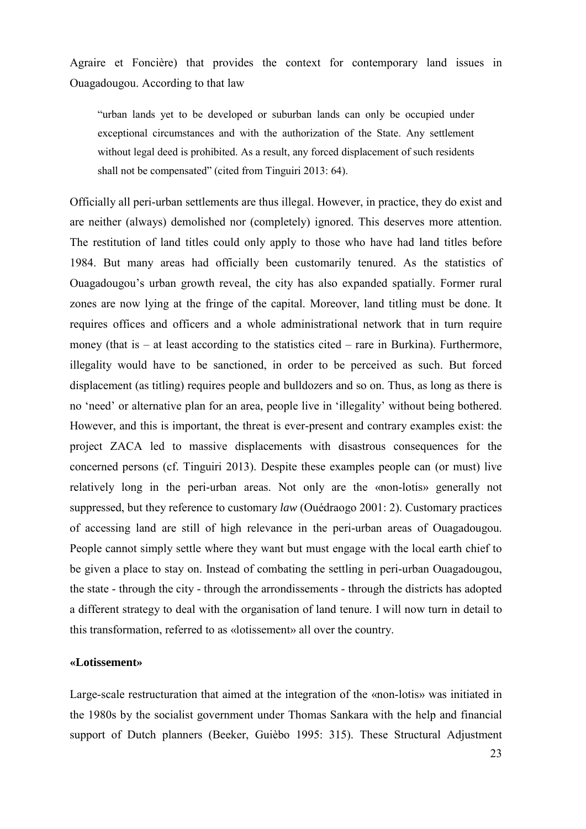Agraire et Foncière) that provides the context for contemporary land issues in Ouagadougou. According to that law

"urban lands yet to be developed or suburban lands can only be occupied under exceptional circumstances and with the authorization of the State. Any settlement without legal deed is prohibited. As a result, any forced displacement of such residents shall not be compensated" (cited from Tinguiri 2013: 64).

Officially all peri-urban settlements are thus illegal. However, in practice, they do exist and are neither (always) demolished nor (completely) ignored. This deserves more attention. The restitution of land titles could only apply to those who have had land titles before 1984. But many areas had officially been customarily tenured. As the statistics of Ouagadougou's urban growth reveal, the city has also expanded spatially. Former rural zones are now lying at the fringe of the capital. Moreover, land titling must be done. It requires offices and officers and a whole administrational network that in turn require money (that is – at least according to the statistics cited – rare in Burkina). Furthermore, illegality would have to be sanctioned, in order to be perceived as such. But forced displacement (as titling) requires people and bulldozers and so on. Thus, as long as there is no 'need' or alternative plan for an area, people live in 'illegality' without being bothered. However, and this is important, the threat is ever-present and contrary examples exist: the project ZACA led to massive displacements with disastrous consequences for the concerned persons (cf. Tinguiri 2013). Despite these examples people can (or must) live relatively long in the peri-urban areas. Not only are the «non-lotis» generally not suppressed, but they reference to customary *law* (Ouédraogo 2001: 2). Customary practices of accessing land are still of high relevance in the peri-urban areas of Ouagadougou. People cannot simply settle where they want but must engage with the local earth chief to be given a place to stay on. Instead of combating the settling in peri-urban Ouagadougou, the state - through the city - through the arrondissements - through the districts has adopted a different strategy to deal with the organisation of land tenure. I will now turn in detail to this transformation, referred to as «lotissement» all over the country.

#### <span id="page-24-0"></span>**«Lotissement»**

Large-scale restructuration that aimed at the integration of the «non-lotis» was initiated in the 1980s by the socialist government under Thomas Sankara with the help and financial support of Dutch planners (Beeker, Guièbo 1995: 315). These Structural Adjustment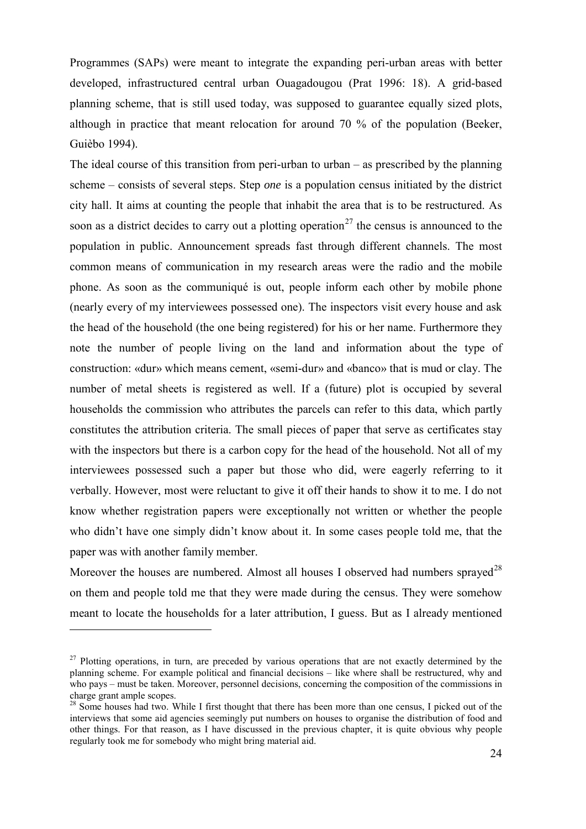Programmes (SAPs) were meant to integrate the expanding peri-urban areas with better developed, infrastructured central urban Ouagadougou (Prat 1996: 18). A grid-based planning scheme, that is still used today, was supposed to guarantee equally sized plots, although in practice that meant relocation for around 70 % of the population (Beeker, Guièbo 1994).

The ideal course of this transition from peri-urban to urban – as prescribed by the planning scheme – consists of several steps. Step *one* is a population census initiated by the district city hall. It aims at counting the people that inhabit the area that is to be restructured. As soon as a district decides to carry out a plotting operation<sup>[27](#page-25-0)</sup> the census is announced to the population in public. Announcement spreads fast through different channels. The most common means of communication in my research areas were the radio and the mobile phone. As soon as the communiqué is out, people inform each other by mobile phone (nearly every of my interviewees possessed one). The inspectors visit every house and ask the head of the household (the one being registered) for his or her name. Furthermore they note the number of people living on the land and information about the type of construction: «dur» which means cement, «semi-dur» and «banco» that is mud or clay. The number of metal sheets is registered as well. If a (future) plot is occupied by several households the commission who attributes the parcels can refer to this data, which partly constitutes the attribution criteria. The small pieces of paper that serve as certificates stay with the inspectors but there is a carbon copy for the head of the household. Not all of my interviewees possessed such a paper but those who did, were eagerly referring to it verbally. However, most were reluctant to give it off their hands to show it to me. I do not know whether registration papers were exceptionally not written or whether the people who didn't have one simply didn't know about it. In some cases people told me, that the paper was with another family member.

Moreover the houses are numbered. Almost all houses I observed had numbers sprayed<sup>[28](#page-25-1)</sup> on them and people told me that they were made during the census. They were somehow meant to locate the households for a later attribution, I guess. But as I already mentioned

<span id="page-25-0"></span><sup>&</sup>lt;sup>27</sup> Plotting operations, in turn, are preceded by various operations that are not exactly determined by the planning scheme. For example political and financial decisions – like where shall be restructured, why and who pays – must be taken. Moreover, personnel decisions, concerning the composition of the commissions in charge grant ample scopes.

<span id="page-25-1"></span><sup>&</sup>lt;sup>28</sup> Some houses had two. While I first thought that there has been more than one census, I picked out of the interviews that some aid agencies seemingly put numbers on houses to organise the distribution of food and other things. For that reason, as I have discussed in the previous chapter, it is quite obvious why people regularly took me for somebody who might bring material aid.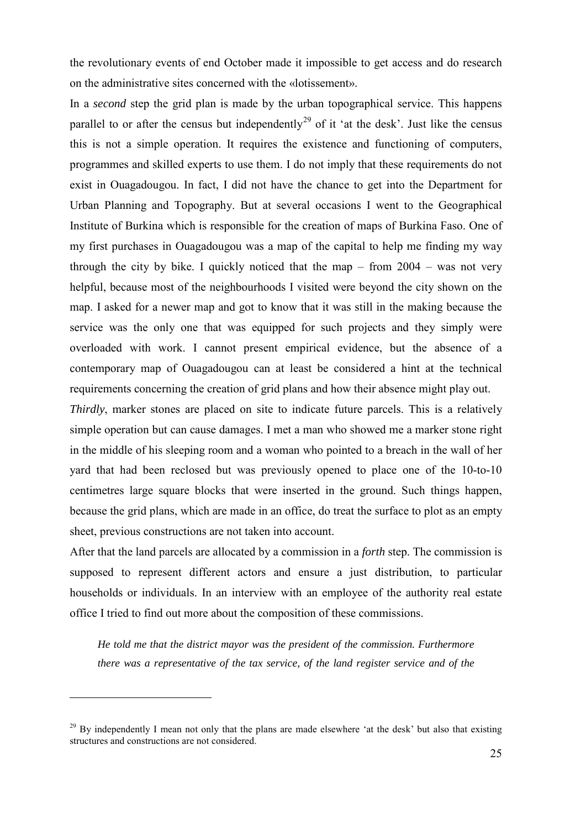the revolutionary events of end October made it impossible to get access and do research on the administrative sites concerned with the «lotissement».

In a *second* step the grid plan is made by the urban topographical service. This happens parallel to or after the census but independently<sup>[29](#page-26-0)</sup> of it 'at the desk'. Just like the census this is not a simple operation. It requires the existence and functioning of computers, programmes and skilled experts to use them. I do not imply that these requirements do not exist in Ouagadougou. In fact, I did not have the chance to get into the Department for Urban Planning and Topography. But at several occasions I went to the Geographical Institute of Burkina which is responsible for the creation of maps of Burkina Faso. One of my first purchases in Ouagadougou was a map of the capital to help me finding my way through the city by bike. I quickly noticed that the map – from  $2004 -$  was not very helpful, because most of the neighbourhoods I visited were beyond the city shown on the map. I asked for a newer map and got to know that it was still in the making because the service was the only one that was equipped for such projects and they simply were overloaded with work. I cannot present empirical evidence, but the absence of a contemporary map of Ouagadougou can at least be considered a hint at the technical requirements concerning the creation of grid plans and how their absence might play out.

*Thirdly*, marker stones are placed on site to indicate future parcels. This is a relatively simple operation but can cause damages. I met a man who showed me a marker stone right in the middle of his sleeping room and a woman who pointed to a breach in the wall of her yard that had been reclosed but was previously opened to place one of the 10-to-10 centimetres large square blocks that were inserted in the ground. Such things happen, because the grid plans, which are made in an office, do treat the surface to plot as an empty sheet, previous constructions are not taken into account.

After that the land parcels are allocated by a commission in a *forth* step. The commission is supposed to represent different actors and ensure a just distribution, to particular households or individuals. In an interview with an employee of the [authority](http://www.dict.cc/englisch-deutsch/authority.html) [real](http://www.dict.cc/englisch-deutsch/real.html) [estate](http://www.dict.cc/englisch-deutsch/estate.html) [office](http://www.dict.cc/englisch-deutsch/office.html) I tried to find out more about the composition of these commissions.

*He told me that the district mayor was the president of the commission. Furthermore there was a representative of the tax service, of the land register service and of the* 

<u>.</u>

<span id="page-26-0"></span><sup>&</sup>lt;sup>29</sup> By independently I mean not only that the plans are made elsewhere 'at the desk' but also that existing structures and constructions are not considered.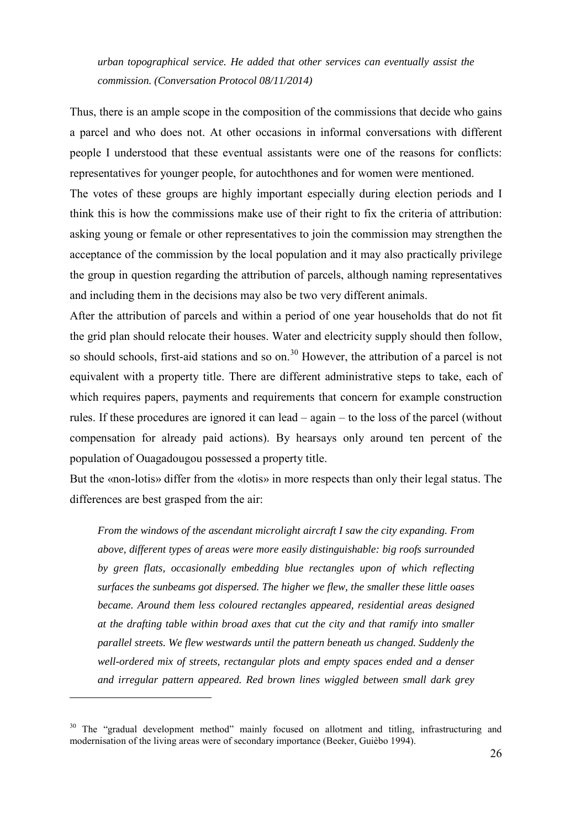*urban topographical service. He added that other services can eventually assist the commission. (Conversation Protocol 08/11/2014)*

Thus, there is an ample scope in the composition of the commissions that decide who gains a parcel and who does not. At other occasions in informal conversations with different people I understood that these eventual assistants were one of the reasons for conflicts: representatives for younger people, for autochthones and for women were mentioned.

The votes of these groups are highly important especially during election periods and I think this is how the commissions make use of their right to fix the criteria of attribution: asking young or female or other representatives to join the commission may strengthen the acceptance of the commission by the local population and it may also practically privilege the group in question regarding the attribution of parcels, although naming representatives and including them in the decisions may also be two very different animals.

After the attribution of parcels and within a period of one year households that do not fit the grid plan should relocate their houses. Water and electricity supply should then follow, so should schools, first-aid stations and so on.<sup>[30](#page-27-0)</sup> However, the attribution of a parcel is not equivalent with a property title. There are different administrative steps to take, each of which requires papers, payments and requirements that concern for example construction rules. If these procedures are ignored it can lead – again – to the loss of the parcel (without compensation for already paid actions). By hearsays only around ten percent of the population of Ouagadougou possessed a property title.

But the «non-lotis» differ from the «lotis» in more respects than only their legal status. The differences are best grasped from the air:

*From the windows of the ascendant microlight aircraft I saw the city expanding. From above, different types of areas were more easily distinguishable: big roofs surrounded by green flats, occasionally embedding blue rectangles upon of which reflecting surfaces the sunbeams got dispersed. The higher we flew, the smaller these little oases became. Around them less coloured rectangles appeared, residential areas designed at the drafting table within broad axes that cut the city and that ramify into smaller parallel streets. We flew westwards until the pattern beneath us changed. Suddenly the well-ordered mix of streets, rectangular plots and empty spaces ended and a denser and irregular pattern appeared. Red brown lines wiggled between small dark grey*

<u>.</u>

<span id="page-27-0"></span><sup>&</sup>lt;sup>30</sup> The "gradual development method" mainly focused on allotment and titling, infrastructuring and modernisation of the living areas were of secondary importance (Beeker, Guièbo 1994).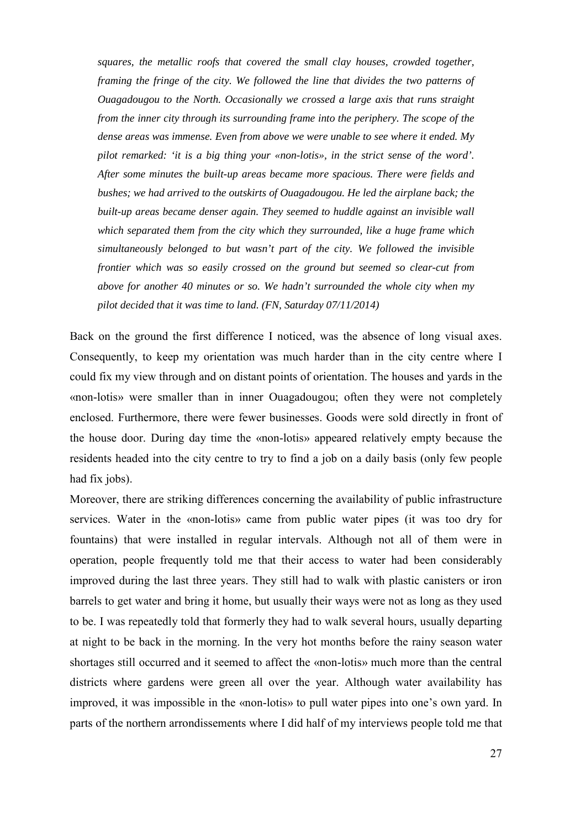*squares, the metallic roofs that covered the small clay houses, crowded together, framing the fringe of the city. We followed the line that divides the two patterns of Ouagadougou to the North. Occasionally we crossed a large axis that runs straight from the inner city through its surrounding frame into the periphery. The scope of the dense areas was immense. Even from above we were unable to see where it ended. My pilot remarked: 'it is a big thing your «non-lotis», in the strict sense of the word'. After some minutes the built-up areas became more spacious. There were fields and bushes; we had arrived to the outskirts of Ouagadougou. He led the airplane back; the built-up areas became denser again. They seemed to huddle against an invisible wall which separated them from the city which they surrounded, like a huge frame which simultaneously belonged to but wasn't part of the city. We followed the invisible frontier which was so easily crossed on the ground but seemed so clear-cut from above for another 40 minutes or so. We hadn't surrounded the whole city when my pilot decided that it was time to land. (FN, Saturday 07/11/2014)* 

Back on the ground the first difference I noticed, was the absence of long visual axes. Consequently, to keep my orientation was much harder than in the city centre where I could fix my view through and on distant points of orientation. The houses and yards in the «non-lotis» were smaller than in inner Ouagadougou; often they were not completely enclosed. Furthermore, there were fewer businesses. Goods were sold directly in front of the house door. During day time the «non-lotis» appeared relatively empty because the residents headed into the city centre to try to find a job on a daily basis (only few people had fix jobs).

Moreover, there are striking differences concerning the availability of public infrastructure services. Water in the «non-lotis» came from public water pipes (it was too dry for fountains) that were installed in regular intervals. Although not all of them were in operation, people frequently told me that their access to water had been considerably improved during the last three years. They still had to walk with plastic canisters or iron barrels to get water and bring it home, but usually their ways were not as long as they used to be. I was repeatedly told that formerly they had to walk several hours, usually departing at night to be back in the morning. In the very hot months before the rainy season water shortages still occurred and it seemed to affect the «non-lotis» much more than the central districts where gardens were green all over the year. Although water availability has improved, it was impossible in the «non-lotis» to pull water pipes into one's own yard. In parts of the northern arrondissements where I did half of my interviews people told me that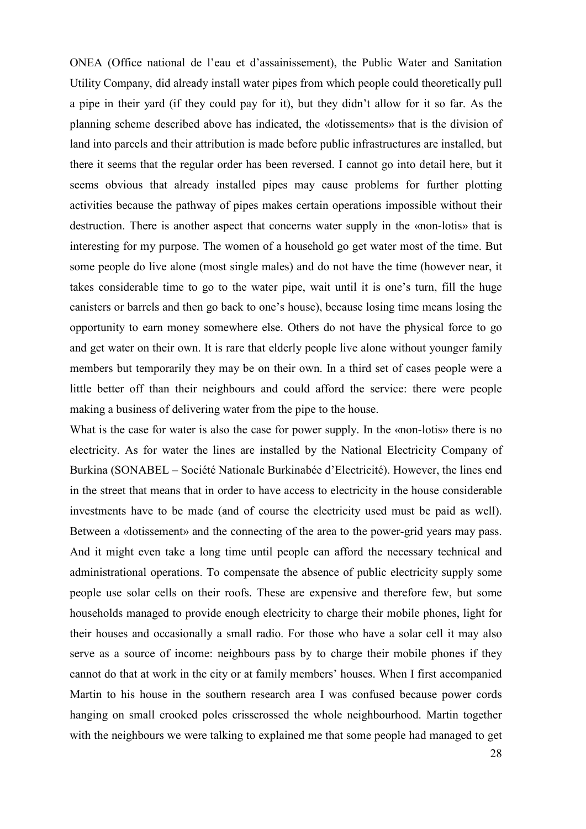ONEA (Office national de l'eau et d'assainissement), the Public Water and Sanitation Utility Company, did already install water pipes from which people could theoretically pull a pipe in their yard (if they could pay for it), but they didn't allow for it so far. As the planning scheme described above has indicated, the «lotissements» that is the division of land into parcels and their attribution is made before public infrastructures are installed, but there it seems that the regular order has been reversed. I cannot go into detail here, but it seems obvious that already installed pipes may cause problems for further plotting activities because the pathway of pipes makes certain operations impossible without their destruction. There is another aspect that concerns water supply in the «non-lotis» that is interesting for my purpose. The women of a household go get water most of the time. But some people do live alone (most single males) and do not have the time (however near, it takes considerable time to go to the water pipe, wait until it is one's turn, fill the huge canisters or barrels and then go back to one's house), because losing time means losing the opportunity to earn money somewhere else. Others do not have the physical force to go and get water on their own. It is rare that elderly people live alone without younger family members but temporarily they may be on their own. In a third set of cases people were a little better off than their neighbours and could afford the service: there were people making a business of delivering water from the pipe to the house.

What is the case for water is also the case for power supply. In the «non-lotis» there is no electricity. As for water the lines are installed by the National Electricity Company of Burkina (SONABEL – Société Nationale Burkinabée d'Electricité). However, the lines end in the street that means that in order to have access to electricity in the house considerable investments have to be made (and of course the electricity used must be paid as well). Between a «lotissement» and the connecting of the area to the power-grid years may pass. And it might even take a long time until people can afford the necessary technical and administrational operations. To compensate the absence of public electricity supply some people use solar cells on their roofs. These are expensive and therefore few, but some households managed to provide enough electricity to charge their mobile phones, light for their houses and occasionally a small radio. For those who have a solar cell it may also serve as a source of income: neighbours pass by to charge their mobile phones if they cannot do that at work in the city or at family members' houses. When I first accompanied Martin to his house in the southern research area I was confused because power cords hanging on small crooked poles crisscrossed the whole neighbourhood. Martin together with the neighbours we were talking to explained me that some people had managed to get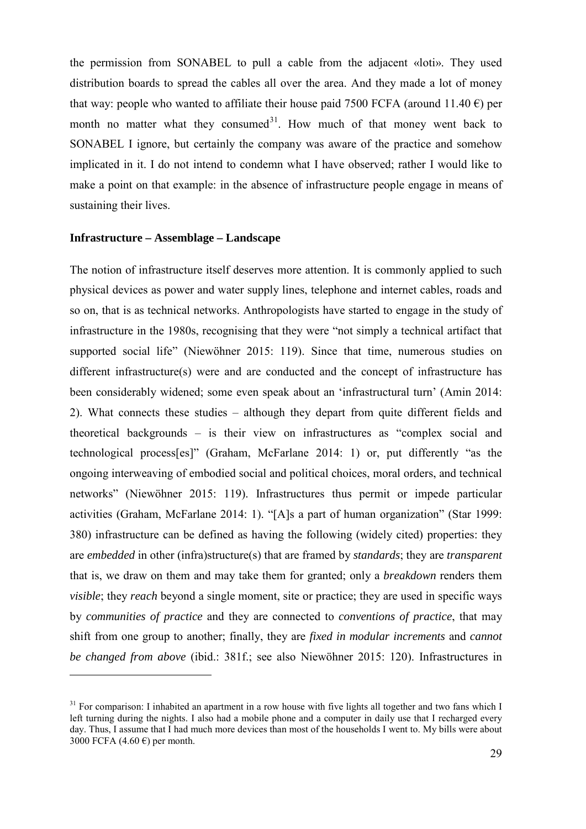the permission from SONABEL to pull a cable from the adjacent «loti». They used distribution boards to spread the cables all over the area. And they made a lot of money that way: people who wanted to affiliate their house paid 7500 FCFA (around 11.40  $\epsilon$ ) per month no matter what they consumed $3^1$ . How much of that money went back to SONABEL I ignore, but certainly the company was aware of the practice and somehow implicated in it. I do not intend to condemn what I have observed; rather I would like to make a point on that example: in the absence of infrastructure people engage in means of sustaining their lives.

#### <span id="page-30-0"></span>**Infrastructure – Assemblage – Landscape**

-

The notion of infrastructure itself deserves more attention. It is commonly applied to such physical devices as power and water supply lines, telephone and internet cables, roads and so on, that is as technical networks. Anthropologists have started to engage in the study of infrastructure in the 1980s, recognising that they were "not simply a technical artifact that supported social life" (Niewöhner 2015: 119). Since that time, numerous studies on different infrastructure(s) were and are conducted and the concept of infrastructure has been considerably widened; some even speak about an 'infrastructural turn' (Amin 2014: 2). What connects these studies – although they depart from quite different fields and theoretical backgrounds – is their view on infrastructures as "complex social and technological process[es]" (Graham, McFarlane 2014: 1) or, put differently "as the ongoing interweaving of embodied social and political choices, moral orders, and technical networks" (Niewöhner 2015: 119). Infrastructures thus permit or impede particular activities (Graham, McFarlane 2014: 1). "[A]s a part of human organization" (Star 1999: 380) infrastructure can be defined as having the following (widely cited) properties: they are *embedded* in other (infra)structure(s) that are framed by *standards*; they are *transparent* that is, we draw on them and may take them for granted; only a *breakdown* renders them *visible*; they *reach* beyond a single moment, site or practice; they are used in specific ways by *communities of practice* and they are connected to *conventions of practice*, that may shift from one group to another; finally, they are *fixed in modular increments* and *cannot be changed from above* (ibid.: 381f.; see also Niewöhner 2015: 120). Infrastructures in

<span id="page-30-1"></span><sup>&</sup>lt;sup>31</sup> For comparison: I inhabited an apartment in a row house with five lights all together and two fans which I left turning during the nights. I also had a mobile phone and a computer in daily use that I recharged every day. Thus, I assume that I had much more devices than most of the households I went to. My bills were about 3000 FCFA (4.60 $\epsilon$ ) per month.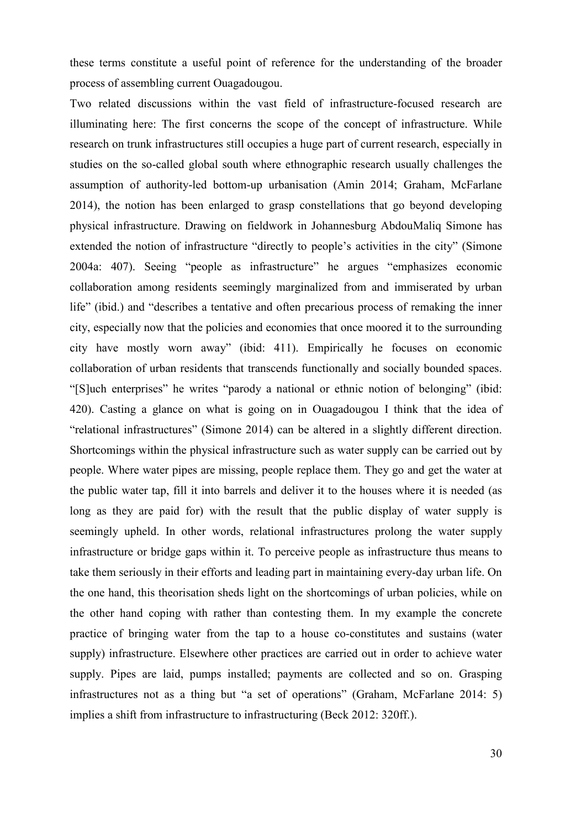these terms constitute a useful point of reference for the understanding of the broader process of assembling current Ouagadougou.

Two related discussions within the vast field of infrastructure-focused research are illuminating here: The first concerns the scope of the concept of infrastructure. While research on trunk infrastructures still occupies a huge part of current research, especially in studies on the so-called global south where ethnographic research usually challenges the assumption of authority-led bottom-up urbanisation (Amin 2014; Graham, McFarlane 2014), the notion has been enlarged to grasp constellations that go beyond developing physical infrastructure. Drawing on fieldwork in Johannesburg AbdouMaliq Simone has extended the notion of infrastructure "directly to people's activities in the city" (Simone 2004a: 407). Seeing "people as infrastructure" he argues "emphasizes economic collaboration among residents seemingly marginalized from and immiserated by urban life" (ibid.) and "describes a tentative and often precarious process of remaking the inner city, especially now that the policies and economies that once moored it to the surrounding city have mostly worn away" (ibid: 411). Empirically he focuses on economic collaboration of urban residents that transcends functionally and socially bounded spaces. "[S]uch enterprises" he writes "parody a national or ethnic notion of belonging" (ibid: 420). Casting a glance on what is going on in Ouagadougou I think that the idea of "relational infrastructures" (Simone 2014) can be altered in a slightly different direction. Shortcomings within the physical infrastructure such as water supply can be carried out by people. Where water pipes are missing, people replace them. They go and get the water at the public water tap, fill it into barrels and deliver it to the houses where it is needed (as long as they are paid for) with the result that the public display of water supply is seemingly upheld. In other words, relational infrastructures prolong the water supply infrastructure or bridge gaps within it. To perceive people as infrastructure thus means to take them seriously in their efforts and leading part in maintaining every-day urban life. On the one hand, this theorisation sheds light on the shortcomings of urban policies, while on the other hand coping with rather than contesting them. In my example the concrete practice of bringing water from the tap to a house co-constitutes and sustains (water supply) infrastructure. Elsewhere other practices are carried out in order to achieve water supply. Pipes are laid, pumps installed; payments are collected and so on. Grasping infrastructures not as a thing but "a set of operations" (Graham, McFarlane 2014: 5) implies a shift from infrastructure to infrastructuring (Beck 2012: 320ff.).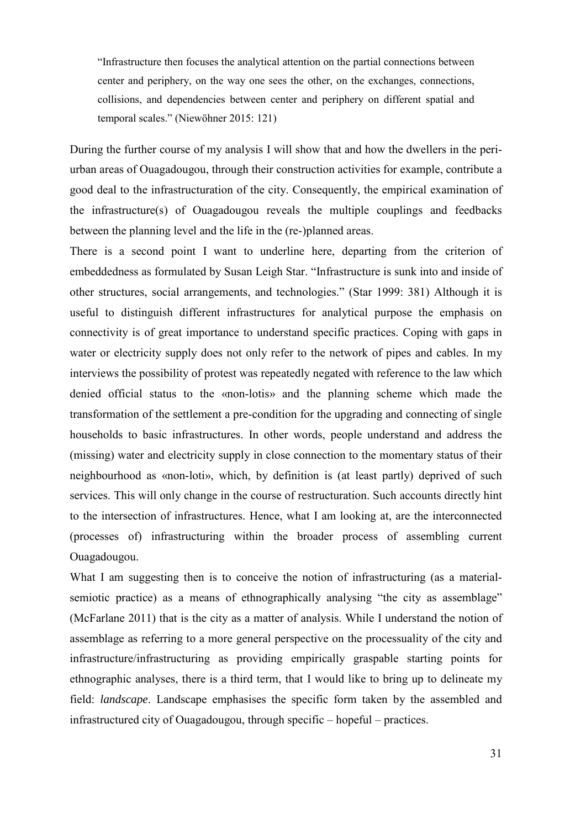"Infrastructure then focuses the analytical attention on the partial connections between center and periphery, on the way one sees the other, on the exchanges, connections, collisions, and dependencies between center and periphery on different spatial and temporal scales." (Niewöhner 2015: 121)

During the further course of my analysis I will show that and how the dwellers in the periurban areas of Ouagadougou, through their construction activities for example, contribute a good deal to the infrastructuration of the city. Consequently, the empirical examination of the infrastructure(s) of Ouagadougou reveals the multiple couplings and feedbacks between the planning level and the life in the (re-)planned areas.

There is a second point I want to underline here, departing from the criterion of embeddedness as formulated by Susan Leigh Star. "Infrastructure is sunk into and inside of other structures, social arrangements, and technologies." (Star 1999: 381) Although it is useful to distinguish different infrastructure*s* for analytical purpose the emphasis on connectivity is of great importance to understand specific practices. Coping with gaps in water or electricity supply does not only refer to the network of pipes and cables. In my interviews the possibility of protest was repeatedly negated with reference to the law which denied official status to the «non-lotis» and the planning scheme which made the transformation of the settlement a pre-condition for the upgrading and connecting of single households to basic infrastructures. In other words, people understand and address the (missing) water and electricity supply in close connection to the momentary status of their neighbourhood as «non-loti», which, by definition is (at least partly) deprived of such services. This will only change in the course of restructuration. Such accounts directly hint to the intersection of infrastructures. Hence, what I am looking at, are the interconnected (processes of) infrastructuring within the broader process of assembling current Ouagadougou.

What I am suggesting then is to conceive the notion of infrastructuring (as a materialsemiotic practice) as a means of ethnographically analysing "the city as assemblage" (McFarlane 2011) that is the city as a matter of analysis. While I understand the notion of assemblage as referring to a more general perspective on the processuality of the city and infrastructure/infrastructuring as providing empirically graspable starting points for ethnographic analyses, there is a third term, that I would like to bring up to delineate my field: *landscape*. Landscape emphasises the specific form taken by the assembled and infrastructured city of Ouagadougou, through specific – hopeful – practices.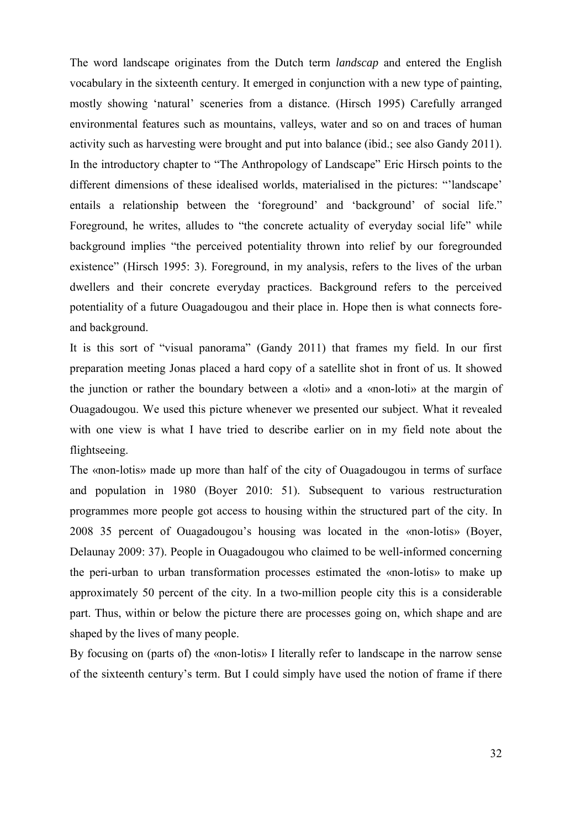The word landscape originates from the Dutch term *landscap* and entered the English vocabulary in the sixteenth century. It emerged in conjunction with a new type of painting, mostly showing 'natural' sceneries from a distance. (Hirsch 1995) Carefully arranged environmental features such as mountains, valleys, water and so on and traces of human activity such as harvesting were brought and put into balance (ibid.; see also Gandy 2011). In the introductory chapter to "The Anthropology of Landscape" Eric Hirsch points to the different dimensions of these idealised worlds, materialised in the pictures: "'landscape' entails a relationship between the 'foreground' and 'background' of social life." Foreground, he writes, alludes to "the concrete actuality of everyday social life" while background implies "the perceived potentiality thrown into relief by our foregrounded existence" (Hirsch 1995: 3). Foreground, in my analysis, refers to the lives of the urban dwellers and their concrete everyday practices. Background refers to the perceived potentiality of a future Ouagadougou and their place in. Hope then is what connects foreand background.

It is this sort of "visual panorama" (Gandy 2011) that frames my field. In our first preparation meeting Jonas placed a hard copy of a satellite shot in front of us. It showed the junction or rather the boundary between a «loti» and a «non-loti» at the margin of Ouagadougou. We used this picture whenever we presented our subject. What it revealed with one view is what I have tried to describe earlier on in my field note about the flightseeing.

The «non-lotis» made up more than half of the city of Ouagadougou in terms of surface and population in 1980 (Boyer 2010: 51). Subsequent to various restructuration programmes more people got access to housing within the structured part of the city. In 2008 35 percent of Ouagadougou's housing was located in the «non-lotis» (Boyer, Delaunay 2009: 37). People in Ouagadougou who claimed to be well-informed concerning the peri-urban to urban transformation processes estimated the «non-lotis» to make up approximately 50 percent of the city. In a two-million people city this is a considerable part. Thus, within or below the picture there are processes going on, which shape and are shaped by the lives of many people.

By focusing on (parts of) the «non-lotis» I literally refer to landscape in the narrow sense of the sixteenth century's term. But I could simply have used the notion of frame if there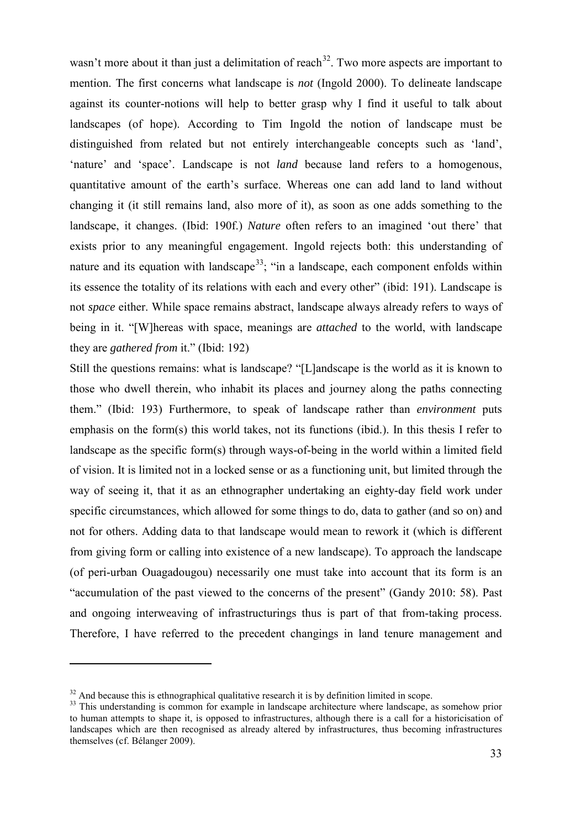wasn't more about it than just a delimitation of reach<sup>[32](#page-34-0)</sup>. Two more aspects are important to mention. The first concerns what landscape is *not* (Ingold 2000). To delineate landscape against its counter-notions will help to better grasp why I find it useful to talk about landscapes (of hope). According to Tim Ingold the notion of landscape must be distinguished from related but not entirely interchangeable concepts such as 'land', 'nature' and 'space'. Landscape is not *land* because land refers to a homogenous, quantitative amount of the earth's surface. Whereas one can add land to land without changing it (it still remains land, also more of it), as soon as one adds something to the landscape, it changes. (Ibid: 190f.) *Nature* often refers to an imagined 'out there' that exists prior to any meaningful engagement. Ingold rejects both: this understanding of nature and its equation with landscape<sup>33</sup>; "in a landscape, each component enfolds within its essence the totality of its relations with each and every other" (ibid: 191). Landscape is not *space* either. While space remains abstract, landscape always already refers to ways of being in it. "[W]hereas with space, meanings are *attached* to the world, with landscape they are *gathered from* it." (Ibid: 192)

Still the questions remains: what is landscape? "[L]andscape is the world as it is known to those who dwell therein, who inhabit its places and journey along the paths connecting them." (Ibid: 193) Furthermore, to speak of landscape rather than *environment* puts emphasis on the form(s) this world takes, not its functions (ibid.). In this thesis I refer to landscape as the specific form(s) through ways-of-being in the world within a limited field of vision. It is limited not in a locked sense or as a functioning unit, but limited through the way of seeing it, that it as an ethnographer undertaking an eighty-day field work under specific circumstances, which allowed for some things to do, data to gather (and so on) and not for others. Adding data to that landscape would mean to rework it (which is different from giving form or calling into existence of a new landscape). To approach the landscape (of peri-urban Ouagadougou) necessarily one must take into account that its form is an "accumulation of the past viewed to the concerns of the present" (Gandy 2010: 58). Past and ongoing interweaving of infrastructurings thus is part of that from-taking process. Therefore, I have referred to the precedent changings in land tenure management and

<span id="page-34-0"></span> $32$  And because this is ethnographical qualitative research it is by definition limited in scope.

<span id="page-34-1"></span><sup>&</sup>lt;sup>33</sup> This understanding is common for example in landscape architecture where landscape, as somehow prior to human attempts to shape it, is opposed to infrastructures, although there is a call for a [historicisation](http://www.dict.cc/englisch-deutsch/historicisation.html) of landscapes which are then recognised as already altered by infrastructures, thus becoming infrastructures themselves (cf. Bélanger 2009).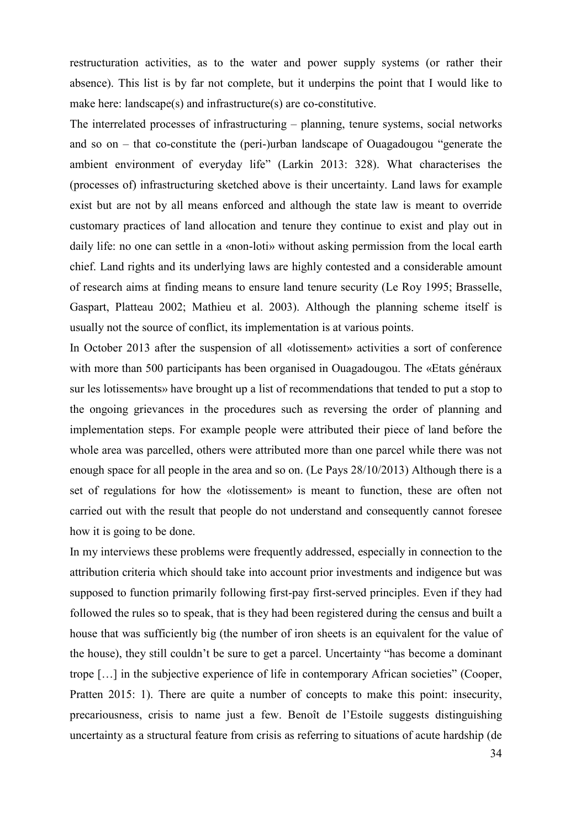restructuration activities, as to the water and power supply systems (or rather their absence). This list is by far not complete, but it underpins the point that I would like to make here: landscape(s) and infrastructure(s) are co-constitutive.

The interrelated processes of infrastructuring – planning, tenure systems, social networks and so on – that co-constitute the (peri-)urban landscape of Ouagadougou "generate the ambient environment of everyday life" (Larkin 2013: 328). What characterises the (processes of) infrastructuring sketched above is their uncertainty. Land laws for example exist but are not by all means enforced and although the state law is meant to override customary practices of land allocation and tenure they continue to exist and play out in daily life: no one can settle in a «non-loti» without asking permission from the local earth chief. Land rights and its underlying laws are highly contested and a considerable amount of research aims at finding means to ensure land tenure security (Le Roy 1995; Brasselle, Gaspart, Platteau 2002; Mathieu et al. 2003). Although the planning scheme itself is usually not the source of conflict, its implementation is at various points.

In October 2013 after the suspension of all «lotissement» activities a sort of conference with more than 500 participants has been organised in Ouagadougou. The «Etats généraux sur les lotissements» have brought up a list of recommendations that tended to put a stop to the ongoing grievances in the procedures such as reversing the order of planning and implementation steps. For example people were attributed their piece of land before the whole area was parcelled, others were attributed more than one parcel while there was not enough space for all people in the area and so on. (Le Pays 28/10/2013) Although there is a set of regulations for how the «lotissement» is meant to function, these are often not carried out with the result that people do not understand and consequently cannot foresee how it is going to be done.

In my interviews these problems were frequently addressed, especially in connection to the attribution criteria which should take into account prior investments and indigence but was supposed to function primarily following first-pay first-served principles. Even if they had followed the rules so to speak, that is they had been registered during the census and built a house that was sufficiently big (the number of iron sheets is an equivalent for the value of the house), they still couldn't be sure to get a parcel. Uncertainty "has become a dominant trope […] in the subjective experience of life in contemporary African societies" (Cooper, Pratten 2015: 1). There are quite a number of concepts to make this point: insecurity, precariousness, crisis to name just a few. Benoît de l'Estoile suggests distinguishing uncertainty as a structural feature from crisis as referring to situations of acute hardship (de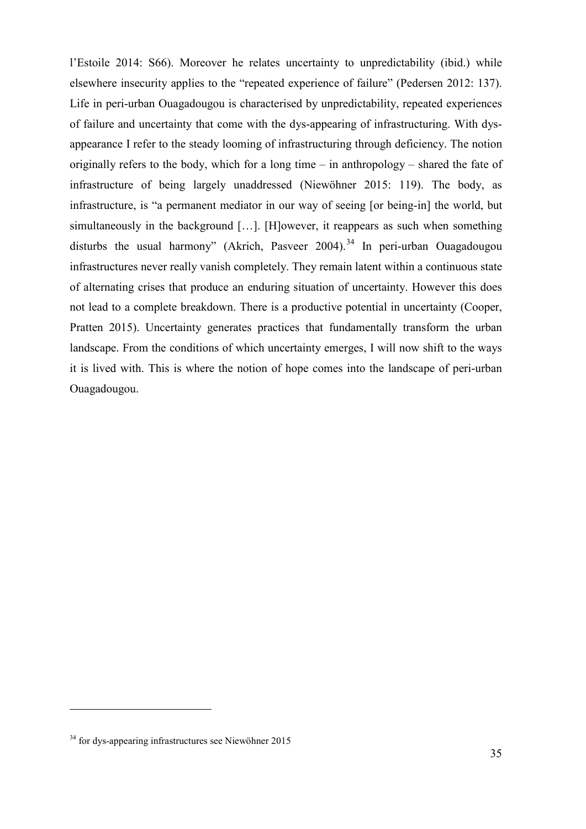l'Estoile 2014: S66). Moreover he relates uncertainty to unpredictability (ibid.) while elsewhere insecurity applies to the "repeated experience of failure" (Pedersen 2012: 137). Life in peri-urban Ouagadougou is characterised by unpredictability, repeated experiences of failure and uncertainty that come with the dys-appearing of infrastructuring. With dysappearance I refer to the steady looming of infrastructuring through deficiency. The notion originally refers to the body, which for a long time – in anthropology – shared the fate of infrastructure of being largely unaddressed (Niewöhner 2015: 119). The body, as infrastructure, is "a permanent mediator in our way of seeing [or being-in] the world, but simultaneously in the background […]. [H]owever, it reappears as such when something disturbs the usual harmony" (Akrich, Pasveer 2004).<sup>[34](#page-36-0)</sup> In peri-urban Ouagadougou infrastructures never really vanish completely. They remain latent within a continuous state of alternating crises that produce an enduring situation of uncertainty. However this does not lead to a complete breakdown. There is a productive potential in uncertainty (Cooper, Pratten 2015). Uncertainty generates practices that fundamentally transform the urban landscape. From the conditions of which uncertainty emerges, I will now shift to the ways it is lived with. This is where the notion of hope comes into the landscape of peri-urban Ouagadougou.

-

<span id="page-36-0"></span><sup>34</sup> for dys-appearing infrastructures see Niewöhner 2015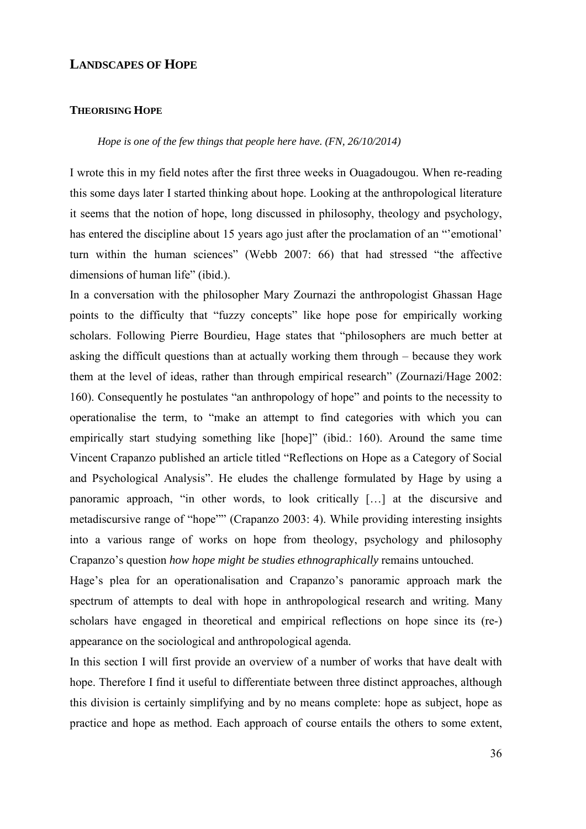## **LANDSCAPES OF HOPE**

#### **THEORISING HOPE**

### *Hope is one of the few things that people here have. (FN, 26/10/2014)*

I wrote this in my field notes after the first three weeks in Ouagadougou. When re-reading this some days later I started thinking about hope. Looking at the anthropological literature it seems that the notion of hope, long discussed in philosophy, theology and psychology, has entered the discipline about 15 years ago just after the proclamation of an "'emotional' turn within the human sciences" (Webb 2007: 66) that had stressed "the affective dimensions of human life" (ibid.).

In a conversation with the philosopher Mary Zournazi the anthropologist Ghassan Hage points to the difficulty that "fuzzy concepts" like hope pose for empirically working scholars. Following Pierre Bourdieu, Hage states that "philosophers are much better at asking the difficult questions than at actually working them through – because they work them at the level of ideas, rather than through empirical research" (Zournazi/Hage 2002: 160). Consequently he postulates "an anthropology of hope" and points to the necessity to operationalise the term, to "make an attempt to find categories with which you can empirically start studying something like [hope]" (ibid.: 160). Around the same time Vincent Crapanzo published an article titled "Reflections on Hope as a Category of Social and Psychological Analysis". He eludes the challenge formulated by Hage by using a panoramic approach, "in other words, to look critically […] at the discursive and metadiscursive range of "hope"" (Crapanzo 2003: 4). While providing interesting insights into a various range of works on hope from theology, psychology and philosophy Crapanzo's question *how hope might be studies ethnographically* remains untouched.

Hage's plea for an operationalisation and Crapanzo's panoramic approach mark the spectrum of attempts to deal with hope in anthropological research and writing. Many scholars have engaged in theoretical and empirical reflections on hope since its (re-) appearance on the sociological and anthropological agenda.

In this section I will first provide an overview of a number of works that have dealt with hope. Therefore I find it useful to differentiate between three distinct approaches, although this division is certainly simplifying and by no means complete: hope as subject, hope as practice and hope as method. Each approach of course entails the others to some extent,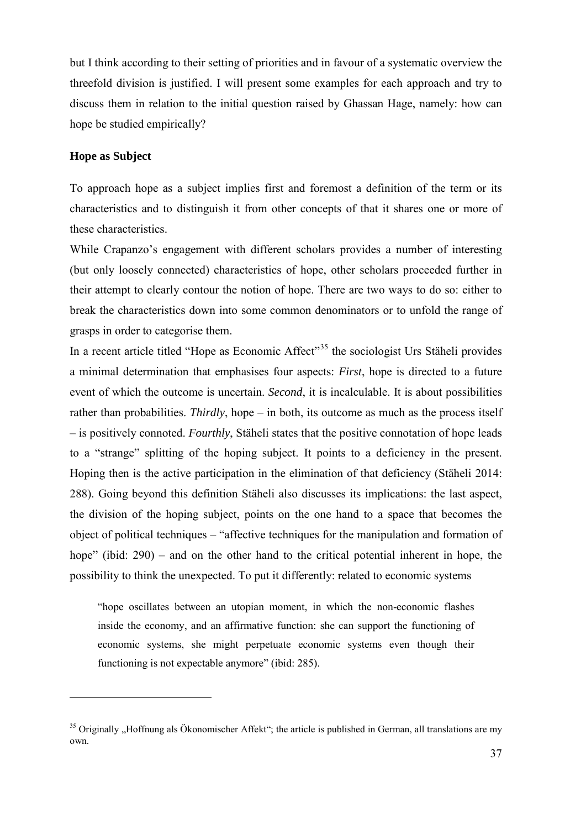but I think according to their setting of priorities and in favour of a systematic overview the threefold division is justified. I will present some examples for each approach and try to discuss them in relation to the initial question raised by Ghassan Hage, namely: how can hope be studied empirically?

# **Hope as Subject**

<u>.</u>

To approach hope as a subject implies first and foremost a definition of the term or its characteristics and to distinguish it from other concepts of that it shares one or more of these characteristics.

While Crapanzo's engagement with different scholars provides a number of interesting (but only loosely connected) characteristics of hope, other scholars proceeded further in their attempt to clearly contour the notion of hope. There are two ways to do so: either to break the characteristics down into some common denominators or to unfold the range of grasps in order to categorise them.

In a recent article titled "Hope as Economic Affect"<sup>[35](#page-38-0)</sup> the sociologist Urs Stäheli provides a minimal determination that emphasises four aspects: *First*, hope is directed to a future event of which the outcome is uncertain. *Second*, it is incalculable. It is about possibilities rather than probabilities. *Thirdly*, hope – in both, its outcome as much as the process itself – is positively connoted. *Fourthly*, Stäheli states that the positive connotation of hope leads to a "strange" splitting of the hoping subject. It points to a deficiency in the present. Hoping then is the active participation in the elimination of that deficiency (Stäheli 2014: 288). Going beyond this definition Stäheli also discusses its implications: the last aspect, the division of the hoping subject, points on the one hand to a space that becomes the object of political techniques – "affective techniques for the manipulation and formation of hope" (ibid: 290) – and on the other hand to the critical potential inherent in hope, the possibility to think the unexpected. To put it differently: related to economic systems

"hope oscillates between an utopian moment, in which the non-economic flashes inside the economy, and an affirmative function: she can support the functioning of economic systems, she might perpetuate economic systems even though their functioning is not expectable anymore" (ibid: 285).

<span id="page-38-0"></span><sup>&</sup>lt;sup>35</sup> Originally "Hoffnung als Ökonomischer Affekt"; the article is published in German, all translations are my own.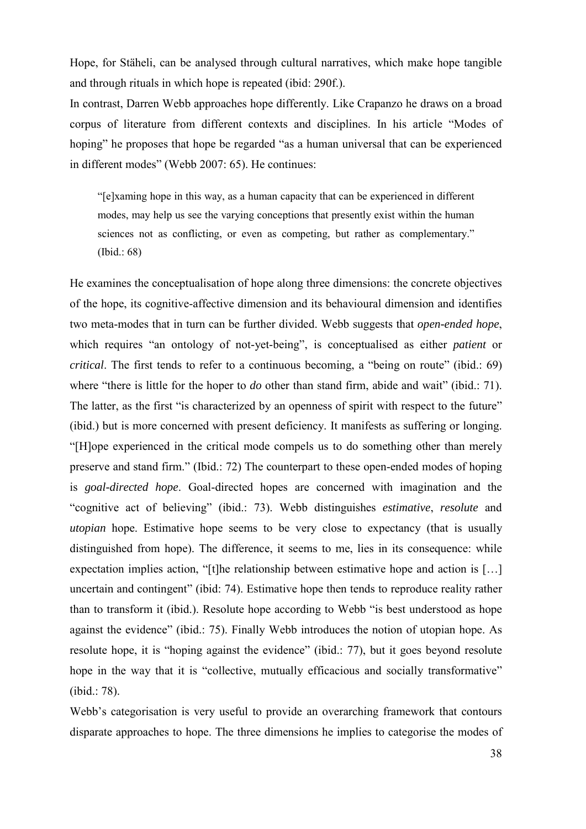Hope, for Stäheli, can be analysed through cultural narratives, which make hope tangible and through rituals in which hope is repeated (ibid: 290f.).

In contrast, Darren Webb approaches hope differently. Like Crapanzo he draws on a broad corpus of literature from different contexts and disciplines. In his article "Modes of hoping" he proposes that hope be regarded "as a human universal that can be experienced in different modes" (Webb 2007: 65). He continues:

"[e]xaming hope in this way, as a human capacity that can be experienced in different modes, may help us see the varying conceptions that presently exist within the human sciences not as conflicting, or even as competing, but rather as complementary." (Ibid.: 68)

He examines the conceptualisation of hope along three dimensions: the concrete objectives of the hope, its cognitive-affective dimension and its behavioural dimension and identifies two meta-modes that in turn can be further divided. Webb suggests that *open-ended hope*, which requires "an ontology of not-yet-being", is conceptualised as either *patient* or *critical*. The first tends to refer to a continuous becoming, a "being on route" (ibid.: 69) where "there is little for the hoper to *do* other than stand firm, abide and wait" (ibid.: 71). The latter, as the first "is characterized by an openness of spirit with respect to the future" (ibid.) but is more concerned with present deficiency. It manifests as suffering or longing. "[H]ope experienced in the critical mode compels us to do something other than merely preserve and stand firm." (Ibid.: 72) The counterpart to these open-ended modes of hoping is *goal-directed hope*. Goal-directed hopes are concerned with imagination and the "cognitive act of believing" (ibid.: 73). Webb distinguishes *estimative*, *resolute* and *utopian* hope. Estimative hope seems to be very close to expectancy (that is usually distinguished from hope). The difference, it seems to me, lies in its consequence: while expectation implies action, "[t]he relationship between estimative hope and action is [...] uncertain and contingent" (ibid: 74). Estimative hope then tends to reproduce reality rather than to transform it (ibid.). Resolute hope according to Webb "is best understood as hope against the evidence" (ibid.: 75). Finally Webb introduces the notion of utopian hope. As resolute hope, it is "hoping against the evidence" (ibid.: 77), but it goes beyond resolute hope in the way that it is "collective, mutually efficacious and socially transformative" (ibid.: 78).

Webb's categorisation is very useful to provide an overarching framework that contours disparate approaches to hope. The three dimensions he implies to categorise the modes of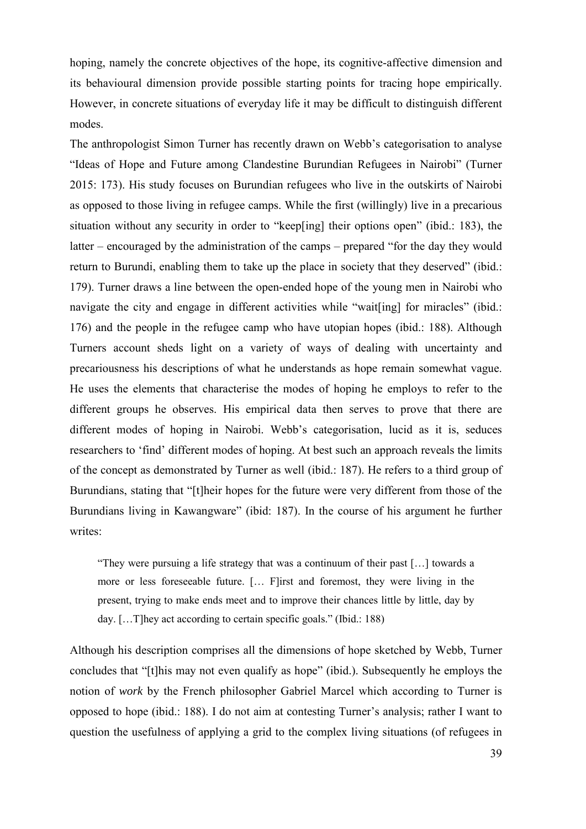hoping, namely the concrete objectives of the hope, its cognitive-affective dimension and its behavioural dimension provide possible starting points for tracing hope empirically. However, in concrete situations of everyday life it may be difficult to distinguish different modes.

The anthropologist Simon Turner has recently drawn on Webb's categorisation to analyse "Ideas of Hope and Future among Clandestine Burundian Refugees in Nairobi" (Turner 2015: 173). His study focuses on Burundian refugees who live in the outskirts of Nairobi as opposed to those living in refugee camps. While the first (willingly) live in a precarious situation without any security in order to "keep[ing] their options open" (ibid.: 183), the latter – encouraged by the administration of the camps – prepared "for the day they would return to Burundi, enabling them to take up the place in society that they deserved" (ibid.: 179). Turner draws a line between the open-ended hope of the young men in Nairobi who navigate the city and engage in different activities while "wait [ing] for miracles" (ibid.: 176) and the people in the refugee camp who have utopian hopes (ibid.: 188). Although Turners account sheds light on a variety of ways of dealing with uncertainty and precariousness his descriptions of what he understands as hope remain somewhat vague. He uses the elements that characterise the modes of hoping he employs to refer to the different groups he observes. His empirical data then serves to prove that there are different modes of hoping in Nairobi. Webb's categorisation, lucid as it is, seduces researchers to 'find' different modes of hoping. At best such an approach reveals the limits of the concept as demonstrated by Turner as well (ibid.: 187). He refers to a third group of Burundians, stating that "[t]heir hopes for the future were very different from those of the Burundians living in Kawangware" (ibid: 187). In the course of his argument he further writes:

"They were pursuing a life strategy that was a continuum of their past […] towards a more or less foreseeable future. [… F]irst and foremost, they were living in the present, trying to make ends meet and to improve their chances little by little, day by day. […T]hey act according to certain specific goals." (Ibid.: 188)

Although his description comprises all the dimensions of hope sketched by Webb, Turner concludes that "[t]his may not even qualify as hope" (ibid.). Subsequently he employs the notion of *work* by the French philosopher Gabriel Marcel which according to Turner is opposed to hope (ibid.: 188). I do not aim at contesting Turner's analysis; rather I want to question the usefulness of applying a grid to the complex living situations (of refugees in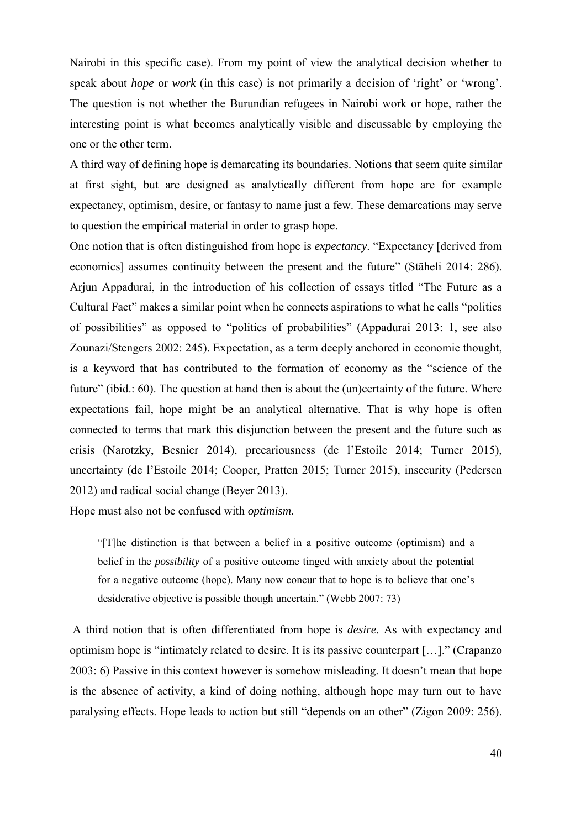Nairobi in this specific case). From my point of view the analytical decision whether to speak about *hope* or *work* (in this case) is not primarily a decision of 'right' or 'wrong'. The question is not whether the Burundian refugees in Nairobi work or hope, rather the interesting point is what becomes analytically visible and discussable by employing the one or the other term.

A third way of defining hope is demarcating its boundaries. Notions that seem quite similar at first sight, but are designed as analytically different from hope are for example expectancy, optimism, desire, or fantasy to name just a few. These demarcations may serve to question the empirical material in order to grasp hope.

One notion that is often distinguished from hope is *expectancy*. "Expectancy [derived from economics] assumes continuity between the present and the future" (Stäheli 2014: 286). Arjun Appadurai, in the introduction of his collection of essays titled "The Future as a Cultural Fact" makes a similar point when he connects aspirations to what he calls "politics of possibilities" as opposed to "politics of probabilities" (Appadurai 2013: 1, see also Zounazi/Stengers 2002: 245). Expectation, as a term deeply anchored in economic thought, is a keyword that has contributed to the formation of economy as the "science of the future" (ibid.: 60). The question at hand then is about the (un)certainty of the future. Where expectations fail, hope might be an analytical alternative. That is why hope is often connected to terms that mark this disjunction between the present and the future such as crisis (Narotzky, Besnier 2014), precariousness (de l'Estoile 2014; Turner 2015), uncertainty (de l'Estoile 2014; Cooper, Pratten 2015; Turner 2015), insecurity (Pedersen 2012) and radical social change (Beyer 2013).

Hope must also not be confused with *optimism*.

"[T]he distinction is that between a belief in a positive outcome (optimism) and a belief in the *possibility* of a positive outcome tinged with anxiety about the potential for a negative outcome (hope). Many now concur that to hope is to believe that one's desiderative objective is possible though uncertain." (Webb 2007: 73)

A third notion that is often differentiated from hope is *desire*. As with expectancy and optimism hope is "intimately related to desire. It is its passive counterpart […]." (Crapanzo 2003: 6) Passive in this context however is somehow misleading. It doesn't mean that hope is the absence of activity, a kind of doing nothing, although hope may turn out to have paralysing effects. Hope leads to action but still "depends on an other" (Zigon 2009: 256).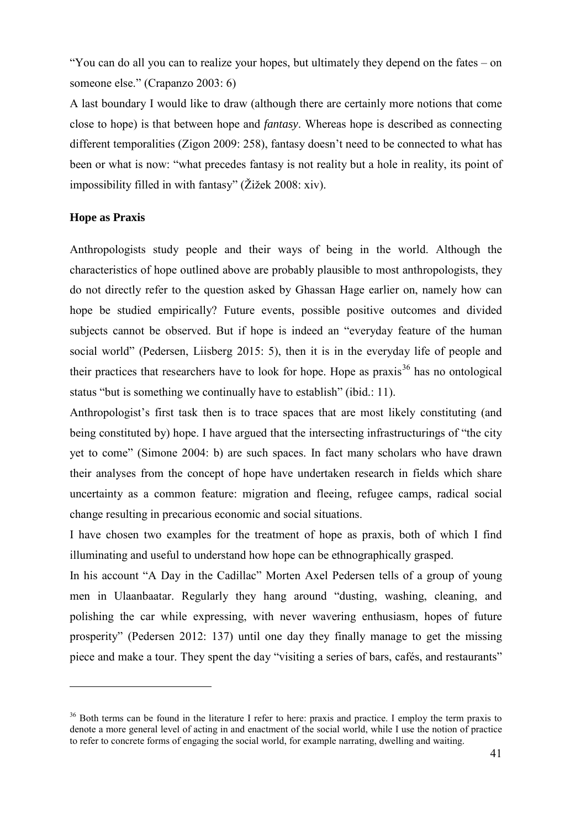"You can do all you can to realize your hopes, but ultimately they depend on the fates – on someone else." (Crapanzo 2003: 6)

A last boundary I would like to draw (although there are certainly more notions that come close to hope) is that between hope and *fantasy*. Whereas hope is described as connecting different temporalities (Zigon 2009: 258), fantasy doesn't need to be connected to what has been or what is now: "what precedes fantasy is not reality but a hole in reality, its point of impossibility filled in with fantasy" (Žižek 2008: xiv).

#### **Hope as Praxis**

<u>.</u>

Anthropologists study people and their ways of being in the world. Although the characteristics of hope outlined above are probably plausible to most anthropologists, they do not directly refer to the question asked by Ghassan Hage earlier on, namely how can hope be studied empirically? Future events, possible positive outcomes and divided subjects cannot be observed. But if hope is indeed an "everyday feature of the human social world" (Pedersen, Liisberg 2015: 5), then it is in the everyday life of people and their practices that researchers have to look for hope. Hope as praxis<sup>[36](#page-42-0)</sup> has no ontological status "but is something we continually have to establish" (ibid.: 11).

Anthropologist's first task then is to trace spaces that are most likely constituting (and being constituted by) hope. I have argued that the intersecting infrastructurings of "the city yet to come" (Simone 2004: b) are such spaces. In fact many scholars who have drawn their analyses from the concept of hope have undertaken research in fields which share uncertainty as a common feature: migration and fleeing, refugee camps, radical social change resulting in precarious economic and social situations.

I have chosen two examples for the treatment of hope as praxis, both of which I find illuminating and useful to understand how hope can be ethnographically grasped.

In his account "A Day in the Cadillac" Morten Axel Pedersen tells of a group of young men in Ulaanbaatar. Regularly they hang around "dusting, washing, cleaning, and polishing the car while expressing, with never wavering enthusiasm, hopes of future prosperity" (Pedersen 2012: 137) until one day they finally manage to get the missing piece and make a tour. They spent the day "visiting a series of bars, cafés, and restaurants"

<span id="page-42-0"></span><sup>&</sup>lt;sup>36</sup> Both terms can be found in the literature I refer to here: praxis and practice. I employ the term praxis to denote a more general level of acting in and enactment of the social world, while I use the notion of practice to refer to concrete forms of engaging the social world, for example narrating, dwelling and waiting.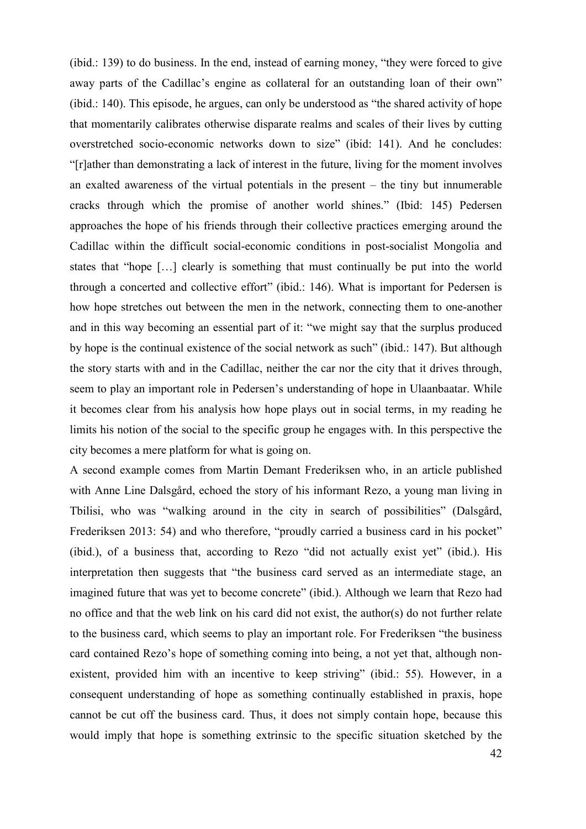(ibid.: 139) to do business. In the end, instead of earning money, "they were forced to give away parts of the Cadillac's engine as collateral for an outstanding loan of their own" (ibid.: 140). This episode, he argues, can only be understood as "the shared activity of hope that momentarily calibrates otherwise disparate realms and scales of their lives by cutting overstretched socio-economic networks down to size" (ibid: 141). And he concludes: "[r]ather than demonstrating a lack of interest in the future, living for the moment involves an exalted awareness of the virtual potentials in the present – the tiny but innumerable cracks through which the promise of another world shines." (Ibid: 145) Pedersen approaches the hope of his friends through their collective practices emerging around the Cadillac within the difficult social-economic conditions in post-socialist Mongolia and states that "hope […] clearly is something that must continually be put into the world through a concerted and collective effort" (ibid.: 146). What is important for Pedersen is how hope stretches out between the men in the network, connecting them to one-another and in this way becoming an essential part of it: "we might say that the surplus produced by hope is the continual existence of the social network as such" (ibid.: 147). But although the story starts with and in the Cadillac, neither the car nor the city that it drives through, seem to play an important role in Pedersen's understanding of hope in Ulaanbaatar. While it becomes clear from his analysis how hope plays out in social terms, in my reading he limits his notion of the social to the specific group he engages with. In this perspective the city becomes a mere platform for what is going on.

A second example comes from Martin Demant Frederiksen who, in an article published with Anne Line Dalsgård, echoed the story of his informant Rezo, a young man living in Tbilisi, who was "walking around in the city in search of possibilities" (Dalsgård, Frederiksen 2013: 54) and who therefore, "proudly carried a business card in his pocket" (ibid.), of a business that, according to Rezo "did not actually exist yet" (ibid.). His interpretation then suggests that "the business card served as an intermediate stage, an imagined future that was yet to become concrete" (ibid.). Although we learn that Rezo had no office and that the web link on his card did not exist, the author(s) do not further relate to the business card, which seems to play an important role. For Frederiksen "the business card contained Rezo's hope of something coming into being, a not yet that, although nonexistent, provided him with an incentive to keep striving" (ibid.: 55). However, in a consequent understanding of hope as something continually established in praxis, hope cannot be cut off the business card. Thus, it does not simply contain hope, because this would imply that hope is something extrinsic to the specific situation sketched by the

42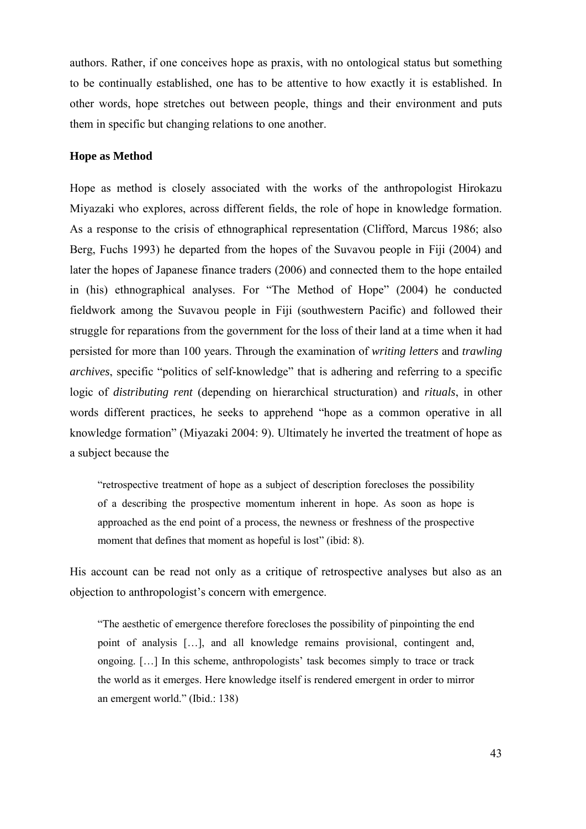authors. Rather, if one conceives hope as praxis, with no ontological status but something to be continually established, one has to be attentive to how exactly it is established. In other words, hope stretches out between people, things and their environment and puts them in specific but changing relations to one another.

# **Hope as Method**

Hope as method is closely associated with the works of the anthropologist Hirokazu Miyazaki who explores, across different fields, the role of hope in knowledge formation. As a response to the crisis of ethnographical representation (Clifford, Marcus 1986; also Berg, Fuchs 1993) he departed from the hopes of the Suvavou people in Fiji (2004) and later the hopes of Japanese finance traders (2006) and connected them to the hope entailed in (his) ethnographical analyses. For "The Method of Hope" (2004) he conducted fieldwork among the Suvavou people in Fiji (southwestern Pacific) and followed their struggle for reparations from the government for the loss of their land at a time when it had persisted for more than 100 years. Through the examination of *writing letters* and *trawling archives*, specific "politics of self-knowledge" that is adhering and referring to a specific logic of *distributing rent* (depending on hierarchical structuration) and *rituals*, in other words different practices, he seeks to apprehend "hope as a common operative in all knowledge formation" (Miyazaki 2004: 9). Ultimately he inverted the treatment of hope as a subject because the

"retrospective treatment of hope as a subject of description forecloses the possibility of a describing the prospective momentum inherent in hope. As soon as hope is approached as the end point of a process, the newness or freshness of the prospective moment that defines that moment as hopeful is lost" (ibid: 8).

His account can be read not only as a critique of retrospective analyses but also as an objection to anthropologist's concern with emergence.

"The aesthetic of emergence therefore forecloses the possibility of pinpointing the end point of analysis […], and all knowledge remains provisional, contingent and, ongoing. […] In this scheme, anthropologists' task becomes simply to trace or track the world as it emerges. Here knowledge itself is rendered emergent in order to mirror an emergent world." (Ibid.: 138)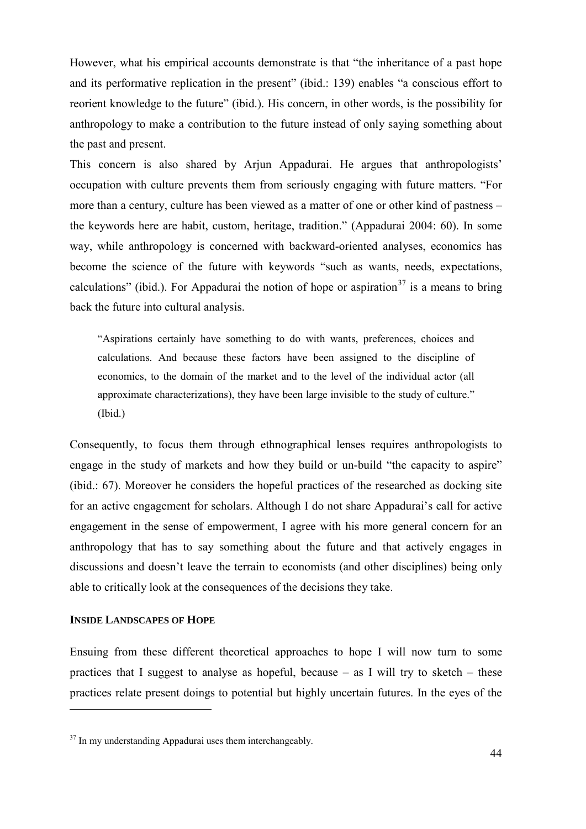However, what his empirical accounts demonstrate is that "the inheritance of a past hope and its performative replication in the present" (ibid.: 139) enables "a conscious effort to reorient knowledge to the future" (ibid.). His concern, in other words, is the possibility for anthropology to make a contribution to the future instead of only saying something about the past and present.

This concern is also shared by Arjun Appadurai. He argues that anthropologists' occupation with culture prevents them from seriously engaging with future matters. "For more than a century, culture has been viewed as a matter of one or other kind of pastness – the keywords here are habit, custom, heritage, tradition." (Appadurai 2004: 60). In some way, while anthropology is concerned with backward-oriented analyses, economics has become the science of the future with keywords "such as wants, needs, expectations, calculations" (ibid.). For Appadurai the notion of hope or aspiration<sup>[37](#page-45-0)</sup> is a means to bring back the future into cultural analysis.

"Aspirations certainly have something to do with wants, preferences, choices and calculations. And because these factors have been assigned to the discipline of economics, to the domain of the market and to the level of the individual actor (all approximate characterizations), they have been large invisible to the study of culture." (Ibid.)

Consequently, to focus them through ethnographical lenses requires anthropologists to engage in the study of markets and how they build or un-build "the capacity to aspire" (ibid.: 67). Moreover he considers the hopeful practices of the researched as docking site for an active engagement for scholars. Although I do not share Appadurai's call for active engagement in the sense of empowerment, I agree with his more general concern for an anthropology that has to say something about the future and that actively engages in discussions and doesn't leave the terrain to economists (and other disciplines) being only able to critically look at the consequences of the decisions they take.

## **INSIDE LANDSCAPES OF HOPE**

-

Ensuing from these different theoretical approaches to hope I will now turn to some practices that I suggest to analyse as hopeful, because  $-$  as I will try to sketch  $-$  these practices relate present doings to potential but highly uncertain futures. In the eyes of the

<span id="page-45-0"></span><sup>&</sup>lt;sup>37</sup> In my understanding Appadurai uses them interchangeably.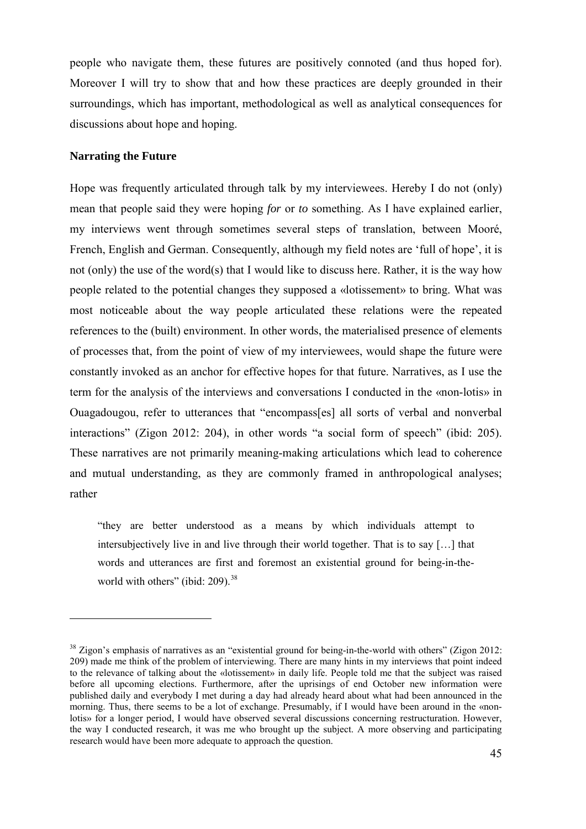people who navigate them, these futures are positively connoted (and thus hoped for). Moreover I will try to show that and how these practices are deeply grounded in their surroundings, which has important, methodological as well as analytical consequences for discussions about hope and hoping.

# **Narrating the Future**

<u>.</u>

Hope was frequently articulated through talk by my interviewees. Hereby I do not (only) mean that people said they were hoping *for* or *to* something. As I have explained earlier, my interviews went through sometimes several steps of translation, between Mooré, French, English and German. Consequently, although my field notes are 'full of hope', it is not (only) the use of the word(s) that I would like to discuss here. Rather, it is the way how people related to the potential changes they supposed a «lotissement» to bring. What was most noticeable about the way people articulated these relations were the repeated references to the (built) environment. In other words, the materialised presence of elements of processes that, from the point of view of my interviewees, would shape the future were constantly invoked as an anchor for effective hopes for that future. Narratives, as I use the term for the analysis of the interviews and conversations I conducted in the «non-lotis» in Ouagadougou, refer to utterances that "encompass[es] all sorts of verbal and nonverbal interactions" (Zigon 2012: 204), in other words "a social form of speech" (ibid: 205). These narratives are not primarily meaning-making articulations which lead to coherence and mutual understanding, as they are commonly framed in anthropological analyses; rather

"they are better understood as a means by which individuals attempt to intersubjectively live in and live through their world together. That is to say […] that words and utterances are first and foremost an existential ground for being-in-the-world with others" (ibid: 209).<sup>[38](#page-46-0)</sup>

<span id="page-46-0"></span><sup>&</sup>lt;sup>38</sup> Zigon's emphasis of narratives as an "existential ground for being-in-the-world with others" (Zigon 2012: 209) made me think of the problem of interviewing. There are many hints in my interviews that point indeed to the relevance of talking about the «lotissement» in daily life. People told me that the subject was raised before all upcoming elections. Furthermore, after the uprisings of end October new information were published daily and everybody I met during a day had already heard about what had been announced in the morning. Thus, there seems to be a lot of exchange. Presumably, if I would have been around in the «nonlotis» for a longer period, I would have observed several discussions concerning restructuration. However, the way I conducted research, it was me who brought up the subject. A more observing and participating research would have been more adequate to approach the question.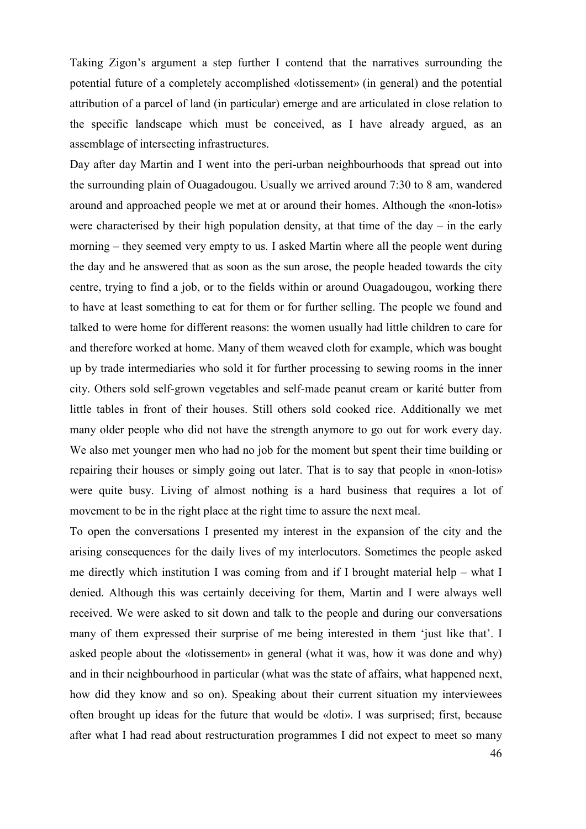Taking Zigon's argument a step further I contend that the narratives surrounding the potential future of a completely accomplished «lotissement» (in general) and the potential attribution of a parcel of land (in particular) emerge and are articulated in close relation to the specific landscape which must be conceived, as I have already argued, as an assemblage of intersecting infrastructures.

Day after day Martin and I went into the peri-urban neighbourhoods that spread out into the surrounding plain of Ouagadougou. Usually we arrived around 7:30 to 8 am, wandered around and approached people we met at or around their homes. Although the «non-lotis» were characterised by their high population density, at that time of the day – in the early morning – they seemed very empty to us. I asked Martin where all the people went during the day and he answered that as soon as the sun arose, the people headed towards the city centre, trying to find a job, or to the fields within or around Ouagadougou, working there to have at least something to eat for them or for further selling. The people we found and talked to were home for different reasons: the women usually had little children to care for and therefore worked at home. Many of them weaved cloth for example, which was bought up by trade intermediaries who sold it for further processing to sewing rooms in the inner city. Others sold self-grown vegetables and self-made peanut cream or karité butter from little tables in front of their houses. Still others sold cooked rice. Additionally we met many older people who did not have the strength anymore to go out for work every day. We also met younger men who had no job for the moment but spent their time building or repairing their houses or simply going out later. That is to say that people in «non-lotis» were quite busy. Living of almost nothing is a hard business that requires a lot of movement to be in the right place at the right time to assure the next meal.

To open the conversations I presented my interest in the expansion of the city and the arising consequences for the daily lives of my interlocutors. Sometimes the people asked me directly which institution I was coming from and if I brought material help – what I denied. Although this was certainly deceiving for them, Martin and I were always well received. We were asked to sit down and talk to the people and during our conversations many of them expressed their surprise of me being interested in them 'just like that'. I asked people about the «lotissement» in general (what it was, how it was done and why) and in their neighbourhood in particular (what was the state of affairs, what happened next, how did they know and so on). Speaking about their current situation my interviewees often brought up ideas for the future that would be «loti». I was surprised; first, because after what I had read about restructuration programmes I did not expect to meet so many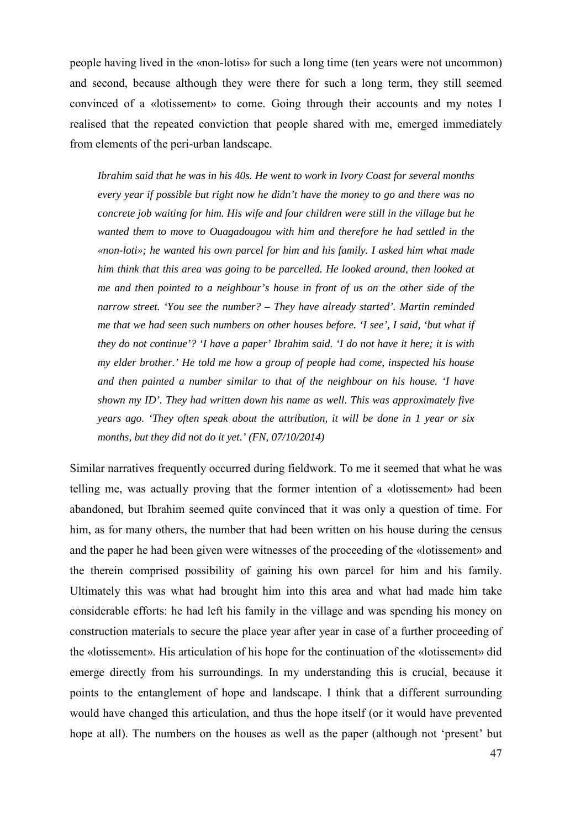people having lived in the «non-lotis» for such a long time (ten years were not uncommon) and second, because although they were there for such a long term, they still seemed convinced of a «lotissement» to come. Going through their accounts and my notes I realised that the repeated conviction that people shared with me, emerged immediately from elements of the peri-urban landscape.

*Ibrahim said that he was in his 40s. He went to work in Ivory Coast for several months every year if possible but right now he didn't have the money to go and there was no concrete job waiting for him. His wife and four children were still in the village but he wanted them to move to Ouagadougou with him and therefore he had settled in the «non-loti»; he wanted his own parcel for him and his family. I asked him what made him think that this area was going to be parcelled. He looked around, then looked at me and then pointed to a neighbour's house in front of us on the other side of the narrow street. 'You see the number? – They have already started'. Martin reminded me that we had seen such numbers on other houses before. 'I see', I said, 'but what if they do not continue'? 'I have a paper' Ibrahim said. 'I do not have it here; it is with my elder brother.' He told me how a group of people had come, inspected his house and then painted a number similar to that of the neighbour on his house. 'I have shown my ID'. They had written down his name as well. This was approximately five years ago. 'They often speak about the attribution, it will be done in 1 year or six months, but they did not do it yet.' (FN, 07/10/2014)* 

Similar narratives frequently occurred during fieldwork. To me it seemed that what he was telling me, was actually proving that the former intention of a «lotissement» had been abandoned, but Ibrahim seemed quite convinced that it was only a question of time. For him, as for many others, the number that had been written on his house during the census and the paper he had been given were witnesses of the proceeding of the «lotissement» and the therein comprised possibility of gaining his own parcel for him and his family. Ultimately this was what had brought him into this area and what had made him take considerable efforts: he had left his family in the village and was spending his money on construction materials to secure the place year after year in case of a further proceeding of the «lotissement». His articulation of his hope for the continuation of the «lotissement» did emerge directly from his surroundings. In my understanding this is crucial, because it points to the entanglement of hope and landscape. I think that a different surrounding would have changed this articulation, and thus the hope itself (or it would have prevented hope at all). The numbers on the houses as well as the paper (although not 'present' but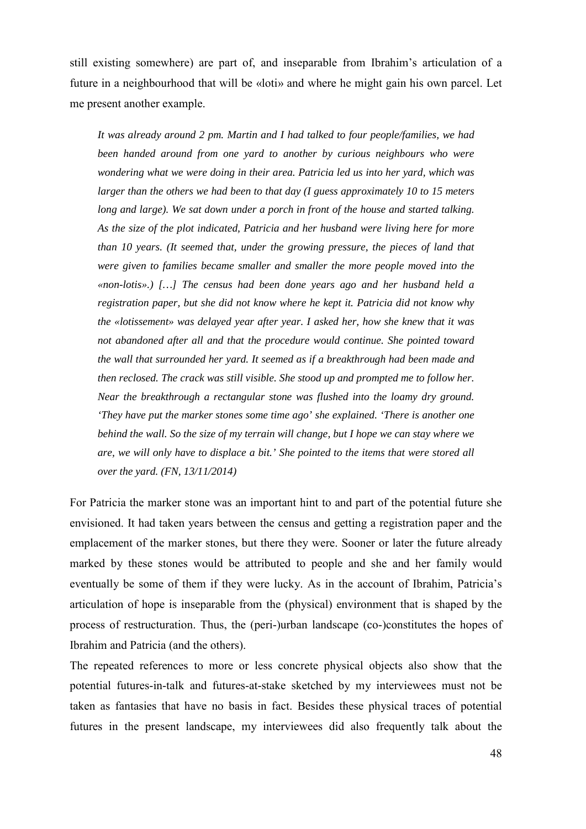still existing somewhere) are part of, and inseparable from Ibrahim's articulation of a future in a neighbourhood that will be «loti» and where he might gain his own parcel. Let me present another example.

*It was already around 2 pm. Martin and I had talked to four people/families, we had been handed around from one yard to another by curious neighbours who were wondering what we were doing in their area. Patricia led us into her yard, which was larger than the others we had been to that day (I guess approximately 10 to 15 meters*  long and large). We sat down under a porch in front of the house and started talking. *As the size of the plot indicated, Patricia and her husband were living here for more than 10 years. (It seemed that, under the growing pressure, the pieces of land that were given to families became smaller and smaller the more people moved into the «non-lotis».) […] The census had been done years ago and her husband held a registration paper, but she did not know where he kept it. Patricia did not know why the «lotissement» was delayed year after year. I asked her, how she knew that it was not abandoned after all and that the procedure would continue. She pointed toward the wall that surrounded her yard. It seemed as if a breakthrough had been made and then reclosed. The crack was still visible. She stood up and prompted me to follow her. Near the breakthrough a rectangular stone was flushed into the loamy dry ground. 'They have put the marker stones some time ago' she explained. 'There is another one behind the wall. So the size of my terrain will change, but I hope we can stay where we are, we will only have to displace a bit.' She pointed to the items that were stored all over the yard. (FN, 13/11/2014)* 

For Patricia the marker stone was an important hint to and part of the potential future she envisioned. It had taken years between the census and getting a registration paper and the emplacement of the marker stones, but there they were. Sooner or later the future already marked by these stones would be attributed to people and she and her family would eventually be some of them if they were lucky. As in the account of Ibrahim, Patricia's articulation of hope is inseparable from the (physical) environment that is shaped by the process of restructuration. Thus, the (peri-)urban landscape (co-)constitutes the hopes of Ibrahim and Patricia (and the others).

The repeated references to more or less concrete physical objects also show that the potential futures-in-talk and futures-at-stake sketched by my interviewees must not be taken as fantasies that have no basis in fact. Besides these physical traces of potential futures in the present landscape, my interviewees did also frequently talk about the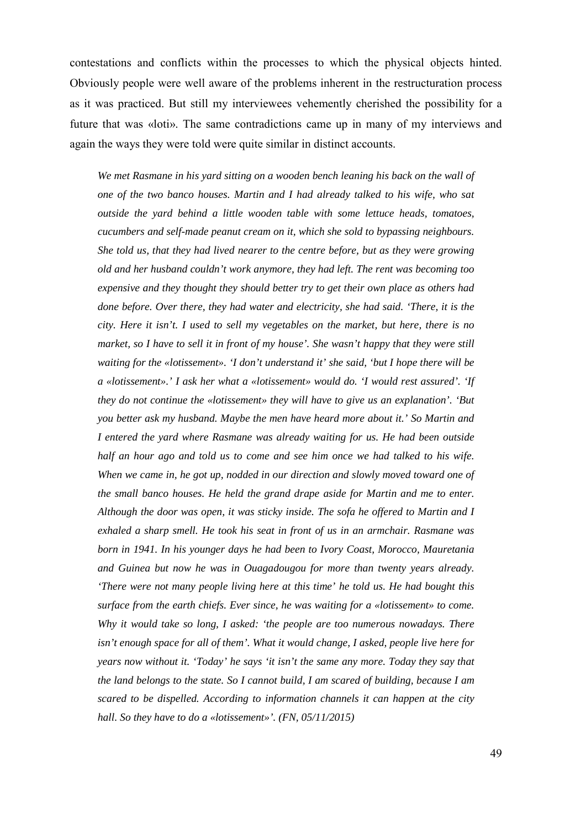contestations and conflicts within the processes to which the physical objects hinted. Obviously people were well aware of the problems inherent in the restructuration process as it was practiced. But still my interviewees vehemently cherished the possibility for a future that was «loti». The same contradictions came up in many of my interviews and again the ways they were told were quite similar in distinct accounts.

*We met Rasmane in his yard sitting on a wooden bench leaning his back on the wall of one of the two banco houses. Martin and I had already talked to his wife, who sat outside the yard behind a little wooden table with some lettuce heads, tomatoes, cucumbers and self-made peanut cream on it, which she sold to bypassing neighbours. She told us, that they had lived nearer to the centre before, but as they were growing old and her husband couldn't work anymore, they had left. The rent was becoming too expensive and they thought they should better try to get their own place as others had done before. Over there, they had water and electricity, she had said. 'There, it is the city. Here it isn't. I used to sell my vegetables on the market, but here, there is no market, so I have to sell it in front of my house'. She wasn't happy that they were still waiting for the «lotissement». 'I don't understand it' she said, 'but I hope there will be a «lotissement».' I ask her what a «lotissement» would do. 'I would rest assured'. 'If they do not continue the «lotissement» they will have to give us an explanation'. 'But you better ask my husband. Maybe the men have heard more about it.' So Martin and I entered the yard where Rasmane was already waiting for us. He had been outside half an hour ago and told us to come and see him once we had talked to his wife. When we came in, he got up, nodded in our direction and slowly moved toward one of the small banco houses. He held the grand drape aside for Martin and me to enter. Although the door was open, it was sticky inside. The sofa he offered to Martin and I exhaled a sharp smell. He took his seat in front of us in an armchair. Rasmane was born in 1941. In his younger days he had been to Ivory Coast, Morocco, Mauretania and Guinea but now he was in Ouagadougou for more than twenty years already. 'There were not many people living here at this time' he told us. He had bought this surface from the earth chiefs. Ever since, he was waiting for a «lotissement» to come. Why it would take so long, I asked: 'the people are too numerous nowadays. There isn't enough space for all of them'. What it would change, I asked, people live here for years now without it. 'Today' he says 'it isn't the same any more. Today they say that the land belongs to the state. So I cannot build, I am scared of building, because I am scared to be dispelled. According to information channels it can happen at the city hall. So they have to do a «lotissement»'. (FN, 05/11/2015)*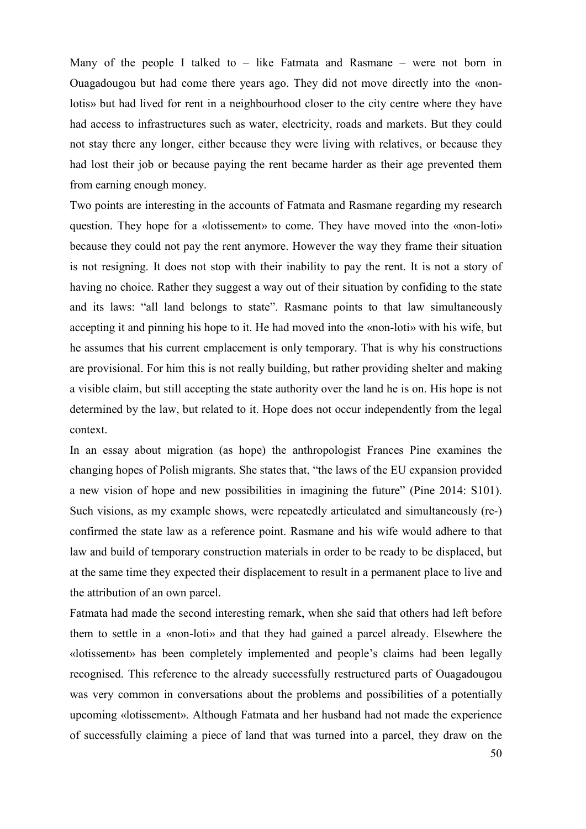Many of the people I talked to  $-$  like Fatmata and Rasmane  $-$  were not born in Ouagadougou but had come there years ago. They did not move directly into the «nonlotis» but had lived for rent in a neighbourhood closer to the city centre where they have had access to infrastructures such as water, electricity, roads and markets. But they could not stay there any longer, either because they were living with relatives, or because they had lost their job or because paying the rent became harder as their age prevented them from earning enough money.

Two points are interesting in the accounts of Fatmata and Rasmane regarding my research question. They hope for a «lotissement» to come. They have moved into the «non-loti» because they could not pay the rent anymore. However the way they frame their situation is not resigning. It does not stop with their inability to pay the rent. It is not a story of having no choice. Rather they suggest a way out of their situation by confiding to the state and its laws: "all land belongs to state". Rasmane points to that law simultaneously accepting it and pinning his hope to it. He had moved into the «non-loti» with his wife, but he assumes that his current emplacement is only temporary. That is why his constructions are provisional. For him this is not really building, but rather providing shelter and making a visible claim, but still accepting the state authority over the land he is on. His hope is not determined by the law, but related to it. Hope does not occur independently from the legal context.

In an essay about migration (as hope) the anthropologist Frances Pine examines the changing hopes of Polish migrants. She states that, "the laws of the EU expansion provided a new vision of hope and new possibilities in imagining the future" (Pine 2014: S101). Such visions, as my example shows, were repeatedly articulated and simultaneously (re-) confirmed the state law as a reference point. Rasmane and his wife would adhere to that law and build of temporary construction materials in order to be ready to be displaced, but at the same time they expected their displacement to result in a permanent place to live and the attribution of an own parcel.

Fatmata had made the second interesting remark, when she said that others had left before them to settle in a «non-loti» and that they had gained a parcel already. Elsewhere the «lotissement» has been completely implemented and people's claims had been legally recognised. This reference to the already successfully restructured parts of Ouagadougou was very common in conversations about the problems and possibilities of a potentially upcoming «lotissement». Although Fatmata and her husband had not made the experience of successfully claiming a piece of land that was turned into a parcel, they draw on the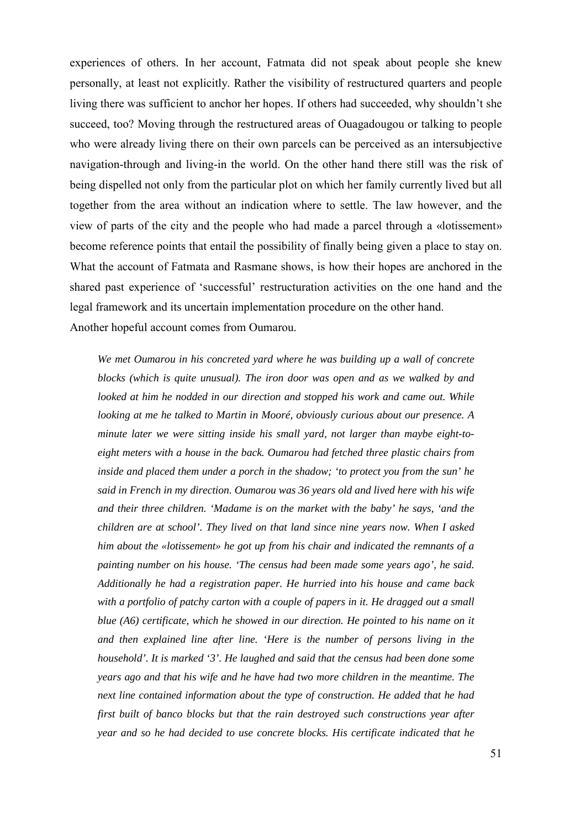experiences of others. In her account, Fatmata did not speak about people she knew personally, at least not explicitly. Rather the visibility of restructured quarters and people living there was sufficient to anchor her hopes. If others had succeeded, why shouldn't she succeed, too? Moving through the restructured areas of Ouagadougou or talking to people who were already living there on their own parcels can be perceived as an intersubjective navigation-through and living-in the world. On the other hand there still was the risk of being dispelled not only from the particular plot on which her family currently lived but all together from the area without an indication where to settle. The law however, and the view of parts of the city and the people who had made a parcel through a «lotissement» become reference points that entail the possibility of finally being given a place to stay on. What the account of Fatmata and Rasmane shows, is how their hopes are anchored in the shared past experience of 'successful' restructuration activities on the one hand and the legal framework and its uncertain implementation procedure on the other hand. Another hopeful account comes from Oumarou.

*We met Oumarou in his concreted yard where he was building up a wall of concrete blocks (which is quite unusual). The iron door was open and as we walked by and looked at him he nodded in our direction and stopped his work and came out. While looking at me he talked to Martin in Mooré, obviously curious about our presence. A minute later we were sitting inside his small yard, not larger than maybe eight-toeight meters with a house in the back. Oumarou had fetched three plastic chairs from inside and placed them under a porch in the shadow; 'to protect you from the sun' he said in French in my direction. Oumarou was 36 years old and lived here with his wife and their three children. 'Madame is on the market with the baby' he says, 'and the children are at school'. They lived on that land since nine years now. When I asked him about the «lotissement» he got up from his chair and indicated the remnants of a painting number on his house. 'The census had been made some years ago', he said. Additionally he had a registration paper. He hurried into his house and came back with a portfolio of patchy carton with a couple of papers in it. He dragged out a small blue (A6) certificate, which he showed in our direction. He pointed to his name on it and then explained line after line. 'Here is the number of persons living in the household'. It is marked '3'. He laughed and said that the census had been done some years ago and that his wife and he have had two more children in the meantime. The next line contained information about the type of construction. He added that he had first built of banco blocks but that the rain destroyed such constructions year after year and so he had decided to use concrete blocks. His certificate indicated that he*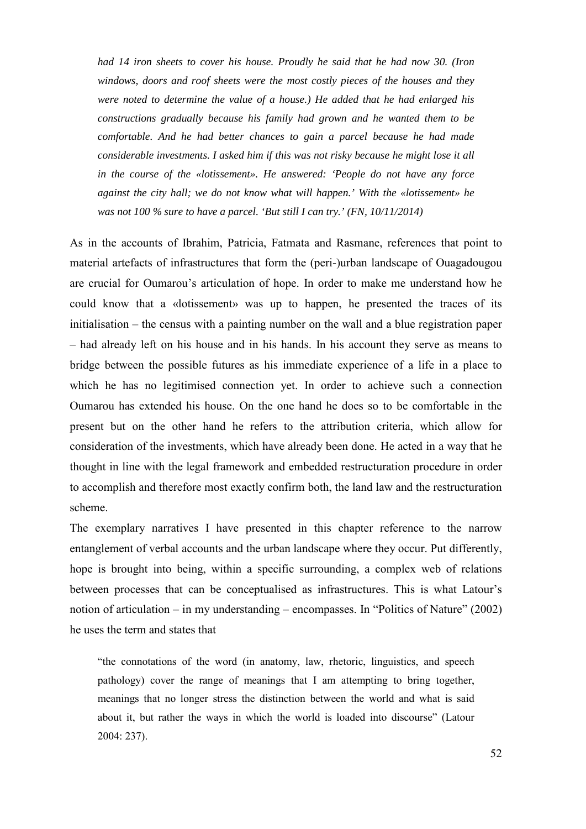*had 14 iron sheets to cover his house. Proudly he said that he had now 30. (Iron windows, doors and roof sheets were the most costly pieces of the houses and they were noted to determine the value of a house.) He added that he had enlarged his constructions gradually because his family had grown and he wanted them to be comfortable. And he had better chances to gain a parcel because he had made considerable investments. I asked him if this was not risky because he might lose it all in the course of the «lotissement». He answered: 'People do not have any force against the city hall; we do not know what will happen.' With the «lotissement» he was not 100 % sure to have a parcel. 'But still I can try.' (FN, 10/11/2014)* 

As in the accounts of Ibrahim, Patricia, Fatmata and Rasmane, references that point to material artefacts of infrastructures that form the (peri-)urban landscape of Ouagadougou are crucial for Oumarou's articulation of hope. In order to make me understand how he could know that a «lotissement» was up to happen, he presented the traces of its initialisation – the census with a painting number on the wall and a blue registration paper – had already left on his house and in his hands. In his account they serve as means to bridge between the possible futures as his immediate experience of a life in a place to which he has no legitimised connection yet. In order to achieve such a connection Oumarou has extended his house. On the one hand he does so to be comfortable in the present but on the other hand he refers to the attribution criteria, which allow for consideration of the investments, which have already been done. He acted in a way that he thought in line with the legal framework and embedded restructuration procedure in order to accomplish and therefore most exactly confirm both, the land law and the restructuration scheme.

The exemplary narratives I have presented in this chapter reference to the narrow entanglement of verbal accounts and the urban landscape where they occur. Put differently, hope is brought into being, within a specific surrounding, a complex web of relations between processes that can be conceptualised as infrastructures. This is what Latour's notion of articulation – in my understanding – encompasses. In "Politics of Nature" (2002) he uses the term and states that

"the connotations of the word (in anatomy, law, rhetoric, linguistics, and speech pathology) cover the range of meanings that I am attempting to bring together, meanings that no longer stress the distinction between the world and what is said about it, but rather the ways in which the world is loaded into discourse" (Latour 2004: 237).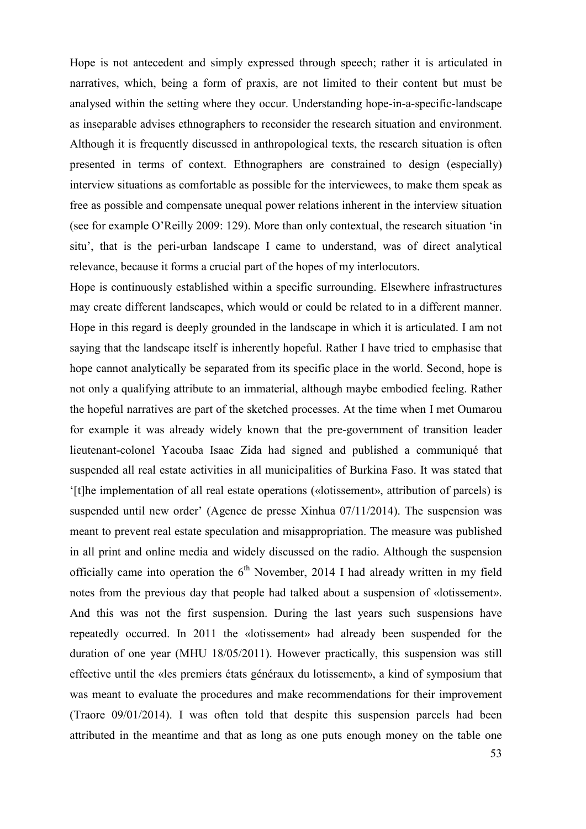Hope is not antecedent and simply expressed through speech; rather it is articulated in narratives, which, being a form of praxis, are not limited to their content but must be analysed within the setting where they occur. Understanding hope-in-a-specific-landscape as inseparable advises ethnographers to reconsider the research situation and environment. Although it is frequently discussed in anthropological texts, the research situation is often presented in terms of context. Ethnographers are constrained to design (especially) interview situations as comfortable as possible for the interviewees, to make them speak as free as possible and compensate unequal power relations inherent in the interview situation (see for example O'Reilly 2009: 129). More than only contextual, the research situation 'in situ', that is the peri-urban landscape I came to understand, was of direct analytical relevance, because it forms a crucial part of the hopes of my interlocutors.

Hope is continuously established within a specific surrounding. Elsewhere infrastructures may create different landscapes, which would or could be related to in a different manner. Hope in this regard is deeply grounded in the landscape in which it is articulated. I am not saying that the landscape itself is inherently hopeful. Rather I have tried to emphasise that hope cannot analytically be separated from its specific place in the world. Second, hope is not only a qualifying attribute to an immaterial, although maybe embodied feeling. Rather the hopeful narratives are part of the sketched processes. At the time when I met Oumarou for example it was already widely known that the pre-government of transition leader lieutenant-colonel Yacouba Isaac Zida had signed and published a communiqué that suspended all real estate activities in all municipalities of Burkina Faso. It was stated that '[t]he implementation of all real estate operations («lotissement», attribution of parcels) is suspended until new order' (Agence de presse Xinhua 07/11/2014). The suspension was meant to prevent real estate speculation and misappropriation. The measure was published in all print and online media and widely discussed on the radio. Although the suspension officially came into operation the  $6<sup>th</sup>$  November, 2014 I had already written in my field notes from the previous day that people had talked about a suspension of «lotissement». And this was not the first suspension. During the last years such suspensions have repeatedly occurred. In 2011 the «lotissement» had already been suspended for the duration of one year (MHU 18/05/2011). However practically, this suspension was still effective until the «les premiers états généraux du lotissement», a kind of symposium that was meant to evaluate the procedures and make recommendations for their improvement (Traore 09/01/2014). I was often told that despite this suspension parcels had been attributed in the meantime and that as long as one puts enough money on the table one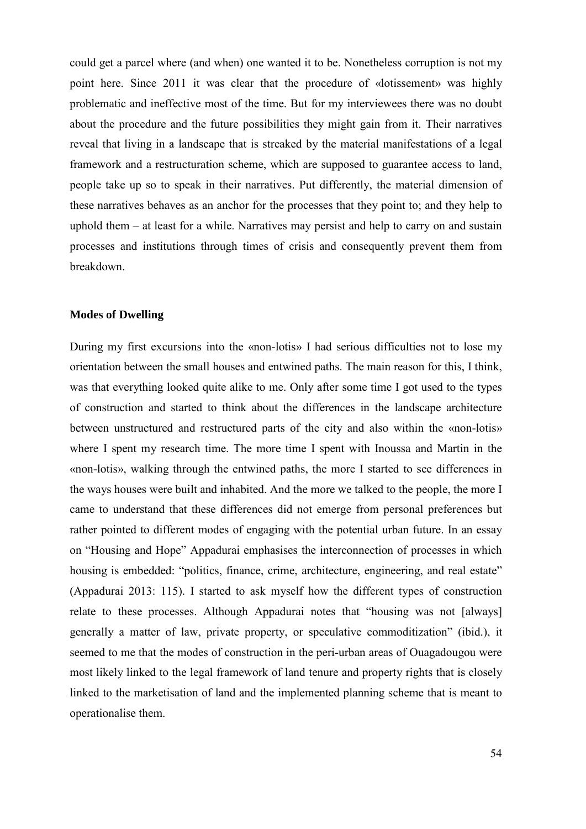could get a parcel where (and when) one wanted it to be. Nonetheless corruption is not my point here. Since 2011 it was clear that the procedure of «lotissement» was highly problematic and ineffective most of the time. But for my interviewees there was no doubt about the procedure and the future possibilities they might gain from it. Their narratives reveal that living in a landscape that is streaked by the material manifestations of a legal framework and a restructuration scheme, which are supposed to guarantee access to land, people take up so to speak in their narratives. Put differently, the material dimension of these narratives behaves as an anchor for the processes that they point to; and they help to uphold them – at least for a while. Narratives may persist and help to carry on and sustain processes and institutions through times of crisis and consequently prevent them from breakdown.

#### **Modes of Dwelling**

During my first excursions into the «non-lotis» I had serious difficulties not to lose my orientation between the small houses and entwined paths. The main reason for this, I think, was that everything looked quite alike to me. Only after some time I got used to the types of construction and started to think about the differences in the landscape architecture between unstructured and restructured parts of the city and also within the «non-lotis» where I spent my research time. The more time I spent with Inoussa and Martin in the «non-lotis», walking through the entwined paths, the more I started to see differences in the ways houses were built and inhabited. And the more we talked to the people, the more I came to understand that these differences did not emerge from personal preferences but rather pointed to different modes of engaging with the potential urban future. In an essay on "Housing and Hope" Appadurai emphasises the interconnection of processes in which housing is embedded: "politics, finance, crime, architecture, engineering, and real estate" (Appadurai 2013: 115). I started to ask myself how the different types of construction relate to these processes. Although Appadurai notes that "housing was not [always] generally a matter of law, private property, or speculative commoditization" (ibid.), it seemed to me that the modes of construction in the peri-urban areas of Ouagadougou were most likely linked to the legal framework of land tenure and property rights that is closely linked to the marketisation of land and the implemented planning scheme that is meant to operationalise them.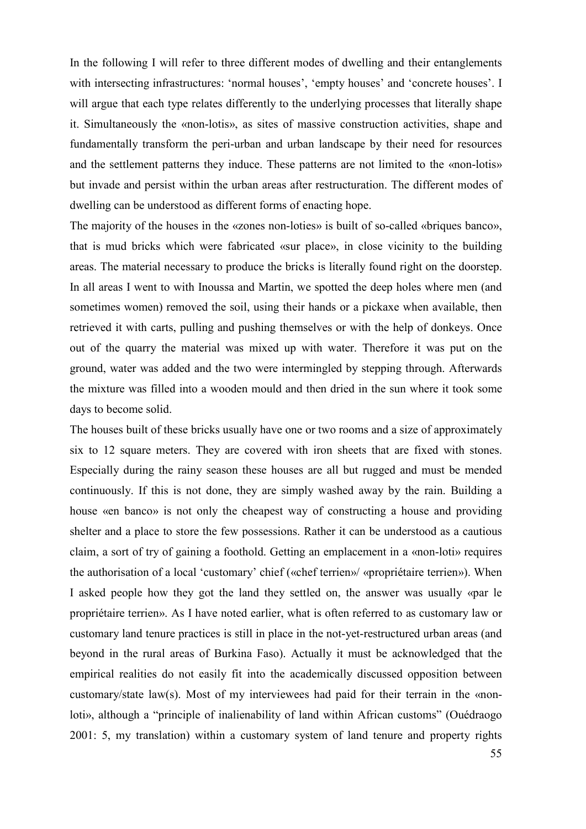In the following I will refer to three different modes of dwelling and their entanglements with intersecting infrastructures: 'normal houses', 'empty houses' and 'concrete houses'. I will argue that each type relates differently to the underlying processes that literally shape it. Simultaneously the «non-lotis», as sites of massive construction activities, shape and fundamentally transform the peri-urban and urban landscape by their need for resources and the settlement patterns they induce. These patterns are not limited to the «non-lotis» but invade and persist within the urban areas after restructuration. The different modes of dwelling can be understood as different forms of enacting hope.

The majority of the houses in the «zones non-loties» is built of so-called «briques banco», that is mud bricks which were fabricated «sur place», in close vicinity to the building areas. The material necessary to produce the bricks is literally found right on the doorstep. In all areas I went to with Inoussa and Martin, we spotted the deep holes where men (and sometimes women) removed the soil, using their hands or a pickaxe when available, then retrieved it with carts, pulling and pushing themselves or with the help of donkeys. Once out of the quarry the material was mixed up with water. Therefore it was put on the ground, water was added and the two were intermingled by stepping through. Afterwards the mixture was filled into a wooden mould and then dried in the sun where it took some days to become solid.

The houses built of these bricks usually have one or two rooms and a size of approximately six to 12 square meters. They are covered with iron sheets that are fixed with stones. Especially during the rainy season these houses are all but rugged and must be mended continuously. If this is not done, they are simply washed away by the rain. Building a house «en banco» is not only the cheapest way of constructing a house and providing shelter and a place to store the few possessions. Rather it can be understood as a cautious claim, a sort of try of gaining a foothold. Getting an emplacement in a «non-loti» requires the authorisation of a local 'customary' chief («chef terrien»/ «propriétaire terrien»). When I asked people how they got the land they settled on, the answer was usually «par le propriétaire terrien». As I have noted earlier, what is often referred to as customary law or customary land tenure practices is still in place in the not-yet-restructured urban areas (and beyond in the rural areas of Burkina Faso). Actually it must be acknowledged that the empirical realities do not easily fit into the academically discussed opposition between customary/state law(s). Most of my interviewees had paid for their terrain in the «nonloti», although a "principle of inalienability of land within African customs" (Ouédraogo 2001: 5, my translation) within a customary system of land tenure and property rights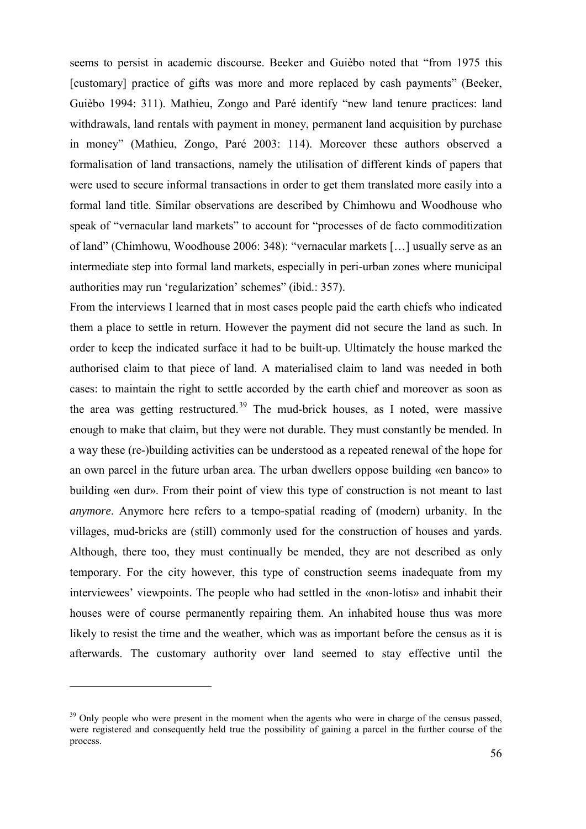seems to persist in academic discourse. Beeker and Guièbo noted that "from 1975 this [customary] practice of gifts was more and more replaced by cash payments" (Beeker, Guièbo 1994: 311). Mathieu, Zongo and Paré identify "new land tenure practices: land withdrawals, land rentals with payment in money, permanent land acquisition by purchase in money" (Mathieu, Zongo, Paré 2003: 114). Moreover these authors observed a formalisation of land transactions, namely the utilisation of different kinds of papers that were used to secure informal transactions in order to get them translated more easily into a formal land title. Similar observations are described by Chimhowu and Woodhouse who speak of "vernacular land markets" to account for "processes of de facto commoditization of land" (Chimhowu, Woodhouse 2006: 348): "vernacular markets […] usually serve as an intermediate step into formal land markets, especially in peri-urban zones where municipal authorities may run 'regularization' schemes" (ibid.: 357).

From the interviews I learned that in most cases people paid the earth chiefs who indicated them a place to settle in return. However the payment did not secure the land as such. In order to keep the indicated surface it had to be built-up. Ultimately the house marked the authorised claim to that piece of land. A materialised claim to land was needed in both cases: to maintain the right to settle accorded by the earth chief and moreover as soon as the area was getting restructured.<sup>[39](#page-57-0)</sup> The mud-brick houses, as I noted, were massive enough to make that claim, but they were not durable. They must constantly be mended. In a way these (re-)building activities can be understood as a repeated renewal of the hope for an own parcel in the future urban area. The urban dwellers oppose building «en banco» to building «en dur». From their point of view this type of construction is not meant to last *anymore*. Anymore here refers to a tempo-spatial reading of (modern) urbanity. In the villages, mud-bricks are (still) commonly used for the construction of houses and yards. Although, there too, they must continually be mended, they are not described as only temporary. For the city however, this type of construction seems inadequate from my interviewees' viewpoints. The people who had settled in the «non-lotis» and inhabit their houses were of course permanently repairing them. An inhabited house thus was more likely to resist the time and the weather, which was as important before the census as it is afterwards. The customary authority over land seemed to stay effective until the

<u>.</u>

<span id="page-57-0"></span><sup>&</sup>lt;sup>39</sup> Only people who were present in the moment when the agents who were in charge of the census passed, were registered and consequently held true the possibility of gaining a parcel in the further course of the process.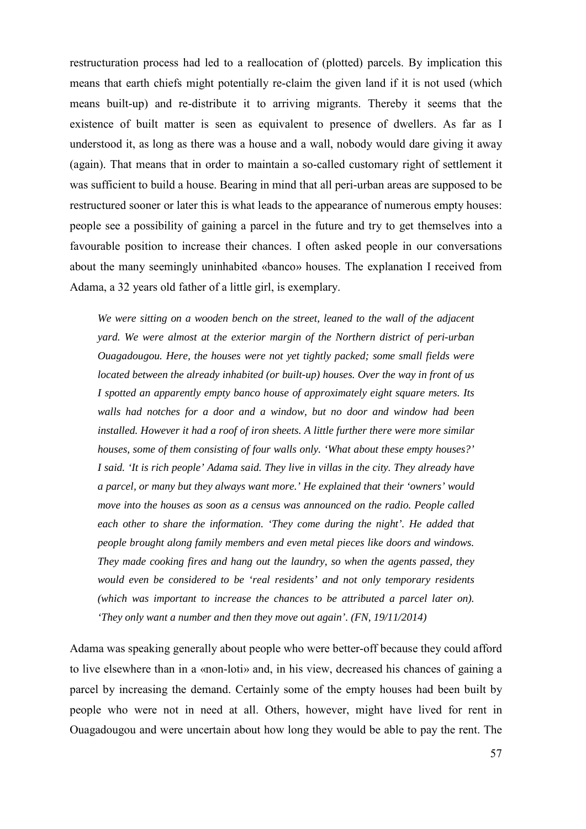restructuration process had led to a reallocation of (plotted) parcels. By implication this means that earth chiefs might potentially re-claim the given land if it is not used (which means built-up) and re-distribute it to arriving migrants. Thereby it seems that the existence of built matter is seen as equivalent to presence of dwellers. As far as I understood it, as long as there was a house and a wall, nobody would dare giving it away (again). That means that in order to maintain a so-called customary right of settlement it was sufficient to build a house. Bearing in mind that all peri-urban areas are supposed to be restructured sooner or later this is what leads to the appearance of numerous empty houses: people see a possibility of gaining a parcel in the future and try to get themselves into a favourable position to increase their chances. I often asked people in our conversations about the many seemingly uninhabited «banco» houses. The explanation I received from Adama, a 32 years old father of a little girl, is exemplary.

*We were sitting on a wooden bench on the street, leaned to the wall of the adjacent yard. We were almost at the exterior margin of the Northern district of peri-urban Ouagadougou. Here, the houses were not yet tightly packed; some small fields were located between the already inhabited (or built-up) houses. Over the way in front of us I spotted an apparently empty banco house of approximately eight square meters. Its walls had notches for a door and a window, but no door and window had been installed. However it had a roof of iron sheets. A little further there were more similar houses, some of them consisting of four walls only. 'What about these empty houses?' I said. 'It is rich people' Adama said. They live in villas in the city. They already have a parcel, or many but they always want more.' He explained that their 'owners' would move into the houses as soon as a census was announced on the radio. People called*  each other to share the information. 'They come during the night'. He added that *people brought along family members and even metal pieces like doors and windows. They made cooking fires and hang out the laundry, so when the agents passed, they would even be considered to be 'real residents' and not only temporary residents (which was important to increase the chances to be attributed a parcel later on). 'They only want a number and then they move out again'. (FN, 19/11/2014)* 

Adama was speaking generally about people who were better-off because they could afford to live elsewhere than in a «non-loti» and, in his view, decreased his chances of gaining a parcel by increasing the demand. Certainly some of the empty houses had been built by people who were not in need at all. Others, however, might have lived for rent in Ouagadougou and were uncertain about how long they would be able to pay the rent. The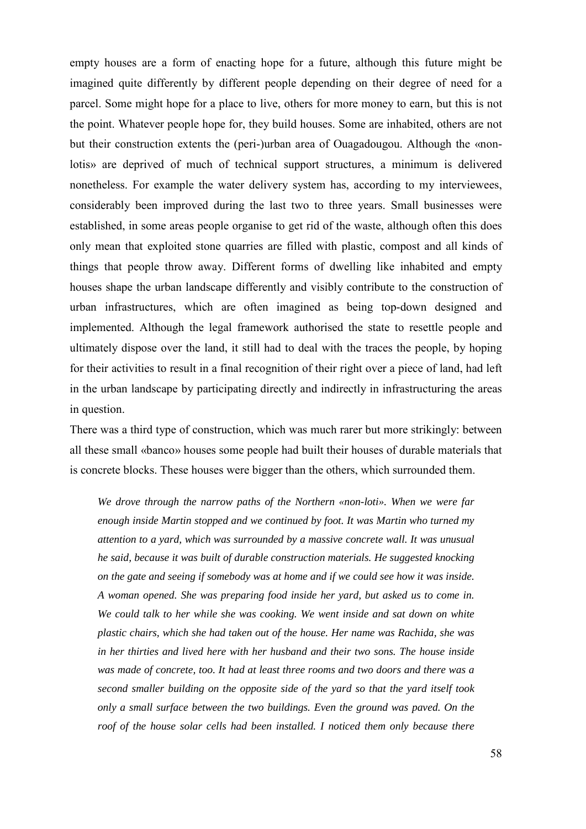empty houses are a form of enacting hope for a future, although this future might be imagined quite differently by different people depending on their degree of need for a parcel. Some might hope for a place to live, others for more money to earn, but this is not the point. Whatever people hope for, they build houses. Some are inhabited, others are not but their construction extents the (peri-)urban area of Ouagadougou. Although the «nonlotis» are deprived of much of technical support structures, a minimum is delivered nonetheless. For example the water delivery system has, according to my interviewees, considerably been improved during the last two to three years. Small businesses were established, in some areas people organise to get rid of the waste, although often this does only mean that exploited stone quarries are filled with plastic, compost and all kinds of things that people throw away. Different forms of dwelling like inhabited and empty houses shape the urban landscape differently and visibly contribute to the construction of urban infrastructures, which are often imagined as being top-down designed and implemented. Although the legal framework authorised the state to resettle people and ultimately dispose over the land, it still had to deal with the traces the people, by hoping for their activities to result in a final recognition of their right over a piece of land, had left in the urban landscape by participating directly and indirectly in infrastructuring the areas in question.

There was a third type of construction, which was much rarer but more strikingly: between all these small «banco» houses some people had built their houses of durable materials that is concrete blocks. These houses were bigger than the others, which surrounded them.

*We drove through the narrow paths of the Northern «non-loti». When we were far enough inside Martin stopped and we continued by foot. It was Martin who turned my attention to a yard, which was surrounded by a massive concrete wall. It was unusual he said, because it was built of durable construction materials. He suggested knocking on the gate and seeing if somebody was at home and if we could see how it was inside. A woman opened. She was preparing food inside her yard, but asked us to come in. We could talk to her while she was cooking. We went inside and sat down on white plastic chairs, which she had taken out of the house. Her name was Rachida, she was in her thirties and lived here with her husband and their two sons. The house inside was made of concrete, too. It had at least three rooms and two doors and there was a second smaller building on the opposite side of the yard so that the yard itself took only a small surface between the two buildings. Even the ground was paved. On the roof of the house solar cells had been installed. I noticed them only because there*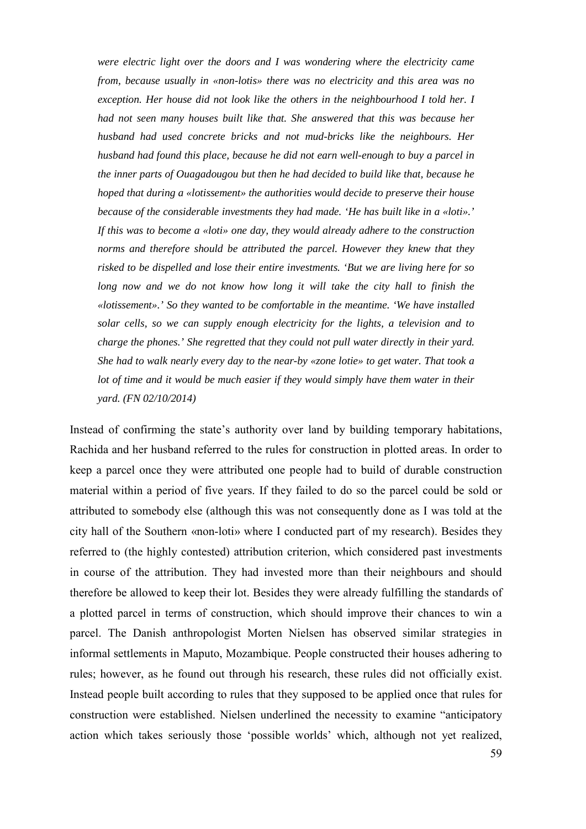*were electric light over the doors and I was wondering where the electricity came from, because usually in «non-lotis» there was no electricity and this area was no exception. Her house did not look like the others in the neighbourhood I told her. I had not seen many houses built like that. She answered that this was because her husband had used concrete bricks and not mud-bricks like the neighbours. Her husband had found this place, because he did not earn well-enough to buy a parcel in the inner parts of Ouagadougou but then he had decided to build like that, because he hoped that during a «lotissement» the authorities would decide to preserve their house because of the considerable investments they had made. 'He has built like in a «loti».' If this was to become a «loti» one day, they would already adhere to the construction norms and therefore should be attributed the parcel. However they knew that they risked to be dispelled and lose their entire investments. 'But we are living here for so*  long now and we do not know how long it will take the city hall to finish the *«lotissement».' So they wanted to be comfortable in the meantime. 'We have installed solar cells, so we can supply enough electricity for the lights, a television and to charge the phones.' She regretted that they could not pull water directly in their yard. She had to walk nearly every day to the near-by «zone lotie» to get water. That took a lot of time and it would be much easier if they would simply have them water in their yard. (FN 02/10/2014)* 

Instead of confirming the state's authority over land by building temporary habitations, Rachida and her husband referred to the rules for construction in plotted areas. In order to keep a parcel once they were attributed one people had to build of durable construction material within a period of five years. If they failed to do so the parcel could be sold or attributed to somebody else (although this was not consequently done as I was told at the city hall of the Southern «non-loti» where I conducted part of my research). Besides they referred to (the highly contested) attribution criterion, which considered past investments in course of the attribution. They had invested more than their neighbours and should therefore be allowed to keep their lot. Besides they were already fulfilling the standards of a plotted parcel in terms of construction, which should improve their chances to win a parcel. The Danish anthropologist Morten Nielsen has observed similar strategies in informal settlements in Maputo, Mozambique. People constructed their houses adhering to rules; however, as he found out through his research, these rules did not officially exist. Instead people built according to rules that they supposed to be applied once that rules for construction were established. Nielsen underlined the necessity to examine "anticipatory action which takes seriously those 'possible worlds' which, although not yet realized,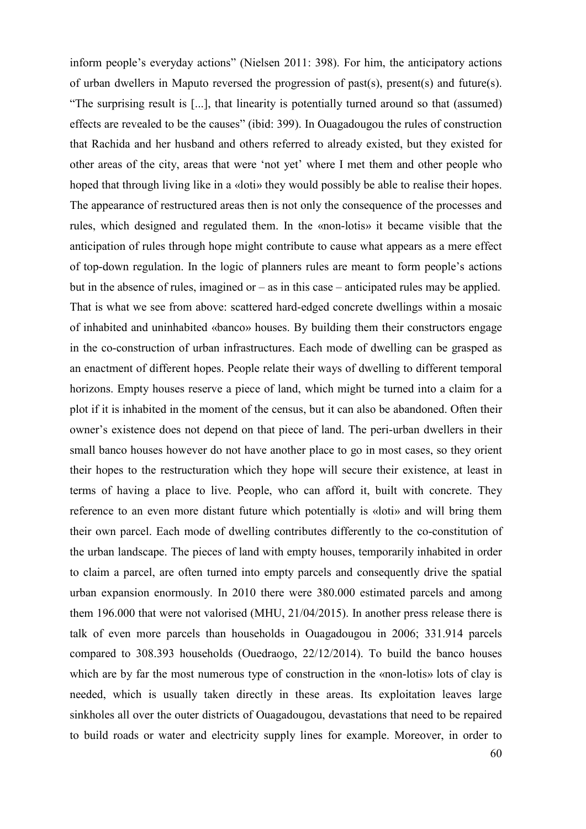inform people's everyday actions" (Nielsen 2011: 398). For him, the anticipatory actions of urban dwellers in Maputo reversed the progression of past(s), present(s) and future(s). "The surprising result is [...], that linearity is potentially turned around so that (assumed) effects are revealed to be the causes" (ibid: 399). In Ouagadougou the rules of construction that Rachida and her husband and others referred to already existed, but they existed for other areas of the city, areas that were 'not yet' where I met them and other people who hoped that through living like in a «loti» they would possibly be able to realise their hopes. The appearance of restructured areas then is not only the consequence of the processes and rules, which designed and regulated them. In the «non-lotis» it became visible that the anticipation of rules through hope might contribute to cause what appears as a mere effect of top-down regulation. In the logic of planners rules are meant to form people's actions but in the absence of rules, imagined or – as in this case – anticipated rules may be applied. That is what we see from above: scattered hard-edged concrete dwellings within a mosaic of inhabited and uninhabited «banco» houses. By building them their constructors engage in the co-construction of urban infrastructures. Each mode of dwelling can be grasped as an enactment of different hopes. People relate their ways of dwelling to different temporal horizons. Empty houses reserve a piece of land, which might be turned into a claim for a plot if it is inhabited in the moment of the census, but it can also be abandoned. Often their owner's existence does not depend on that piece of land. The peri-urban dwellers in their small banco houses however do not have another place to go in most cases, so they orient their hopes to the restructuration which they hope will secure their existence, at least in terms of having a place to live. People, who can afford it, built with concrete. They reference to an even more distant future which potentially is «loti» and will bring them their own parcel. Each mode of dwelling contributes differently to the co-constitution of the urban landscape. The pieces of land with empty houses, temporarily inhabited in order to claim a parcel, are often turned into empty parcels and consequently drive the spatial urban expansion enormously. In 2010 there were 380.000 estimated parcels and among them 196.000 that were not valorised (MHU, 21/04/2015). In another press release there is talk of even more parcels than households in Ouagadougou in 2006; 331.914 parcels compared to 308.393 households (Ouedraogo, 22/12/2014). To build the banco houses which are by far the most numerous type of construction in the «non-lotis» lots of clay is needed, which is usually taken directly in these areas. Its exploitation leaves large sinkholes all over the outer districts of Ouagadougou, devastations that need to be repaired to build roads or water and electricity supply lines for example. Moreover, in order to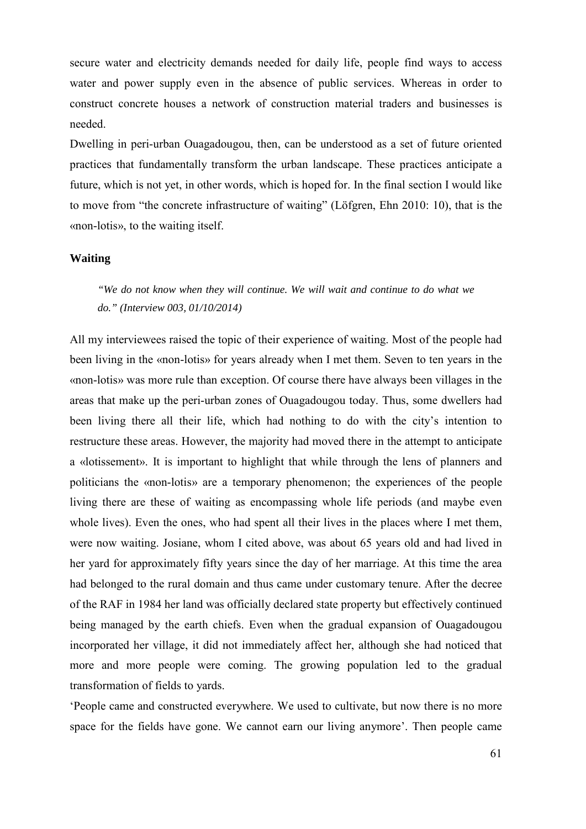secure water and electricity demands needed for daily life, people find ways to access water and power supply even in the absence of public services. Whereas in order to construct concrete houses a network of construction material traders and businesses is needed.

Dwelling in peri-urban Ouagadougou, then, can be understood as a set of future oriented practices that fundamentally transform the urban landscape. These practices anticipate a future, which is not yet, in other words, which is hoped for. In the final section I would like to move from "the concrete infrastructure of waiting" (Löfgren, Ehn 2010: 10), that is the «non-lotis», to the waiting itself.

### **Waiting**

*"We do not know when they will continue. We will wait and continue to do what we do." (Interview 003, 01/10/2014)* 

All my interviewees raised the topic of their experience of waiting. Most of the people had been living in the «non-lotis» for years already when I met them. Seven to ten years in the «non-lotis» was more rule than exception. Of course there have always been villages in the areas that make up the peri-urban zones of Ouagadougou today. Thus, some dwellers had been living there all their life, which had nothing to do with the city's intention to restructure these areas. However, the majority had moved there in the attempt to anticipate a «lotissement». It is important to highlight that while through the lens of planners and politicians the «non-lotis» are a temporary phenomenon; the experiences of the people living there are these of waiting as encompassing whole life periods (and maybe even whole lives). Even the ones, who had spent all their lives in the places where I met them, were now waiting. Josiane, whom I cited above, was about 65 years old and had lived in her yard for approximately fifty years since the day of her marriage. At this time the area had belonged to the rural domain and thus came under customary tenure. After the decree of the RAF in 1984 her land was officially declared state property but effectively continued being managed by the earth chiefs. Even when the gradual expansion of Ouagadougou incorporated her village, it did not immediately affect her, although she had noticed that more and more people were coming. The growing population led to the gradual transformation of fields to yards.

'People came and constructed everywhere. We used to cultivate, but now there is no more space for the fields have gone. We cannot earn our living anymore'. Then people came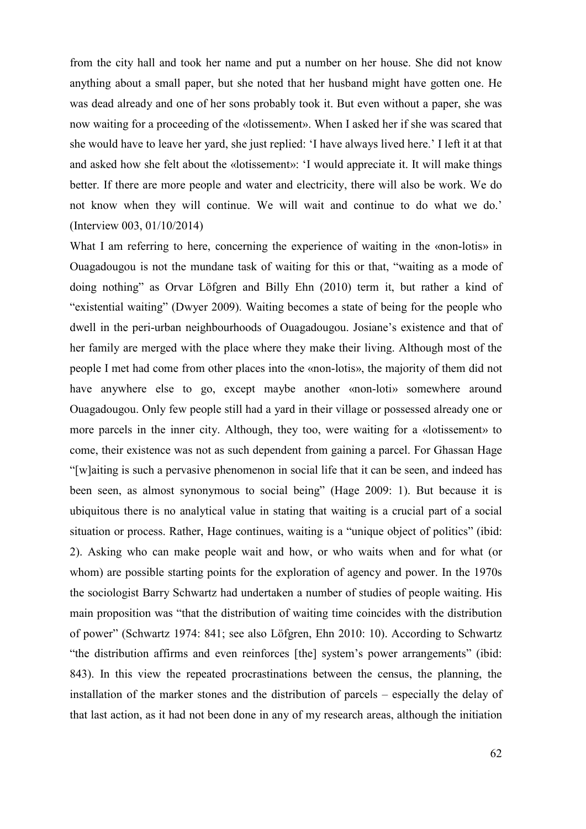from the city hall and took her name and put a number on her house. She did not know anything about a small paper, but she noted that her husband might have gotten one. He was dead already and one of her sons probably took it. But even without a paper, she was now waiting for a proceeding of the «lotissement». When I asked her if she was scared that she would have to leave her yard, she just replied: 'I have always lived here.' I left it at that and asked how she felt about the «lotissement»: 'I would appreciate it. It will make things better. If there are more people and water and electricity, there will also be work. We do not know when they will continue. We will wait and continue to do what we do.' (Interview 003, 01/10/2014)

What I am referring to here, concerning the experience of waiting in the «non-lotis» in Ouagadougou is not the mundane task of waiting for this or that, "waiting as a mode of doing nothing" as Orvar Löfgren and Billy Ehn (2010) term it, but rather a kind of "existential waiting" (Dwyer 2009). Waiting becomes a state of being for the people who dwell in the peri-urban neighbourhoods of Ouagadougou. Josiane's existence and that of her family are merged with the place where they make their living. Although most of the people I met had come from other places into the «non-lotis», the majority of them did not have anywhere else to go, except maybe another «non-loti» somewhere around Ouagadougou. Only few people still had a yard in their village or possessed already one or more parcels in the inner city. Although, they too, were waiting for a «lotissement» to come, their existence was not as such dependent from gaining a parcel. For Ghassan Hage "[w]aiting is such a pervasive phenomenon in social life that it can be seen, and indeed has been seen, as almost synonymous to social being" (Hage 2009: 1). But because it is ubiquitous there is no analytical value in stating that waiting is a crucial part of a social situation or process. Rather, Hage continues, waiting is a "unique object of politics" (ibid: 2). Asking who can make people wait and how, or who waits when and for what (or whom) are possible starting points for the exploration of agency and power. In the 1970s the sociologist Barry Schwartz had undertaken a number of studies of people waiting. His main proposition was "that the distribution of waiting time coincides with the distribution of power" (Schwartz 1974: 841; see also Löfgren, Ehn 2010: 10). According to Schwartz "the distribution affirms and even reinforces [the] system's power arrangements" (ibid: 843). In this view the repeated procrastinations between the census, the planning, the installation of the marker stones and the distribution of parcels – especially the delay of that last action, as it had not been done in any of my research areas, although the initiation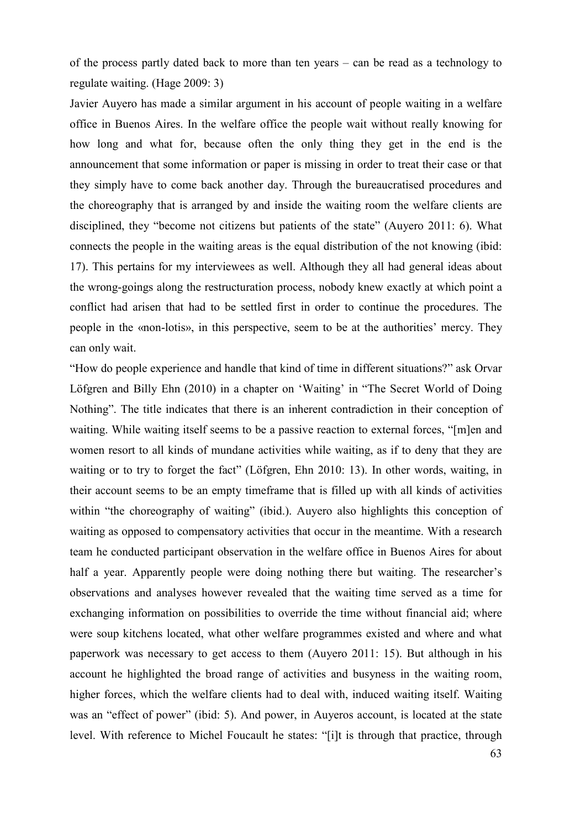of the process partly dated back to more than ten years – can be read as a technology to regulate waiting. (Hage 2009: 3)

Javier Auyero has made a similar argument in his account of people waiting in a welfare office in Buenos Aires. In the welfare office the people wait without really knowing for how long and what for, because often the only thing they get in the end is the announcement that some information or paper is missing in order to treat their case or that they simply have to come back another day. Through the bureaucratised procedures and the choreography that is arranged by and inside the waiting room the welfare clients are disciplined, they "become not citizens but patients of the state" (Auyero 2011: 6). What connects the people in the waiting areas is the equal distribution of the not knowing (ibid: 17). This pertains for my interviewees as well. Although they all had general ideas about the wrong-goings along the restructuration process, nobody knew exactly at which point a conflict had arisen that had to be settled first in order to continue the procedures. The people in the «non-lotis», in this perspective, seem to be at the authorities' mercy. They can only wait.

"How do people experience and handle that kind of time in different situations?" ask Orvar Löfgren and Billy Ehn (2010) in a chapter on 'Waiting' in "The Secret World of Doing Nothing". The title indicates that there is an inherent contradiction in their conception of waiting. While waiting itself seems to be a passive reaction to external forces, "[m]en and women resort to all kinds of mundane activities while waiting, as if to deny that they are waiting or to try to forget the fact" (Löfgren, Ehn 2010: 13). In other words, waiting, in their account seems to be an empty timeframe that is filled up with all kinds of activities within "the choreography of waiting" (ibid.). Auyero also highlights this conception of waiting as opposed to compensatory activities that occur in the meantime. With a research team he conducted participant observation in the welfare office in Buenos Aires for about half a year. Apparently people were doing nothing there but waiting. The researcher's observations and analyses however revealed that the waiting time served as a time for exchanging information on possibilities to override the time without financial aid; where were soup kitchens located, what other welfare programmes existed and where and what paperwork was necessary to get access to them (Auyero 2011: 15). But although in his account he highlighted the broad range of activities and busyness in the waiting room, higher forces, which the welfare clients had to deal with, induced waiting itself. Waiting was an "effect of power" (ibid: 5). And power, in Auyeros account, is located at the state level. With reference to Michel Foucault he states: "[i]t is through that practice, through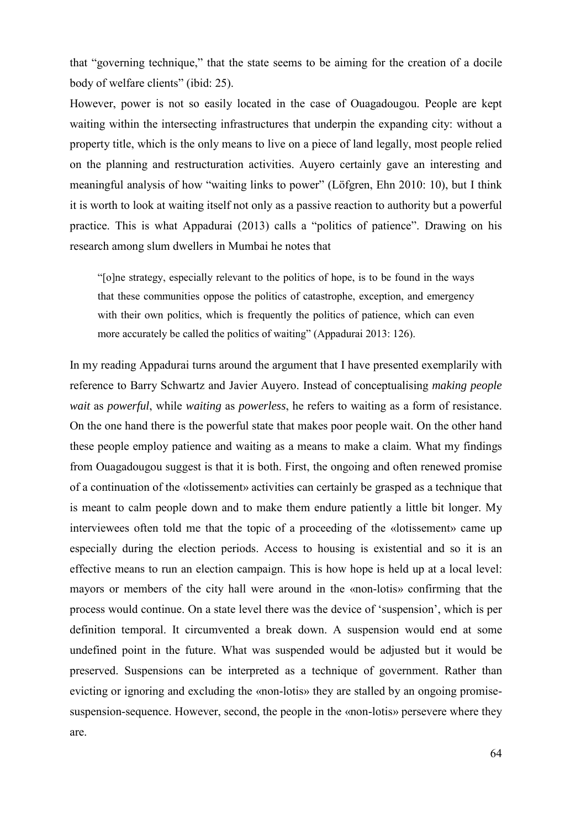that "governing technique," that the state seems to be aiming for the creation of a docile body of welfare clients" (ibid: 25).

However, power is not so easily located in the case of Ouagadougou. People are kept waiting within the intersecting infrastructures that underpin the expanding city: without a property title, which is the only means to live on a piece of land legally, most people relied on the planning and restructuration activities. Auyero certainly gave an interesting and meaningful analysis of how "waiting links to power" (Löfgren, Ehn 2010: 10), but I think it is worth to look at waiting itself not only as a passive reaction to authority but a powerful practice. This is what Appadurai (2013) calls a "politics of patience". Drawing on his research among slum dwellers in Mumbai he notes that

"[o]ne strategy, especially relevant to the politics of hope, is to be found in the ways that these communities oppose the politics of catastrophe, exception, and emergency with their own politics, which is frequently the politics of patience, which can even more accurately be called the politics of waiting" (Appadurai 2013: 126).

In my reading Appadurai turns around the argument that I have presented exemplarily with reference to Barry Schwartz and Javier Auyero. Instead of conceptualising *making people wait* as *powerful*, while *waiting* as *powerless*, he refers to waiting as a form of resistance. On the one hand there is the powerful state that makes poor people wait. On the other hand these people employ patience and waiting as a means to make a claim. What my findings from Ouagadougou suggest is that it is both. First, the ongoing and often renewed promise of a continuation of the «lotissement» activities can certainly be grasped as a technique that is meant to calm people down and to make them endure patiently a little bit longer. My interviewees often told me that the topic of a proceeding of the «lotissement» came up especially during the election periods. Access to housing is existential and so it is an effective means to run an election campaign. This is how hope is held up at a local level: mayors or members of the city hall were around in the «non-lotis» confirming that the process would continue. On a state level there was the device of 'suspension', which is per definition temporal. It circumvented a break down. A suspension would end at some undefined point in the future. What was suspended would be adjusted but it would be preserved. Suspensions can be interpreted as a technique of government. Rather than evicting or ignoring and excluding the «non-lotis» they are stalled by an ongoing promisesuspension-sequence. However, second, the people in the «non-lotis» persevere where they are.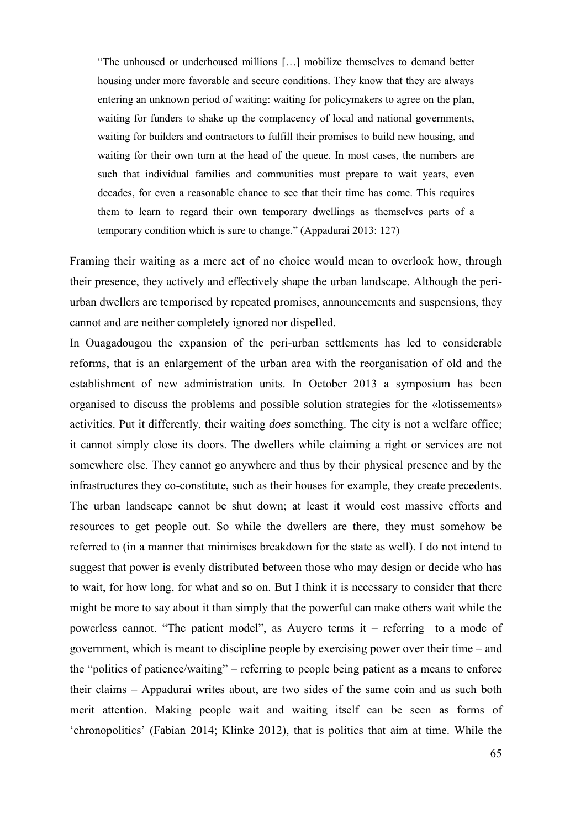"The unhoused or underhoused millions […] mobilize themselves to demand better housing under more favorable and secure conditions. They know that they are always entering an unknown period of waiting: waiting for policymakers to agree on the plan, waiting for funders to shake up the complacency of local and national governments, waiting for builders and contractors to fulfill their promises to build new housing, and waiting for their own turn at the head of the queue. In most cases, the numbers are such that individual families and communities must prepare to wait years, even decades, for even a reasonable chance to see that their time has come. This requires them to learn to regard their own temporary dwellings as themselves parts of a temporary condition which is sure to change." (Appadurai 2013: 127)

Framing their waiting as a mere act of no choice would mean to overlook how, through their presence, they actively and effectively shape the urban landscape. Although the periurban dwellers are temporised by repeated promises, announcements and suspensions, they cannot and are neither completely ignored nor dispelled.

In Ouagadougou the expansion of the peri-urban settlements has led to considerable reforms, that is an enlargement of the urban area with the reorganisation of old and the establishment of new administration units. In October 2013 a symposium has been organised to discuss the problems and possible solution strategies for the «lotissements» activities. Put it differently, their waiting *does* something. The city is not a welfare office; it cannot simply close its doors. The dwellers while claiming a right or services are not somewhere else. They cannot go anywhere and thus by their physical presence and by the infrastructures they co-constitute, such as their houses for example, they create precedents. The urban landscape cannot be shut down; at least it would cost massive efforts and resources to get people out. So while the dwellers are there, they must somehow be referred to (in a manner that minimises breakdown for the state as well). I do not intend to suggest that power is evenly distributed between those who may design or decide who has to wait, for how long, for what and so on. But I think it is necessary to consider that there might be more to say about it than simply that the powerful can make others wait while the powerless cannot. "The patient model", as Auyero terms it – referring to a mode of government, which is meant to discipline people by exercising power over their time – and the "politics of patience/waiting" – referring to people being patient as a means to enforce their claims – Appadurai writes about, are two sides of the same coin and as such both merit attention. Making people wait and waiting itself can be seen as forms of 'chronopolitics' (Fabian 2014; Klinke 2012), that is politics that aim at time. While the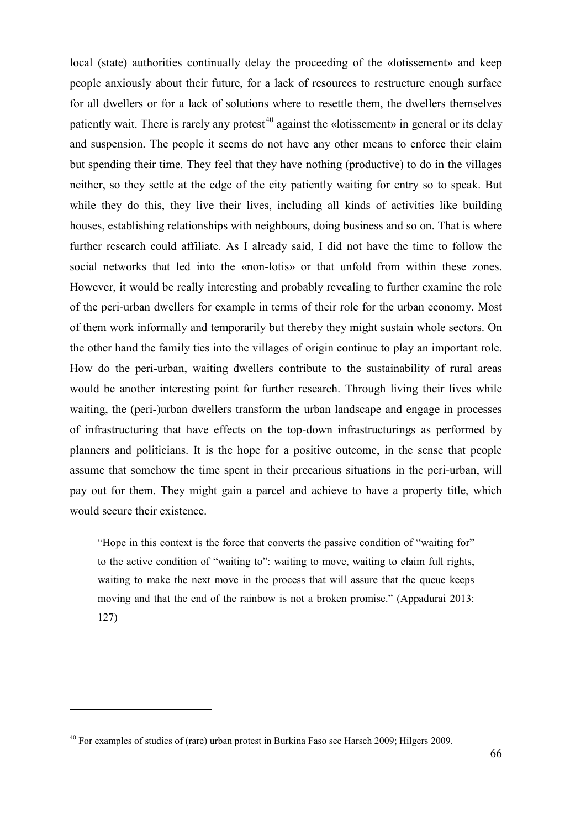local (state) authorities continually delay the proceeding of the «lotissement» and keep people anxiously about their future, for a lack of resources to restructure enough surface for all dwellers or for a lack of solutions where to resettle them, the dwellers themselves patiently wait. There is rarely any protest<sup>[40](#page-67-0)</sup> against the «lotissement» in general or its delay and suspension. The people it seems do not have any other means to enforce their claim but spending their time. They feel that they have nothing (productive) to do in the villages neither, so they settle at the edge of the city patiently waiting for entry so to speak. But while they do this, they live their lives, including all kinds of activities like building houses, establishing relationships with neighbours, doing business and so on. That is where further research could affiliate. As I already said, I did not have the time to follow the social networks that led into the «non-lotis» or that unfold from within these zones. However, it would be really interesting and probably revealing to further examine the role of the peri-urban dwellers for example in terms of their role for the urban economy. Most of them work informally and temporarily but thereby they might sustain whole sectors. On the other hand the family ties into the villages of origin continue to play an important role. How do the peri-urban, waiting dwellers contribute to the sustainability of rural areas would be another interesting point for further research. Through living their lives while waiting, the (peri-)urban dwellers transform the urban landscape and engage in processes of infrastructuring that have effects on the top-down infrastructurings as performed by planners and politicians. It is the hope for a positive outcome, in the sense that people assume that somehow the time spent in their precarious situations in the peri-urban, will pay out for them. They might gain a parcel and achieve to have a property title, which would secure their existence.

"Hope in this context is the force that converts the passive condition of "waiting for" to the active condition of "waiting to": waiting to move, waiting to claim full rights, waiting to make the next move in the process that will assure that the queue keeps moving and that the end of the rainbow is not a broken promise." (Appadurai 2013: 127)

-

<span id="page-67-0"></span><sup>40</sup> For examples of studies of (rare) urban protest in Burkina Faso see Harsch 2009; Hilgers 2009.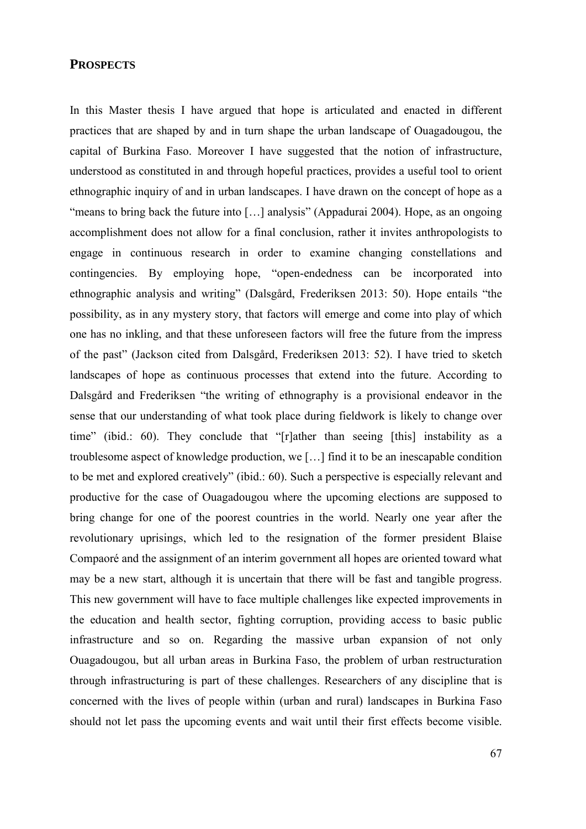## **PROSPECTS**

In this Master thesis I have argued that hope is articulated and enacted in different practices that are shaped by and in turn shape the urban landscape of Ouagadougou, the capital of Burkina Faso. Moreover I have suggested that the notion of infrastructure, understood as constituted in and through hopeful practices, provides a useful tool to orient ethnographic inquiry of and in urban landscapes. I have drawn on the concept of hope as a "means to bring back the future into […] analysis" (Appadurai 2004). Hope, as an ongoing accomplishment does not allow for a final conclusion, rather it invites anthropologists to engage in continuous research in order to examine changing constellations and contingencies. By employing hope, "open-endedness can be incorporated into ethnographic analysis and writing" (Dalsgård, Frederiksen 2013: 50). Hope entails "the possibility, as in any mystery story, that factors will emerge and come into play of which one has no inkling, and that these unforeseen factors will free the future from the impress of the past" (Jackson cited from Dalsgård, Frederiksen 2013: 52). I have tried to sketch landscapes of hope as continuous processes that extend into the future. According to Dalsgård and Frederiksen "the writing of ethnography is a provisional endeavor in the sense that our understanding of what took place during fieldwork is likely to change over time" (ibid.: 60). They conclude that "[r]ather than seeing [this] instability as a troublesome aspect of knowledge production, we […] find it to be an inescapable condition to be met and explored creatively" (ibid.: 60). Such a perspective is especially relevant and productive for the case of Ouagadougou where the upcoming elections are supposed to bring change for one of the poorest countries in the world. Nearly one year after the revolutionary uprisings, which led to the resignation of the former president Blaise Compaoré and the assignment of an interim government all hopes are oriented toward what may be a new start, although it is uncertain that there will be fast and tangible progress. This new government will have to face multiple challenges like expected improvements in the education and health sector, fighting corruption, providing access to basic public infrastructure and so on. Regarding the massive urban expansion of not only Ouagadougou, but all urban areas in Burkina Faso, the problem of urban restructuration through infrastructuring is part of these challenges. Researchers of any discipline that is concerned with the lives of people within (urban and rural) landscapes in Burkina Faso should not let pass the upcoming events and wait until their first effects become visible.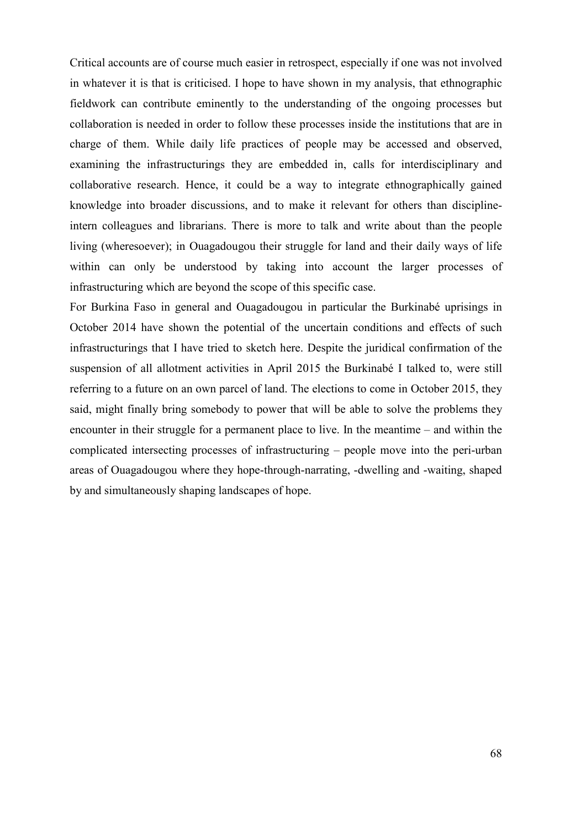Critical accounts are of course much easier in retrospect, especially if one was not involved in whatever it is that is criticised. I hope to have shown in my analysis, that ethnographic fieldwork can contribute eminently to the understanding of the ongoing processes but collaboration is needed in order to follow these processes inside the institutions that are in charge of them. While daily life practices of people may be accessed and observed, examining the infrastructurings they are embedded in, calls for interdisciplinary and collaborative research. Hence, it could be a way to integrate ethnographically gained knowledge into broader discussions, and to make it relevant for others than disciplineintern colleagues and librarians. There is more to talk and write about than the people living (wheresoever); in Ouagadougou their struggle for land and their daily ways of life within can only be understood by taking into account the larger processes of infrastructuring which are beyond the scope of this specific case.

For Burkina Faso in general and Ouagadougou in particular the Burkinabé uprisings in October 2014 have shown the potential of the uncertain conditions and effects of such infrastructurings that I have tried to sketch here. Despite the juridical confirmation of the suspension of all allotment activities in April 2015 the Burkinabé I talked to, were still referring to a future on an own parcel of land. The elections to come in October 2015, they said, might finally bring somebody to power that will be able to solve the problems they encounter in their struggle for a permanent place to live. In the meantime – and within the complicated intersecting processes of infrastructuring – people move into the peri-urban areas of Ouagadougou where they hope-through-narrating, -dwelling and -waiting, shaped by and simultaneously shaping landscapes of hope.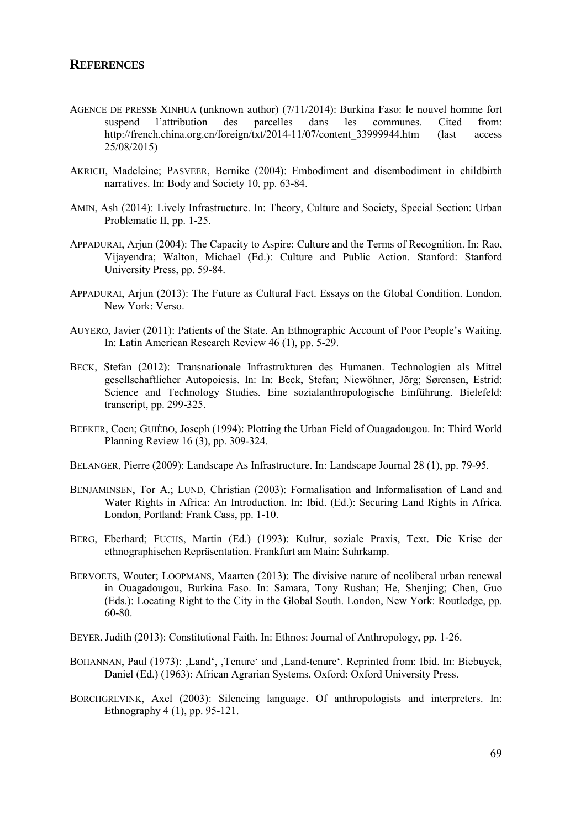## **REFERENCES**

- AGENCE DE PRESSE XINHUA (unknown author) (7/11/2014): Burkina Faso: le nouvel homme fort suspend l'attribution des parcelles dans les communes. Cited from: http://french.china.org.cn/foreign/txt/2014-11/07/content\_33999944.htm (last access 25/08/2015)
- AKRICH, Madeleine; PASVEER, Bernike (2004): Embodiment and disembodiment in childbirth narratives. In: Body and Society 10, pp. 63-84.
- AMIN, Ash (2014): Lively Infrastructure. In: Theory, Culture and Society, Special Section: Urban Problematic II, pp. 1-25.
- APPADURAI, Arjun (2004): The Capacity to Aspire: Culture and the Terms of Recognition. In: Rao, Vijayendra; Walton, Michael (Ed.): Culture and Public Action. Stanford: Stanford University Press, pp. 59-84.
- APPADURAI, Arjun (2013): The Future as Cultural Fact. Essays on the Global Condition. London, New York: Verso.
- AUYERO, Javier (2011): Patients of the State. An Ethnographic Account of Poor People's Waiting. In: Latin American Research Review 46 (1), pp. 5-29.
- BECK, Stefan (2012): Transnationale Infrastrukturen des Humanen. Technologien als Mittel gesellschaftlicher Autopoiesis. In: In: Beck, Stefan; Niewöhner, Jörg; Sørensen, Estrid: Science and Technology Studies. Eine sozialanthropologische Einführung. Bielefeld: transcript, pp. 299-325.
- BEEKER, Coen; GUIÈBO, Joseph (1994): Plotting the Urban Field of Ouagadougou. In: Third World Planning Review 16 (3), pp. 309-324.
- BELANGER, Pierre (2009): Landscape As Infrastructure. In: Landscape Journal 28 (1), pp. 79-95.
- BENJAMINSEN, Tor A.; LUND, Christian (2003): Formalisation and Informalisation of Land and Water Rights in Africa: An Introduction. In: Ibid. (Ed.): Securing Land Rights in Africa. London, Portland: Frank Cass, pp. 1-10.
- BERG, Eberhard; FUCHS, Martin (Ed.) (1993): Kultur, soziale Praxis, Text. Die Krise der ethnographischen Repräsentation. Frankfurt am Main: Suhrkamp.
- BERVOETS, Wouter; LOOPMANS, Maarten (2013): The divisive nature of neoliberal urban renewal in Ouagadougou, Burkina Faso. In: Samara, Tony Rushan; He, Shenjing; Chen, Guo (Eds.): Locating Right to the City in the Global South. London, New York: Routledge, pp. 60-80.
- BEYER, Judith (2013): Constitutional Faith. In: Ethnos: Journal of Anthropology, pp. 1-26.
- BOHANNAN, Paul (1973): ,Land', ,Tenure' and ,Land-tenure'. Reprinted from: Ibid. In: Biebuyck, Daniel (Ed.) (1963): African Agrarian Systems, Oxford: Oxford University Press.
- BORCHGREVINK, Axel (2003): Silencing language. Of anthropologists and interpreters. In: Ethnography 4 (1), pp. 95-121.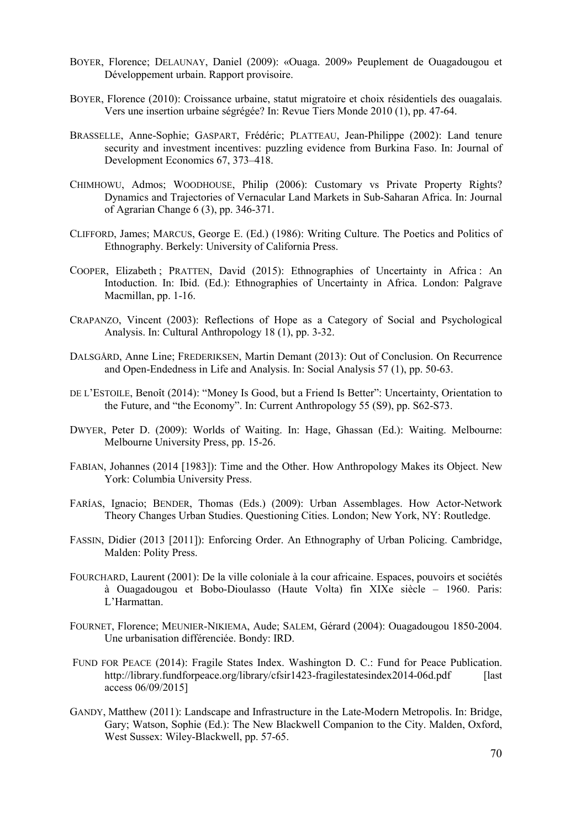- BOYER, Florence; DELAUNAY, Daniel (2009): «Ouaga. 2009» Peuplement de Ouagadougou et Développement urbain. Rapport provisoire.
- BOYER, Florence (2010): Croissance urbaine, statut migratoire et choix résidentiels des ouagalais. Vers une insertion urbaine ségrégée? In: Revue Tiers Monde 2010 (1), pp. 47-64.
- BRASSELLE, Anne-Sophie; GASPART, Frédéric; PLATTEAU, Jean-Philippe (2002): Land tenure security and investment incentives: puzzling evidence from Burkina Faso. In: Journal of Development Economics 67, 373–418.
- CHIMHOWU, Admos; WOODHOUSE, Philip (2006): Customary vs Private Property Rights? Dynamics and Trajectories of Vernacular Land Markets in Sub-Saharan Africa. In: Journal of Agrarian Change 6 (3), pp. 346-371.
- CLIFFORD, James; MARCUS, George E. (Ed.) (1986): Writing Culture. The Poetics and Politics of Ethnography. Berkely: University of California Press.
- COOPER, Elizabeth ; PRATTEN, David (2015): Ethnographies of Uncertainty in Africa : An Intoduction. In: Ibid. (Ed.): Ethnographies of Uncertainty in Africa. London: Palgrave Macmillan, pp. 1-16.
- CRAPANZO, Vincent (2003): Reflections of Hope as a Category of Social and Psychological Analysis. In: Cultural Anthropology 18 (1), pp. 3-32.
- DALSGÅRD, Anne Line; FREDERIKSEN, Martin Demant (2013): Out of Conclusion. On Recurrence and Open-Endedness in Life and Analysis. In: Social Analysis 57 (1), pp. 50-63.
- DE L'ESTOILE, Benoît (2014): "Money Is Good, but a Friend Is Better": Uncertainty, Orientation to the Future, and "the Economy". In: Current Anthropology 55 (S9), pp. S62-S73.
- DWYER, Peter D. (2009): Worlds of Waiting. In: Hage, Ghassan (Ed.): Waiting. Melbourne: Melbourne University Press, pp. 15-26.
- FABIAN, Johannes (2014 [1983]): Time and the Other. How Anthropology Makes its Object. New York: Columbia University Press.
- FARÍAS, Ignacio; BENDER, Thomas (Eds.) (2009): Urban Assemblages. How Actor-Network Theory Changes Urban Studies. Questioning Cities. London; New York, NY: Routledge.
- FASSIN, Didier (2013 [2011]): Enforcing Order. An Ethnography of Urban Policing. Cambridge, Malden: Polity Press.
- FOURCHARD, Laurent (2001): De la ville coloniale à la cour africaine. Espaces, pouvoirs et sociétés à Ouagadougou et Bobo-Dioulasso (Haute Volta) fin XIXe siècle – 1960. Paris: L'Harmattan.
- [FOURNET, Florence; MEUNIER-NIKIEMA, Aude; SALEM, Gérard \(2004\): Ouagadougou 1850-2004.](https://moodle.hu-berlin.de/mod/resource/view.php?id=914515)  [Une urbanisation différenciée. Bondy: IRD.](https://moodle.hu-berlin.de/mod/resource/view.php?id=914515)
- FUND FOR PEACE (2014): Fragile States Index. Washington D. C.: Fund for Peace Publication. <http://library.fundforpeace.org/library/cfsir1423-fragilestatesindex2014-06d.pdf> [last] access 06/09/2015]
- GANDY, Matthew (2011): Landscape and Infrastructure in the Late-Modern Metropolis. In: Bridge, Gary; Watson, Sophie (Ed.): The New Blackwell Companion to the City. Malden, Oxford, West Sussex: Wiley-Blackwell, pp. 57-65.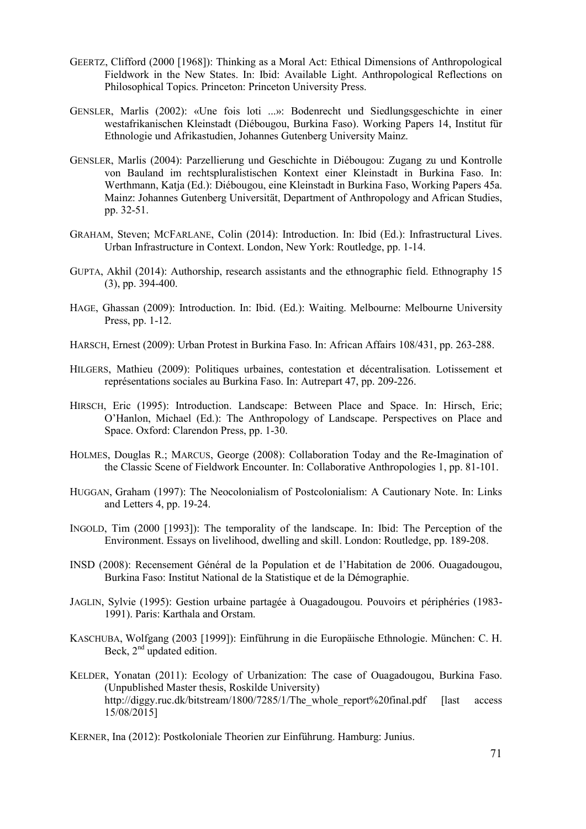- GEERTZ, Clifford (2000 [1968]): Thinking as a Moral Act: Ethical Dimensions of Anthropological Fieldwork in the New States. In: Ibid: Available Light. Anthropological Reflections on Philosophical Topics. Princeton: Princeton University Press.
- GENSLER, Marlis (2002): «Une fois loti ...»: Bodenrecht und Siedlungsgeschichte in einer westafrikanischen Kleinstadt (Diébougou, Burkina Faso). Working Papers 14, Institut für Ethnologie und Afrikastudien, Johannes Gutenberg University Mainz.
- GENSLER, Marlis (2004): Parzellierung und Geschichte in Diébougou: Zugang zu und Kontrolle von Bauland im rechtspluralistischen Kontext einer Kleinstadt in Burkina Faso. In: Werthmann, Katja (Ed.): Diébougou, eine Kleinstadt in Burkina Faso, Working Papers 45a. Mainz: Johannes Gutenberg Universität, Department of Anthropology and African Studies, pp. 32-51.
- GRAHAM, Steven; MCFARLANE, Colin (2014): Introduction. In: Ibid (Ed.): Infrastructural Lives. Urban Infrastructure in Context. London, New York: Routledge, pp. 1-14.
- GUPTA, Akhil (2014): Authorship, research assistants and the ethnographic field. Ethnography 15 (3), pp. 394-400.
- HAGE, Ghassan (2009): Introduction. In: Ibid. (Ed.): Waiting. Melbourne: Melbourne University Press, pp. 1-12.
- HARSCH, Ernest (2009): Urban Protest in Burkina Faso. In: African Affairs 108/431, pp. 263-288.
- HILGERS, Mathieu (2009): Politiques urbaines, contestation et décentralisation. Lotissement et représentations sociales au Burkina Faso. In: Autrepart 47, pp. 209-226.
- HIRSCH, Eric (1995): Introduction. Landscape: Between Place and Space. In: Hirsch, Eric; O'Hanlon, Michael (Ed.): The Anthropology of Landscape. Perspectives on Place and Space. Oxford: Clarendon Press, pp. 1-30.
- HOLMES, Douglas R.; MARCUS, George (2008): Collaboration Today and the Re-Imagination of the Classic Scene of Fieldwork Encounter. In: Collaborative Anthropologies 1, pp. 81-101.
- HUGGAN, Graham (1997): The Neocolonialism of Postcolonialism: A Cautionary Note. In: Links and Letters 4, pp. 19-24.
- INGOLD, Tim (2000 [1993]): The temporality of the landscape. In: Ibid: The Perception of the Environment. Essays on livelihood, dwelling and skill. London: Routledge, pp. 189-208.
- INSD (2008): Recensement Général de la Population et de l'Habitation de 2006. Ouagadougou, Burkina Faso: Institut National de la Statistique et de la Démographie.
- [JAGLIN, Sylvie \(1995\): Gestion urbaine partagée à Ouagadougou. Pouvoirs et périphéries \(1983-](https://moodle.hu-berlin.de/mod/resource/view.php?id=914525) [1991\). Paris: Karthala and Orstam.](https://moodle.hu-berlin.de/mod/resource/view.php?id=914525)
- KASCHUBA, Wolfgang (2003 [1999]): Einführung in die Europäische Ethnologie. München: C. H. Beck,  $2<sup>nd</sup>$  updated edition.
- KELDER, Yonatan (2011): Ecology of Urbanization: The case of Ouagadougou, Burkina Faso. (Unpublished Master thesis, Roskilde University) http://diggy.ruc.dk/bitstream/1800/7285/1/The whole report%20final.pdf [last access 15/08/2015]

KERNER, Ina (2012): Postkoloniale Theorien zur Einführung. Hamburg: Junius.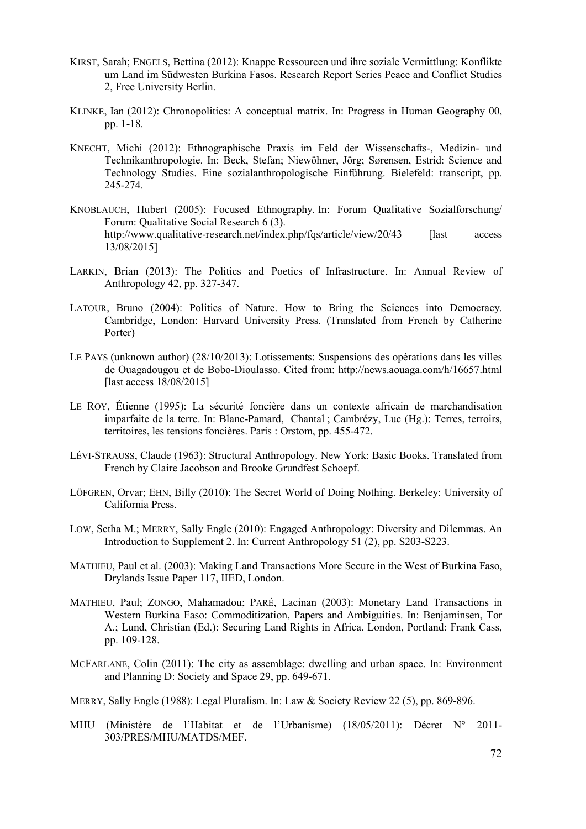- KIRST, Sarah; ENGELS, Bettina (2012): Knappe Ressourcen und ihre soziale Vermittlung: Konflikte um Land im Südwesten Burkina Fasos. Research Report Series Peace and Conflict Studies 2, Free University Berlin.
- KLINKE, Ian (2012): Chronopolitics: A conceptual matrix. In: Progress in Human Geography 00, pp. 1-18.
- KNECHT, Michi (2012): Ethnographische Praxis im Feld der Wissenschafts-, Medizin- und Technikanthropologie. In: Beck, Stefan; Niewöhner, Jörg; Sørensen, Estrid: Science and Technology Studies. Eine sozialanthropologische Einführung. Bielefeld: transcript, pp. 245-274.
- KNOBLAUCH, Hubert (2005): Focused Ethnography. In: Forum Qualitative Sozialforschung/ Forum: Qualitative Social Research 6 (3). <http://www.qualitative-research.net/index.php/fqs/article/view/20/43> [last access 13/08/2015]
- LARKIN, Brian (2013): The Politics and Poetics of Infrastructure. In: Annual Review of Anthropology 42, pp. 327-347.
- LATOUR, Bruno (2004): Politics of Nature. How to Bring the Sciences into Democracy. Cambridge, London: Harvard University Press. (Translated from French by Catherine Porter)
- LE PAYS (unknown author) (28/10/2013): Lotissements: Suspensions des opérations dans les villes de Ouagadougou et de Bobo-Dioulasso. Cited from:<http://news.aouaga.com/h/16657.html> [last access 18/08/2015]
- LE ROY, Étienne (1995): La sécurité foncière dans un contexte africain de marchandisation imparfaite de la terre. In: Blanc-Pamard, Chantal ; Cambrézy, Luc (Hg.): Terres, terroirs, territoires, les tensions foncières. Paris : Orstom, pp. 455-472.
- LÉVI-STRAUSS, Claude (1963): Structural Anthropology. New York: Basic Books. Translated from French by Claire Jacobson and Brooke Grundfest Schoepf.
- LÖFGREN, Orvar; EHN, Billy (2010): The Secret World of Doing Nothing. Berkeley: University of California Press.
- LOW, Setha M.; MERRY, Sally Engle (2010): Engaged Anthropology: Diversity and Dilemmas. An Introduction to Supplement 2. In: Current Anthropology 51 (2), pp. S203-S223.
- MATHIEU, Paul et al. (2003): Making Land Transactions More Secure in the West of Burkina Faso, Drylands Issue Paper 117, IIED, London.
- MATHIEU, Paul; ZONGO, Mahamadou; PARÉ, Lacinan (2003): Monetary Land Transactions in Western Burkina Faso: Commoditization, Papers and Ambiguities. In: Benjaminsen, Tor A.; Lund, Christian (Ed.): Securing Land Rights in Africa. London, Portland: Frank Cass, pp. 109-128.
- MCFARLANE, Colin (2011): The city as assemblage: dwelling and urban space. In: Environment and Planning D: Society and Space 29, pp. 649-671.
- MERRY, Sally Engle (1988): Legal Pluralism. In: Law & Society Review 22 (5), pp. 869-896.
- MHU (Ministère de l'Habitat et de l'Urbanisme) (18/05/2011): Décret N° 2011- 303/PRES/MHU/MATDS/MEF.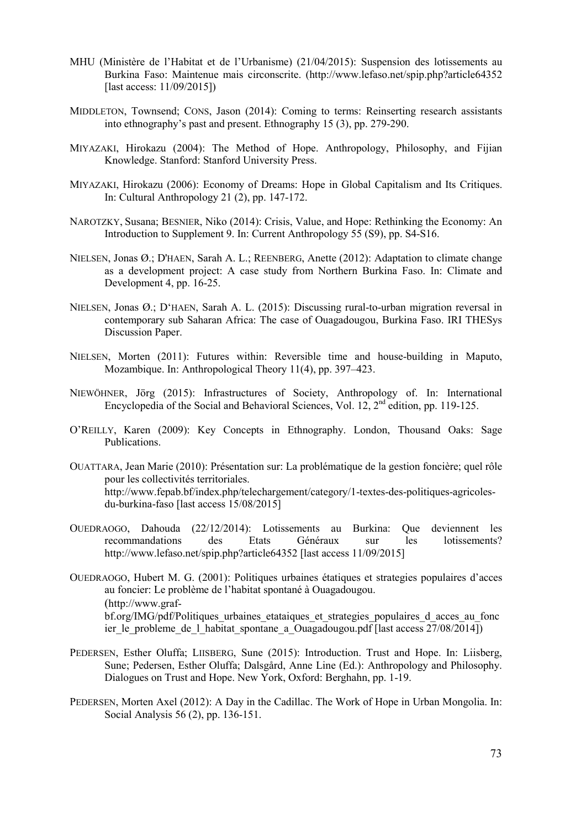- MHU (Ministère de l'Habitat et de l'Urbanisme) (21/04/2015): Suspension des lotissements au Burkina Faso: Maintenue mais circonscrite. [\(http://www.lefaso.net/spip.php?article64352](http://www.lefaso.net/spip.php?article64352) [last access: 11/09/2015])
- MIDDLETON, Townsend; CONS, Jason (2014): Coming to terms: Reinserting research assistants into ethnography's past and present. Ethnography 15 (3), pp. 279-290.
- MIYAZAKI, Hirokazu (2004): The Method of Hope. Anthropology, Philosophy, and Fijian Knowledge. Stanford: Stanford University Press.
- MIYAZAKI, Hirokazu (2006): Economy of Dreams: Hope in Global Capitalism and Its Critiques. In: Cultural Anthropology 21 (2), pp. 147-172.
- NAROTZKY, Susana; BESNIER, Niko (2014): Crisis, Value, and Hope: Rethinking the Economy: An Introduction to Supplement 9. In: Current Anthropology 55 (S9), pp. S4-S16.
- NIELSEN, Jonas Ø.; D'HAEN, Sarah A. L.; REENBERG, Anette (2012): Adaptation to climate change as a development project: A case study from Northern Burkina Faso. In: Climate and Development 4, pp. 16-25.
- NIELSEN, Jonas Ø.; D'HAEN, Sarah A. L. (2015): Discussing rural-to-urban migration reversal in contemporary sub Saharan Africa: The case of Ouagadougou, Burkina Faso. IRI THESys Discussion Paper.
- NIELSEN, Morten (2011): Futures within: Reversible time and house-building in Maputo, Mozambique. In: Anthropological Theory 11(4), pp. 397–423.
- NIEWÖHNER, Jörg (2015): Infrastructures of Society, Anthropology of. In: International Encyclopedia of the Social and Behavioral Sciences, Vol. 12, 2<sup>nd</sup> edition, pp. 119-125.
- O'REILLY, Karen (2009): Key Concepts in Ethnography. London, Thousand Oaks: Sage Publications.
- OUATTARA, Jean Marie (2010): Présentation sur: La problématique de la gestion foncière; quel rôle pour les collectivités territoriales. [http://www.fepab.bf/index.php/telechargement/category/1-textes-des-politiques-agricoles](http://www.fepab.bf/index.php/telechargement/category/1-textes-des-politiques-agricoles-du-burkina-faso)[du-burkina-faso](http://www.fepab.bf/index.php/telechargement/category/1-textes-des-politiques-agricoles-du-burkina-faso) [last access 15/08/2015]
- OUEDRAOGO, Dahouda (22/12/2014): Lotissements au Burkina: Que deviennent les recommandations des Etats Généraux sur les lotissements? <http://www.lefaso.net/spip.php?article64352>[last access 11/09/2015]
- OUEDRAOGO, Hubert M. G. (2001): Politiques urbaines étatiques et strategies populaires d'acces au foncier: Le problème de l'habitat spontané à Ouagadougou. [\(http://www.graf](http://www.graf-bf.org/IMG/pdf/Politiques_urbaines_etataiques_et_strategies_populaires_d_acces_au_foncier_le_probleme_de_l_habitat_spontane_a_Ouagadougou.pdf)[bf.org/IMG/pdf/Politiques\\_urbaines\\_etataiques\\_et\\_strategies\\_populaires\\_d\\_acces\\_au\\_fonc](http://www.graf-bf.org/IMG/pdf/Politiques_urbaines_etataiques_et_strategies_populaires_d_acces_au_foncier_le_probleme_de_l_habitat_spontane_a_Ouagadougou.pdf) ier le probleme de l habitat spontane a Ouagadougou.pdf [last access  $27/08/2014$ ])
- PEDERSEN, Esther Oluffa; LIISBERG, Sune (2015): Introduction. Trust and Hope. In: Liisberg, Sune; Pedersen, Esther Oluffa; Dalsgård, Anne Line (Ed.): Anthropology and Philosophy. Dialogues on Trust and Hope. New York, Oxford: Berghahn, pp. 1-19.
- PEDERSEN, Morten Axel (2012): A Day in the Cadillac. The Work of Hope in Urban Mongolia. In: Social Analysis 56 (2), pp. 136-151.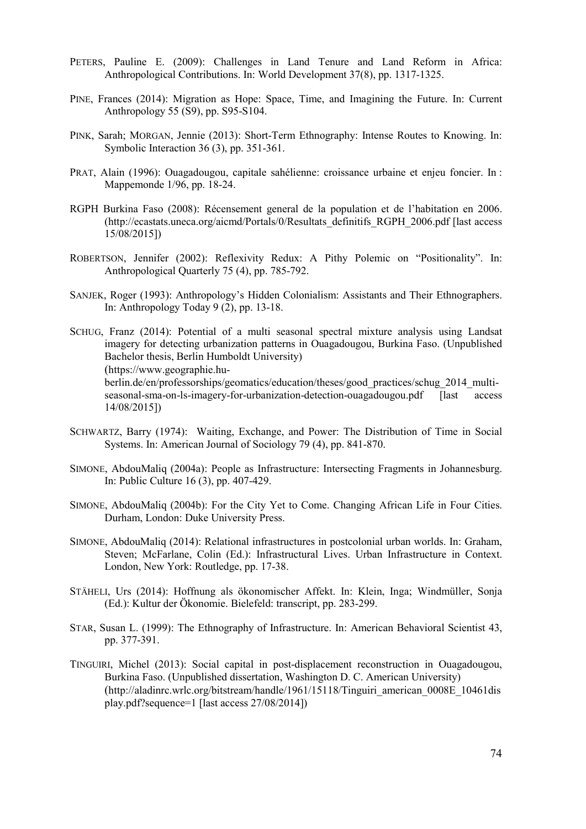- PETERS, Pauline E. (2009): Challenges in Land Tenure and Land Reform in Africa: Anthropological Contributions. In: World Development 37(8), pp. 1317-1325.
- PINE, Frances (2014): Migration as Hope: Space, Time, and Imagining the Future. In: Current Anthropology 55 (S9), pp. S95-S104.
- PINK, Sarah; MORGAN, Jennie (2013): Short-Term Ethnography: Intense Routes to Knowing. In: Symbolic Interaction 36 (3), pp. 351-361.
- PRAT, Alain (1996): Ouagadougou, capitale sahélienne: croissance urbaine et enjeu foncier. In : Mappemonde 1/96, pp. 18-24.
- RGPH Burkina Faso (2008): Récensement general de la population et de l'habitation en 2006. [\(http://ecastats.uneca.org/aicmd/Portals/0/Resultats\\_definitifs\\_RGPH\\_2006.pdf](http://ecastats.uneca.org/aicmd/Portals/0/Resultats_definitifs_RGPH_2006.pdf) [last access 15/08/2015])
- ROBERTSON, Jennifer (2002): Reflexivity Redux: A Pithy Polemic on "Positionality". In: Anthropological Quarterly 75 (4), pp. 785-792.
- SANJEK, Roger (1993): Anthropology's Hidden Colonialism: Assistants and Their Ethnographers. In: Anthropology Today 9 (2), pp. 13-18.
- SCHUG, Franz (2014): Potential of a multi seasonal spectral mixture analysis using Landsat imagery for detecting urbanization patterns in Ouagadougou, Burkina Faso. (Unpublished Bachelor thesis, Berlin Humboldt University) [\(https://www.geographie.hu](https://www.geographie.hu-berlin.de/en/professorships/geomatics/education/theses/good_practices/schug_2014_multi-seasonal-sma-on-ls-imagery-for-urbanization-detection-ouagadougou.pdf)[berlin.de/en/professorships/geomatics/education/theses/good\\_practices/schug\\_2014\\_multi](https://www.geographie.hu-berlin.de/en/professorships/geomatics/education/theses/good_practices/schug_2014_multi-seasonal-sma-on-ls-imagery-for-urbanization-detection-ouagadougou.pdf)[seasonal-sma-on-ls-imagery-for-urbanization-detection-ouagadougou.pdf](https://www.geographie.hu-berlin.de/en/professorships/geomatics/education/theses/good_practices/schug_2014_multi-seasonal-sma-on-ls-imagery-for-urbanization-detection-ouagadougou.pdf) [last access 14/08/2015])
- SCHWARTZ, Barry (1974): Waiting, Exchange, and Power: The Distribution of Time in Social Systems. In: American Journal of Sociology 79 (4), pp. 841-870.
- SIMONE, AbdouMaliq (2004a): People as Infrastructure: Intersecting Fragments in Johannesburg. In: Public Culture 16 (3), pp. 407-429.
- SIMONE, AbdouMaliq (2004b): For the City Yet to Come. Changing African Life in Four Cities. Durham, London: Duke University Press.
- SIMONE, AbdouMaliq (2014): Relational infrastructures in postcolonial urban worlds. In: Graham, Steven; McFarlane, Colin (Ed.): Infrastructural Lives. Urban Infrastructure in Context. London, New York: Routledge, pp. 17-38.
- STÄHELI, Urs (2014): Hoffnung als ökonomischer Affekt. In: Klein, Inga; Windmüller, Sonja (Ed.): Kultur der Ökonomie. Bielefeld: transcript, pp. 283-299.
- STAR, Susan L. (1999): The Ethnography of Infrastructure. In: American Behavioral Scientist 43, pp. 377-391.
- TINGUIRI, Michel (2013): Social capital in post-displacement reconstruction in Ouagadougou, Burkina Faso. (Unpublished dissertation, Washington D. C. American University) [\(http://aladinrc.wrlc.org/bitstream/handle/1961/15118/Tinguiri\\_american\\_0008E\\_10461dis](http://aladinrc.wrlc.org/bitstream/handle/1961/15118/Tinguiri_american_0008E_10461display.pdf?sequence=1) [play.pdf?sequence=1](http://aladinrc.wrlc.org/bitstream/handle/1961/15118/Tinguiri_american_0008E_10461display.pdf?sequence=1) [last access 27/08/2014])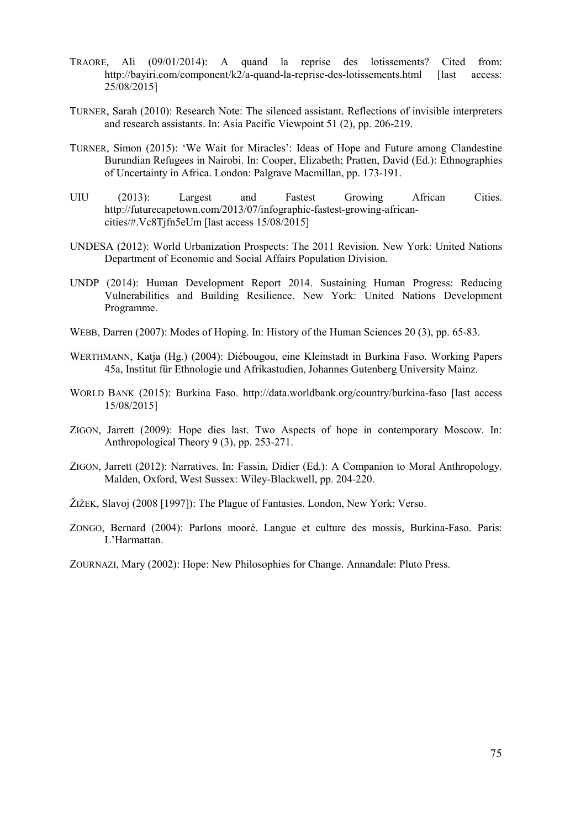- TRAORE, Ali (09/01/2014): A quand la reprise des lotissements? Cited from: <http://bayiri.com/component/k2/a-quand-la-reprise-des-lotissements.html>[last access: 25/08/2015]
- TURNER, Sarah (2010): Research Note: The silenced assistant. Reflections of invisible interpreters and research assistants. In: Asia Pacific Viewpoint 51 (2), pp. 206-219.
- TURNER, Simon (2015): 'We Wait for Miracles': Ideas of Hope and Future among Clandestine Burundian Refugees in Nairobi. In: Cooper, Elizabeth; Pratten, David (Ed.): Ethnographies of Uncertainty in Africa. London: Palgrave Macmillan, pp. 173-191.
- UIU (2013): Largest and Fastest Growing African Cities. [http://futurecapetown.com/2013/07/infographic-fastest-growing-african](http://futurecapetown.com/2013/07/infographic-fastest-growing-african-cities/%23.Vc8Tjfn5eUm)[cities/#.Vc8Tjfn5eUm](http://futurecapetown.com/2013/07/infographic-fastest-growing-african-cities/%23.Vc8Tjfn5eUm) [last access 15/08/2015]
- UNDESA (2012): World Urbanization Prospects: The 2011 Revision. New York: United Nations Department of Economic and Social Affairs Population Division.
- UNDP (2014): Human Development Report 2014. Sustaining Human Progress: Reducing Vulnerabilities and Building Resilience. New York: United Nations Development Programme.
- WEBB, Darren (2007): Modes of Hoping. In: History of the Human Sciences 20 (3), pp. 65-83.
- WERTHMANN, Katja (Hg.) (2004): Diébougou, eine Kleinstadt in Burkina Faso. Working Papers 45a, Institut für Ethnologie und Afrikastudien, Johannes Gutenberg University Mainz.
- WORLD BANK (2015): Burkina Faso.<http://data.worldbank.org/country/burkina-faso> [last access 15/08/2015]
- ZIGON, Jarrett (2009): Hope dies last. Two Aspects of hope in contemporary Moscow. In: Anthropological Theory 9 (3), pp. 253-271.
- ZIGON, Jarrett (2012): Narratives. In: Fassin, Didier (Ed.): A Companion to Moral Anthropology. Malden, Oxford, West Sussex: Wiley-Blackwell, pp. 204-220.
- ŽIŽEK, Slavoj (2008 [1997]): The Plague of Fantasies. London, New York: Verso.
- ZONGO, Bernard (2004): Parlons mooré. Langue et culture des mossis, Burkina-Faso. Paris: L'Harmattan.

ZOURNAZI, Mary (2002): Hope: New Philosophies for Change. Annandale: Pluto Press.